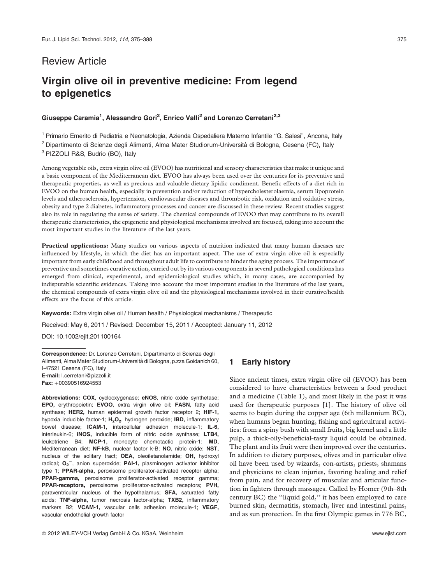## Review Article

# Virgin olive oil in preventive medicine: From legend to epigenetics

## Giuseppe Caramia<sup>1</sup>, Alessandro Gori<sup>2</sup>, Enrico Valli<sup>2</sup> and Lorenzo Cerretani<sup>2,3</sup>

<sup>1</sup> Primario Emerito di Pediatria e Neonatologia, Azienda Ospedaliera Materno Infantile ''G. Salesi'', Ancona, Italy <sup>2</sup> Dipartimento di Scienze degli Alimenti, Alma Mater Studiorum-Università di Bologna, Cesena (FC), Italy <sup>3</sup> PIZZOLI R&S, Budrio (BO), Italy

Among vegetable oils, extra virgin olive oil (EVOO) has nutritional and sensory characteristics that make it unique and a basic component of the Mediterranean diet. EVOO has always been used over the centuries for its preventive and therapeutic properties, as well as precious and valuable dietary lipidic condiment. Benefic effects of a diet rich in EVOO on the human health, especially in prevention and/or reduction of hypercholesterolaemia, serum lipoprotein levels and atherosclerosis, hypertension, cardiovascular diseases and thrombotic risk, oxidation and oxidative stress, obesity and type 2 diabetes, inflammatory processes and cancer are discussed in these review. Recent studies suggest also its role in regulating the sense of satiety. The chemical compounds of EVOO that may contribute to its overall therapeutic characteristics, the epigenetic and physiological mechanisms involved are focused, taking into account the most important studies in the literature of the last years.

Practical applications: Many studies on various aspects of nutrition indicated that many human diseases are influenced by lifestyle, in which the diet has an important aspect. The use of extra virgin olive oil is especially important from early childhood and throughout adult life to contribute to hinder the aging process. The importance of preventive and sometimes curative action, carried out by its various components in several pathological conditions has emerged from clinical, experimental, and epidemiological studies which, in many cases, are accompanied by indisputable scientific evidences. Taking into account the most important studies in the literature of the last years, the chemical compounds of extra virgin olive oil and the physiological mechanisms involved in their curative/health effects are the focus of this article.

Keywords: Extra virgin olive oil / Human health / Physiological mechanisms / Therapeutic Received: May 6, 2011 / Revised: December 15, 2011 / Accepted: January 11, 2012

DOI: 10.1002/ejlt.201100164

Correspondence: Dr. Lorenzo Cerretani, Dipartimento di Scienze degli Alimenti, Alma Mater Studiorum-Università di Bologna, p.zza Goidanich 60, I-47521 Cesena (FC), Italy E-mail: l.cerretani@pizzoli.it Fax: +00390516924553

Abbreviations: COX, cyclooxygenase; eNOS, nitric oxide synthetase; EPO, erythropoietin; EVOO, extra virgin olive oil; FASN, fatty acid synthase: HER2, human epidermal growth factor receptor 2: HIF-1. hypoxia inducible factor-1; H<sub>2</sub>O<sub>2</sub>, hydrogen peroxide; IBD, inflammatory bowel disease; ICAM-1, intercellular adhesion molecule-1; IL-6, interleukin-6; iNOS, inducible form of nitric oxide synthase; LTB4, leukotriene B4; MCP-1, monocyte chemotactic protein-1; MD, Mediterranean diet; NF-kB, nuclear factor k-B; NO, nitric oxide; NST, nucleus of the solitary tract; OEA, oleoiletanolamide; OH, hydroxyl radical; O<sub>2</sub><sup>-</sup>, anion superoxide; PAI-1, plasminogen activator inhibitor type 1; PPAR-alpha, peroxisome proliferator-activated receptor alpha; PPAR-gamma, peroxisome proliferator-activated receptor gamma; PPAR-receptors, peroxisome proliferator-activated receptors; PVH, paraventricular nucleus of the hypothalamus; SFA, saturated fatty acids; TNF-alpha, tumor necrosis factor-alpha; TXB2, inflammatory markers B2; VCAM-1, vascular cells adhesion molecule-1; VEGF, vascular endothelial growth factor

## 1 Early history

Since ancient times, extra virgin olive oil (EVOO) has been considered to have characteristics between a food product and a medicine (Table 1), and most likely in the past it was used for therapeutic purposes [1]. The history of olive oil seems to begin during the copper age (6th millennium BC), when humans began hunting, fishing and agricultural activities: from a spiny bush with small fruits, big kernel and a little pulp, a thick-oily-beneficial-tasty liquid could be obtained. The plant and its fruit were then improved over the centuries. In addition to dietary purposes, olives and in particular olive oil have been used by wizards, con-artists, priests, shamans and physicians to clean injuries, favoring healing and relief from pain, and for recovery of muscular and articular function in fighters through massages. Called by Homer (9th–8th century BC) the ''liquid gold,'' it has been employed to care burned skin, dermatitis, stomach, liver and intestinal pains, and as sun protection. In the first Olympic games in 776 BC,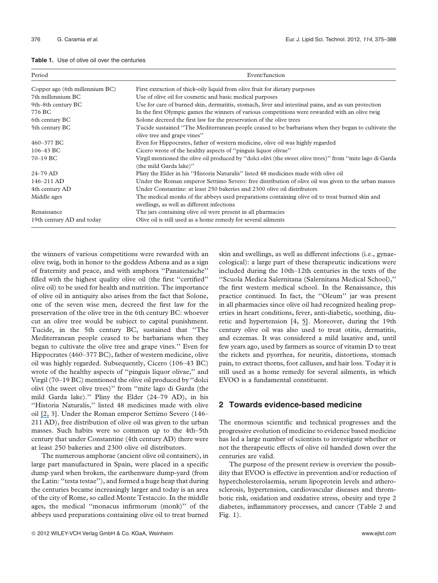| <b>Table 1.</b> Use of olive oil over the centuries |
|-----------------------------------------------------|
|-----------------------------------------------------|

| Period                         | Event/function                                                                                                                                |  |  |
|--------------------------------|-----------------------------------------------------------------------------------------------------------------------------------------------|--|--|
| Copper age (6th millennium BC) | First extraction of thick-oily liquid from olive fruit for dietary purposes                                                                   |  |  |
| 7th millennium BC              | Use of olive oil for cosmetic and basic medical purposes                                                                                      |  |  |
| 9th–8th century BC             | Use for care of burned skin, dermatitis, stomach, liver and intestinal pains, and as sun protection                                           |  |  |
| 776 BC                         | In the first Olympic games the winners of various competitions were rewarded with an olive twig                                               |  |  |
| 6th century BC                 | Solone decreed the first law for the preservation of the olive trees                                                                          |  |  |
| 5th century BC                 | Tucide sustained "The Mediterranean people ceased to be barbarians when they began to cultivate the<br>olive tree and grape vines"            |  |  |
| 460-377 BC                     | Even for Hippocrates, father of western medicine, olive oil was highly regarded                                                               |  |  |
| $106 - 43$ BC                  | Cicero wrote of the healthy aspects of "pinguis liquor olivae"                                                                                |  |  |
| 70-19 BC                       | Virgil mentioned the olive oil produced by "dolci olivi (the sweet olive trees)" from "mite lago di Garda"<br>(the mild Garda lake)"          |  |  |
| $24 - 79$ AD                   | Pliny the Elder in his "Historia Naturalis" listed 48 medicines made with olive oil                                                           |  |  |
| 146-211 AD                     | Under the Roman emperor Settimo Severo: free distribution of olive oil was given to the urban masses                                          |  |  |
| 4th century AD                 | Under Constantine: at least 250 bakeries and 2300 olive oil distributors                                                                      |  |  |
| Middle ages                    | The medical monks of the abbeys used preparations containing olive oil to treat burned skin and<br>swellings, as well as different infections |  |  |
| Renaissance                    | The jars containing olive oil were present in all pharmacies                                                                                  |  |  |
| 19th century AD and today      | Olive oil is still used as a home remedy for several ailments                                                                                 |  |  |

the winners of various competitions were rewarded with an olive twig, both in honor to the goddess Athena and as a sign of fraternity and peace, and with amphora ''Panatenaiche'' filled with the highest quality olive oil (the first ''certified'' olive oil) to be used for health and nutrition. The importance of olive oil in antiquity also arises from the fact that Solone, one of the seven wise men, decreed the first law for the preservation of the olive tree in the 6th century BC: whoever cut an olive tree would be subject to capital punishment. Tucide, in the 5th century BC, sustained that ''The Mediterranean people ceased to be barbarians when they began to cultivate the olive tree and grape vines.'' Even for Hippocrates (460–377 BC), father of western medicine, olive oil was highly regarded. Subsequently, Cicero (106–43 BC) wrote of the healthy aspects of ''pinguis liquor olivae,'' and Virgil (70–19 BC) mentioned the olive oil produced by ''dolci olivi (the sweet olive trees)'' from ''mite lago di Garda (the mild Garda lake).'' Pliny the Elder (24–79 AD), in his ''Historia Naturalis,'' listed 48 medicines made with olive oil [\[2,](https://www.researchgate.net/publication/261737793_L) 3]. Under the Roman emperor Settimo Severo (146– 211 AD), free distribution of olive oil was given to the urban masses. Such habits were so common up to the 4th–5th century that under Constantine (4th century AD) there were at least 250 bakeries and 2300 olive oil distributors.

The numerous amphorae (ancient olive oil containers), in large part manufactured in Spain, were placed in a specific dump yard when broken, the earthenware dump-yard (from the Latin: ''testa testae''), and formed a huge heap that during the centuries became increasingly larger and today is an area of the city of Rome, so called Monte Testaccio. In the middle ages, the medical ''monacus infirmorum (monk)'' of the abbeys used preparations containing olive oil to treat burned skin and swellings, as well as different infections (i.e., gynaecological): a large part of these therapeutic indications were included during the 10th–12th centuries in the texts of the ''Scuola Medica Salernitana (Salernitana Medical School),'' the first western medical school. In the Renaissance, this practice continued. In fact, the ''Oleum'' jar was present in all pharmacies since olive oil had recognized healing properties in heart conditions, fever, anti-diabetic, soothing, diuretic and hypertension [4, [5\]](https://www.researchgate.net/publication/284525119_The_Salernitan_Questions_An_Introduction_to_the_History_of_Medieval_and_Renaissance_Problem_Literature?el=1_x_8&enrichId=rgreq-96b52518b09014af285651118ba1e45a-XXX&enrichSource=Y292ZXJQYWdlOzI2NDUyNTQwNztBUzoxMzQ3NjUzMzIxNDQxMjhAMTQwOTE0MTk2NzU3MQ==). Moreover, during the 19th century olive oil was also used to treat otitis, dermatitis, and eczemas. It was considered a mild laxative and, until few years ago, used by farmers as source of vitamin D to treat the rickets and pyorrhea, for neuritis, distortions, stomach pain, to extract thorns, foot calluses, and hair loss. Today it is still used as a home remedy for several ailments, in which EVOO is a fundamental constituent.

## 2 Towards evidence-based medicine

The enormous scientific and technical progresses and the progressive evolution of medicine to evidence based medicine has led a large number of scientists to investigate whether or not the therapeutic effects of olive oil handed down over the centuries are valid.

The purpose of the present review is overview the possibility that EVOO is effective in prevention and/or reduction of hypercholesterolaemia, serum lipoprotein levels and atherosclerosis, hypertension, cardiovascular diseases and thrombotic risk, oxidation and oxidative stress, obesity and type 2 diabetes, inflammatory processes, and cancer (Table 2 and Fig. 1).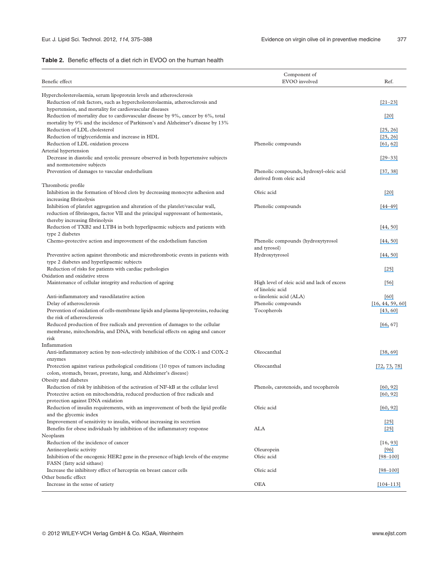#### Table 2. Benefic effects of a diet rich in EVOO on the human health

| Benefic effect                                                                                                                                                     | Component of<br>EVOO involved                                      | Ref.                 |
|--------------------------------------------------------------------------------------------------------------------------------------------------------------------|--------------------------------------------------------------------|----------------------|
| Hypercholesterolaemia, serum lipoprotein levels and atherosclerosis                                                                                                |                                                                    |                      |
| Reduction of risk factors, such as hypercholesterolaemia, atherosclerosis and<br>hypertension, and mortality for cardiovascular diseases                           |                                                                    | $[21 - 23]$          |
| Reduction of mortality due to cardiovascular disease by 9%, cancer by 6%, total<br>mortality by 9% and the incidence of Parkinson's and Alzheimer's disease by 13% |                                                                    | $\left[20\right]$    |
| Reduction of LDL cholesterol                                                                                                                                       |                                                                    | [25, 26]             |
| Reduction of triglyceridemia and increase in HDL                                                                                                                   |                                                                    | [25, 26]             |
| Reduction of LDL oxidation process                                                                                                                                 | Phenolic compounds                                                 | [61, 62]             |
| Arterial hypertension                                                                                                                                              |                                                                    |                      |
| Decrease in diastolic and systolic pressure observed in both hypertensive subjects                                                                                 |                                                                    | $[29 - 33]$          |
| and normotensive subjects                                                                                                                                          |                                                                    |                      |
| Prevention of damages to vascular endothelium                                                                                                                      | Phenolic compounds, hydroxyl-oleic acid<br>derived from oleic acid | [37, 38]             |
| Thrombotic profile                                                                                                                                                 |                                                                    |                      |
| Inhibition in the formation of blood clots by decreasing monocyte adhesion and<br>increasing fibrinolysis                                                          | Oleic acid                                                         | $[20]$               |
| Inhibition of platelet aggregation and alteration of the platelet/vascular wall,                                                                                   | Phenolic compounds                                                 | $[44 - 49]$          |
| reduction of fibrinogen, factor VII and the principal suppressant of hemostasis,<br>thereby increasing fibrinolysis                                                |                                                                    |                      |
| Reduction of TXB2 and LTB4 in both hyperlipaemic subjects and patients with                                                                                        |                                                                    | [44, 50]             |
| type 2 diabetes<br>Chemo-protective action and improvement of the endothelium function                                                                             | Phenolic compounds (hydroxytyrosol                                 | [44, 50]             |
|                                                                                                                                                                    | and tyrosol)                                                       |                      |
| Preventive action against thrombotic and microthrombotic events in patients with<br>type 2 diabetes and hyperlipaemic subjects                                     | Hydroxytyrosol                                                     | [44, 50]             |
| Reduction of risks for patients with cardiac pathologies                                                                                                           |                                                                    | $[25]$               |
| Oxidation and oxidative stress                                                                                                                                     |                                                                    |                      |
| Maintenance of cellular integrity and reduction of ageing                                                                                                          | High level of oleic acid and lack of excess<br>of linoleic acid    | [56]                 |
| Anti-inflammatory and vasodilatative action                                                                                                                        | $\alpha$ -linolenic acid (ALA)                                     | [60]                 |
| Delay of atherosclerosis                                                                                                                                           | Phenolic compounds                                                 | [16, 44, 59, 60]     |
| Prevention of oxidation of cells-membrane lipids and plasma lipoproteins, reducing<br>the risk of atherosclerosis                                                  | Tocopherols                                                        | [43, 60]             |
| Reduced production of free radicals and prevention of damages to the cellular                                                                                      |                                                                    | [66, 67]             |
| membrane, mitochondria, and DNA, with beneficial effects on aging and cancer<br>risk                                                                               |                                                                    |                      |
| Inflammation                                                                                                                                                       |                                                                    |                      |
| Anti-inflammatory action by non-selectively inhibition of the COX-1 and COX-2<br>enzymes                                                                           | Oleocanthal                                                        | [38, 69]             |
| Protection against various pathological conditions (10 types of tumors including                                                                                   | Oleocanthal                                                        | [72, 73, 78]         |
| colon, stomach, breast, prostate, lung, and Alzheimer's disease)                                                                                                   |                                                                    |                      |
| Obesity and diabetes                                                                                                                                               |                                                                    |                      |
| Reduction of risk by inhibition of the activation of NF-kB at the cellular level<br>Protective action on mitochondria, reduced production of free radicals and     | Phenols, carotenoids, and tocopherols                              | [60, 92]<br>[60, 92] |
| protection against DNA oxidation<br>Reduction of insulin requirements, with an improvement of both the lipid profile                                               | Oleic acid                                                         | [60, 92]             |
| and the glycemic index                                                                                                                                             |                                                                    |                      |
| Improvement of sensitivity to insulin, without increasing its secretion                                                                                            |                                                                    | $[25]$               |
| Benefits for obese individuals by inhibition of the inflammatory response<br>Neoplasm                                                                              | ALA                                                                | $[25]$               |
| Reduction of the incidence of cancer                                                                                                                               |                                                                    | [16, 93]             |
| Antineoplastic activity                                                                                                                                            | Oleuropein                                                         | $[96]$               |
| Inhibition of the oncogenic HER2 gene in the presence of high levels of the enzyme<br>FASN (fatty acid sithase)                                                    | Oleic acid                                                         | $[98 - 100]$         |
| Increase the inhibitory effect of herceptin on breast cancer cells                                                                                                 | Oleic acid                                                         | $[98 - 100]$         |
| Other benefic effect                                                                                                                                               |                                                                    |                      |
| Increase in the sense of satiety                                                                                                                                   | <b>OEA</b>                                                         | $[104 - 113]$        |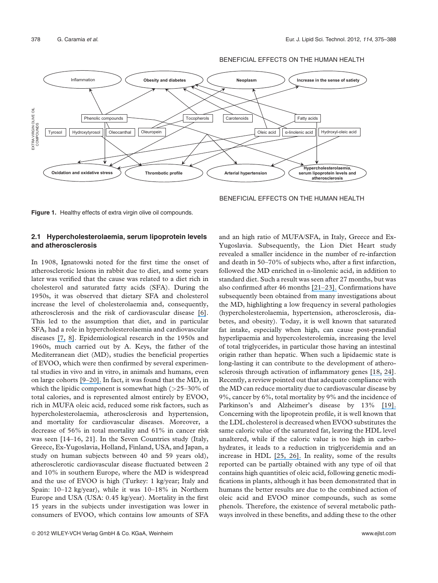

BENEFICIAL EFFECTS ON THE HUMAN HEALTH

BENEFICIAL EFFECTS ON THE HUMAN HEALTH

Figure 1. Healthy effects of extra virgin olive oil compounds.

#### 2.1 Hypercholesterolaemia, serum lipoprotein levels and atherosclerosis

In 1908, Ignatowski noted for the first time the onset of atherosclerotic lesions in rabbit due to diet, and some years later was verified that the cause was related to a diet rich in cholesterol and saturated fatty acids (SFA). During the 1950s, it was observed that dietary SFA and cholesterol increase the level of cholesterolaemia and, consequently, atherosclerosis and the risk of cardiovascular disease [\[6\]](https://www.researchgate.net/publication/15313767_Dietary_Protein_Cholesterol_and_Atherosclerosis_A_Review_of_the_Early_History?el=1_x_8&enrichId=rgreq-96b52518b09014af285651118ba1e45a-XXX&enrichSource=Y292ZXJQYWdlOzI2NDUyNTQwNztBUzoxMzQ3NjUzMzIxNDQxMjhAMTQwOTE0MTk2NzU3MQ==). This led to the assumption that diet, and in particular SFA, had a role in hypercholesterolaemia and cardiovascular diseases [\[7,](https://www.researchgate.net/publication/17268917_Serum_Cholesterol_Response_to_Changes_in_Dietary_Lipids?el=1_x_8&enrichId=rgreq-96b52518b09014af285651118ba1e45a-XXX&enrichSource=Y292ZXJQYWdlOzI2NDUyNTQwNztBUzoxMzQ3NjUzMzIxNDQxMjhAMTQwOTE0MTk2NzU3MQ==) [8\]](https://www.researchgate.net/publication/17724632_Coronary_heart_disease_in_seven_countries_VII_Five-year_experience_in_rural_Italy?el=1_x_8&enrichId=rgreq-96b52518b09014af285651118ba1e45a-XXX&enrichSource=Y292ZXJQYWdlOzI2NDUyNTQwNztBUzoxMzQ3NjUzMzIxNDQxMjhAMTQwOTE0MTk2NzU3MQ==). Epidemiological research in the 1950s and 1960s, much carried out by A. Keys, the father of the Mediterranean diet (MD), studies the beneficial properties of EVOO, which were then confirmed by several experimental studies in vivo and in vitro, in animals and humans, even on large cohorts [\[9–20\].](https://www.researchgate.net/publication/16460437_The_Seven_Countries_Study_2289_deaths_in_15_years?el=1_x_8&enrichId=rgreq-96b52518b09014af285651118ba1e45a-XXX&enrichSource=Y292ZXJQYWdlOzI2NDUyNTQwNztBUzoxMzQ3NjUzMzIxNDQxMjhAMTQwOTE0MTk2NzU3MQ==) In fact, it was found that the MD, in which the lipidic component is somewhat high  $(>=25-30\%$  of total calories, and is represented almost entirely by EVOO, rich in MUFA oleic acid, reduced some risk factors, such as hypercholesterolaemia, atherosclerosis and hypertension, and mortality for cardiovascular diseases. Moreover, a decrease of 56% in total mortality and 61% in cancer risk was seen [14–16, 21]. In the Seven Countries study (Italy, Greece, Ex-Yugoslavia, Holland, Finland, USA, and Japan, a study on human subjects between 40 and 59 years old), atherosclerotic cardiovascular disease fluctuated between 2 and 10% in southern Europe, where the MD is widespread and the use of EVOO is high (Turkey: 1 kg/year; Italy and Spain: 10–12 kg/year), while it was 10–18% in Northern Europe and USA (USA: 0.45 kg/year). Mortality in the first 15 years in the subjects under investigation was lower in consumers of EVOO, which contains low amounts of SFA

2012 WILEY-VCH Verlag GmbH & Co. KGaA, Weinheim www.ejlst.com

and an high ratio of MUFA/SFA, in Italy, Greece and Ex-Yugoslavia. Subsequently, the Lion Diet Heart study revealed a smaller incidence in the number of re-infarction and death in 50–70% of subjects who, after a first infarction, followed the MD enriched in  $\alpha$ -linolenic acid, in addition to standard diet. Such a result was seen after 27 months, but was also confirmed after 46 months [\[21–23\].](https://www.researchgate.net/publication/14043267_Heart_disease_risk-factor_status_and_dietary_changes_in_the_Cretan_population_over_the_past_30_y_The_Seven_Countries_Study?el=1_x_8&enrichId=rgreq-96b52518b09014af285651118ba1e45a-XXX&enrichSource=Y292ZXJQYWdlOzI2NDUyNTQwNztBUzoxMzQ3NjUzMzIxNDQxMjhAMTQwOTE0MTk2NzU3MQ==) Confirmations have subsequently been obtained from many investigations about the MD, highlighting a low frequency in several pathologies (hypercholesterolaemia, hypertension, atherosclerosis, diabetes, and obesity). Today, it is well known that saturated fat intake, especially when high, can cause post-prandial hyperlipaemia and hypercolesterolemia, increasing the level of total triglycerides, in particular those having an intestinal origin rather than hepatic. When such a lipidaemic state is long-lasting it can contribute to the development of atherosclerosis through activation of inflammatory genes [\[18,](https://www.researchgate.net/publication/6362064_Long-Term_adoption_of_a_Mediterranean_diet_is_associated_with_a_better_health_status_in_elderly_people_a_cross-sectional_survey_in_Cyprus?el=1_x_8&enrichId=rgreq-96b52518b09014af285651118ba1e45a-XXX&enrichSource=Y292ZXJQYWdlOzI2NDUyNTQwNztBUzoxMzQ3NjUzMzIxNDQxMjhAMTQwOTE0MTk2NzU3MQ==) [24\]](https://www.researchgate.net/publication/7602538_Genomic_analysis_of_the_response_of_mouse_models_to_high-fat_feeding_shows_a_major_role_of_nuclear_receptors_in_the_simultaneous_regulation_of_lipid_and_inflammatory_genes?el=1_x_8&enrichId=rgreq-96b52518b09014af285651118ba1e45a-XXX&enrichSource=Y292ZXJQYWdlOzI2NDUyNTQwNztBUzoxMzQ3NjUzMzIxNDQxMjhAMTQwOTE0MTk2NzU3MQ==). Recently, a review pointed out that adequate compliance with the MD can reduce mortality due to cardiovascular disease by 9%, cancer by 6%, total mortality by 9% and the incidence of Parkinson's and Alzheimer's disease by 13% [\[19\].](https://www.researchgate.net/publication/23251316_Adherence_to_Mediterranean_diet_and_health_status_a_meta-analysis?el=1_x_8&enrichId=rgreq-96b52518b09014af285651118ba1e45a-XXX&enrichSource=Y292ZXJQYWdlOzI2NDUyNTQwNztBUzoxMzQ3NjUzMzIxNDQxMjhAMTQwOTE0MTk2NzU3MQ==) Concerning with the lipoprotein profile, it is well known that the LDL cholesterol is decreased when EVOO substitutes the same caloric value of the saturated fat, leaving the HDL level unaltered, while if the caloric value is too high in carbohydrates, it leads to a reduction in triglyceridemia and an increase in HDL [\[25, 26\].](https://www.researchgate.net/publication/10785457_Effects_of_dietary_fatty_acids_and_carbohydrates_on_the_ratio_of_serum_total_to_HDL_cholesterol_and_on_serum_lipids_and_apolipoproteins_a_meta-analysis_of_60_controlled_trials?el=1_x_8&enrichId=rgreq-96b52518b09014af285651118ba1e45a-XXX&enrichSource=Y292ZXJQYWdlOzI2NDUyNTQwNztBUzoxMzQ3NjUzMzIxNDQxMjhAMTQwOTE0MTk2NzU3MQ==) In reality, some of the results reported can be partially obtained with any type of oil that contains high quantities of oleic acid, following genetic modifications in plants, although it has been demonstrated that in humans the better results are due to the combined action of oleic acid and EVOO minor compounds, such as some phenols. Therefore, the existence of several metabolic pathways involved in these benefits, and adding these to the other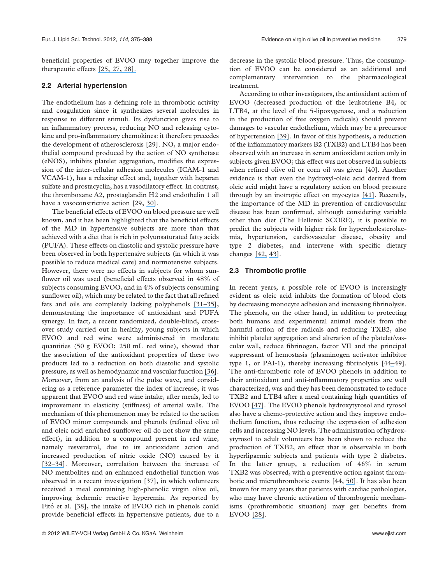beneficial properties of EVOO may together improve the therapeutic effects [\[25, 27, 28\].](https://www.researchgate.net/publication/256125612_3-Hydroxy-3-methylglutaryl_coenzyme_A_reductase_deregulation_and_age-related_hypercholesterolemia_A_new_role_for_ROS?el=1_x_8&enrichId=rgreq-96b52518b09014af285651118ba1e45a-XXX&enrichSource=Y292ZXJQYWdlOzI2NDUyNTQwNztBUzoxMzQ3NjUzMzIxNDQxMjhAMTQwOTE0MTk2NzU3MQ==)

#### 2.2 Arterial hypertension

The endothelium has a defining role in thrombotic activity and coagulation since it synthesizes several molecules in response to different stimuli. Its dysfunction gives rise to an inflammatory process, reducing NO and releasing cytokine and pro-inflammatory chemokines: it therefore precedes the development of atherosclerosis [29]. NO, a major endothelial compound produced by the action of NO synthetase (eNOS), inhibits platelet aggregation, modifies the expression of the inter-cellular adhesion molecules (ICAM-1 and VCAM-1), has a relaxing effect and, together with heparan sulfate and prostacyclin, has a vasodilatory effect. In contrast, the thromboxane A2, prostaglandin H2 and endothelin 1 all have a vasoconstrictive action [29, [30\]](https://www.researchgate.net/publication/26546260_Phenolic_Molecules_in_Virgin_Olive_Oils_a_Survey_of_Their_Sensory_Properties_Health_Effects_Antioxidant_Activity_and_Analytical_Methods_An_Overview_of_the_Last_Decade_Alessandra?el=1_x_8&enrichId=rgreq-96b52518b09014af285651118ba1e45a-XXX&enrichSource=Y292ZXJQYWdlOzI2NDUyNTQwNztBUzoxMzQ3NjUzMzIxNDQxMjhAMTQwOTE0MTk2NzU3MQ==).

The beneficial effects of EVOO on blood pressure are well known, and it has been highlighted that the beneficial effects of the MD in hypertensive subjects are more than that achieved with a diet that is rich in polyunsaturated fatty acids (PUFA). These effects on diastolic and systolic pressure have been observed in both hypertensive subjects (in which it was possible to reduce medical care) and normotensive subjects. However, there were no effects in subjects for whom sunflower oil was used (beneficial effects observed in 48% of subjects consuming EVOO, and in 4% of subjects consuming sunflower oil), which may be related to the fact that all refined fats and oils are completely lacking polyphenols [\[31](https://www.researchgate.net/publication/259080890_Plasma_lipids_erythrocyte_membrane_lipids_and_blood_pressure_of_hypertensive_women_after_ingestion_of_dietary_oleic_acid_from_two_different_sources?el=1_x_8&enrichId=rgreq-96b52518b09014af285651118ba1e45a-XXX&enrichSource=Y292ZXJQYWdlOzI2NDUyNTQwNztBUzoxMzQ3NjUzMzIxNDQxMjhAMTQwOTE0MTk2NzU3MQ==)[–](https://www.researchgate.net/publication/12579538_Olive_Oil_and_Reduced_Need_for_Antihypertensive_Medications?el=1_x_8&enrichId=rgreq-96b52518b09014af285651118ba1e45a-XXX&enrichSource=Y292ZXJQYWdlOzI2NDUyNTQwNztBUzoxMzQ3NjUzMzIxNDQxMjhAMTQwOTE0MTk2NzU3MQ==)[35\]](https://www.researchgate.net/publication/23401661_Modulation_of_Inflammation_by_Nutritional_Interventions?el=1_x_8&enrichId=rgreq-96b52518b09014af285651118ba1e45a-XXX&enrichSource=Y292ZXJQYWdlOzI2NDUyNTQwNztBUzoxMzQ3NjUzMzIxNDQxMjhAMTQwOTE0MTk2NzU3MQ==), demonstrating the importance of antioxidant and PUFA synergy. In fact, a recent randomized, double-blind, crossover study carried out in healthy, young subjects in which EVOO and red wine were administered in moderate quantities (50 g EVOO; 250 mL red wine), showed that the association of the antioxidant properties of these two products led to a reduction on both diastolic and systolic pressure, as well as hemodynamic and vascular function [\[36\]](https://www.researchgate.net/publication/5658393_Acute_combined_effects_of_olive_oil_and_wine_on_pressure_wave_reflections_Another_beneficial_influence_of_the_Mediterranean_diet_antioxidants?el=1_x_8&enrichId=rgreq-96b52518b09014af285651118ba1e45a-XXX&enrichSource=Y292ZXJQYWdlOzI2NDUyNTQwNztBUzoxMzQ3NjUzMzIxNDQxMjhAMTQwOTE0MTk2NzU3MQ==). Moreover, from an analysis of the pulse wave, and considering as a reference parameter the index of increase, it was apparent that EVOO and red wine intake, after meals, led to improvement in elasticity (stiffness) of arterial walls. The mechanism of this phenomenon may be related to the action of EVOO minor compounds and phenols (refined olive oil and oleic acid enriched sunflower oil do not show the same effect), in addition to a compound present in red wine, namely resveratrol, due to its antioxidant action and increased production of nitric oxide (NO) caused by it [\[32](https://www.researchgate.net/publication/12579538_Olive_Oil_and_Reduced_Need_for_Antihypertensive_Medications?el=1_x_8&enrichId=rgreq-96b52518b09014af285651118ba1e45a-XXX&enrichSource=Y292ZXJQYWdlOzI2NDUyNTQwNztBUzoxMzQ3NjUzMzIxNDQxMjhAMTQwOTE0MTk2NzU3MQ==)[–](https://www.researchgate.net/publication/288252950_Effect_of_a_Mediterranean-style_diet_on_endothelial_dysfunction_and_markers_of_vascular_inflammation_in_the_metabolic_syndrome_A_randomized_trial?el=1_x_8&enrichId=rgreq-96b52518b09014af285651118ba1e45a-XXX&enrichSource=Y292ZXJQYWdlOzI2NDUyNTQwNztBUzoxMzQ3NjUzMzIxNDQxMjhAMTQwOTE0MTk2NzU3MQ==)[34\]](https://www.researchgate.net/publication/8267147_Psaltopoulou_T_Naska_A_Orfanos_P_Trichopoulos_D_Mountokalakis_T_Trichopoulou_A_Olive_oil_the_Mediterranean_diet_and_arterial_blood_pressure_the_Greek_European_Prospective_Investigation_into_Cancer_and?el=1_x_8&enrichId=rgreq-96b52518b09014af285651118ba1e45a-XXX&enrichSource=Y292ZXJQYWdlOzI2NDUyNTQwNztBUzoxMzQ3NjUzMzIxNDQxMjhAMTQwOTE0MTk2NzU3MQ==). Moreover, correlation between the increase of NO metabolites and an enhanced endothelial function was observed in a recent investigation [37], in which volunteers received a meal containing high-phenolic virgin olive oil, improving ischemic reactive hyperemia. As reported by Fitó et al. [38], the intake of EVOO rich in phenols could provide beneficial effects in hypertensive patients, due to a

decrease in the systolic blood pressure. Thus, the consumption of EVOO can be considered as an additional and complementary intervention to the pharmacological treatment.

According to other investigators, the antioxidant action of EVOO (decreased production of the leukotriene B4, or LTB4, at the level of the 5-lipoxygenase, and a reduction in the production of free oxygen radicals) should prevent damages to vascular endothelium, which may be a precursor of hypertension [\[39\]](https://www.researchgate.net/publication/7208593_Monounsaturated_fatty_acids_olive_oil_and_blood_pressure_Epidemiological_clinical_and_experimental_evidence?el=1_x_8&enrichId=rgreq-96b52518b09014af285651118ba1e45a-XXX&enrichSource=Y292ZXJQYWdlOzI2NDUyNTQwNztBUzoxMzQ3NjUzMzIxNDQxMjhAMTQwOTE0MTk2NzU3MQ==). In favor of this hypothesis, a reduction of the inflammatory markers B2 (TXB2) and LTB4 has been observed with an increase in serum antioxidant action only in subjects given EVOO; this effect was not observed in subjects when refined olive oil or corn oil was given [40]. Another evidence is that even the hydroxyl-oleic acid derived from oleic acid might have a regulatory action on blood pressure through by an inotropic effect on myocytes [\[41\]](https://www.researchgate.net/publication/5554830_2-Hydroxyoleic_acid_affects_cardiomyocyte_Ca2i_transient_and_contractility_in_a_region-dependent_manner?el=1_x_8&enrichId=rgreq-96b52518b09014af285651118ba1e45a-XXX&enrichSource=Y292ZXJQYWdlOzI2NDUyNTQwNztBUzoxMzQ3NjUzMzIxNDQxMjhAMTQwOTE0MTk2NzU3MQ==). Recently, the importance of the MD in prevention of cardiovascular disease has been confirmed, although considering variable other than diet (The Hellenic SCORE), it is possible to predict the subjects with higher risk for hypercholesterolaemia, hypertension, cardiovascular disease, obesity and type 2 diabetes, and intervene with specific dietary changes [\[42,](https://www.researchgate.net/publication/6457082_Adherence_to_the_Mediterranean_food_pattern_predicts_the_prevalence_of_hypertension_hypercholesterolemia_diabetes_and_obesity_among_healthy_adults_the_accuracy_of_the_MedDietScore?el=1_x_8&enrichId=rgreq-96b52518b09014af285651118ba1e45a-XXX&enrichSource=Y292ZXJQYWdlOzI2NDUyNTQwNztBUzoxMzQ3NjUzMzIxNDQxMjhAMTQwOTE0MTk2NzU3MQ==) [43\]](https://www.researchgate.net/publication/23464593_Inclusion_of_Dietary_Evaluation_in_Cardiovascular_Disease_Risk_Prediction_Models_Increases_Accuracy_and_Reduces_Bias_of_the_Estimations?el=1_x_8&enrichId=rgreq-96b52518b09014af285651118ba1e45a-XXX&enrichSource=Y292ZXJQYWdlOzI2NDUyNTQwNztBUzoxMzQ3NjUzMzIxNDQxMjhAMTQwOTE0MTk2NzU3MQ==).

#### 2.3 Thrombotic profile

In recent years, a possible role of EVOO is increasingly evident as oleic acid inhibits the formation of blood clots by decreasing monocyte adhesion and increasing fibrinolysis. The phenols, on the other hand, in addition to protecting both humans and experimental animal models from the harmful action of free radicals and reducing TXB2, also inhibit platelet aggregation and alteration of the platelet/vascular wall, reduce fibrinogen, factor VII and the principal suppressant of hemostasis (plasminogen activator inhibitor type 1, or PAI-1), thereby increasing fibrinolysis [4[4–](https://www.researchgate.net/publication/8632739_Oxidative_Stress_Activates_the_Plasminogen_Activator_Inhibitor_Type_1_PAI-1_Promoter_through_an_AP-1_Response_Element_and_Cooperates_with_Insulin_for_Additive_Effects_on_PAI-1_Transcription?el=1_x_8&enrichId=rgreq-96b52518b09014af285651118ba1e45a-XXX&enrichSource=Y292ZXJQYWdlOzI2NDUyNTQwNztBUzoxMzQ3NjUzMzIxNDQxMjhAMTQwOTE0MTk2NzU3MQ==)49]. The anti-thrombotic role of EVOO phenols in addition to their antioxidant and anti-inflammatory properties are well characterized, was and they has been demonstrated to reduce TXB2 and LTB4 after a meal containing high quantities of EVOO [\[47\]](https://www.researchgate.net/publication/232446148_Antioxidants_in_the_Mediterranean_Diets_An_Update?el=1_x_8&enrichId=rgreq-96b52518b09014af285651118ba1e45a-XXX&enrichSource=Y292ZXJQYWdlOzI2NDUyNTQwNztBUzoxMzQ3NjUzMzIxNDQxMjhAMTQwOTE0MTk2NzU3MQ==). The EVOO phenols hydroxytyrosol and tyrosol also have a chemo-protective action and they improve endothelium function, thus reducing the expression of adhesion cells and increasing NO levels. The administration of hydroxytyrosol to adult volunteers has been shown to reduce the production of TXB2, an effect that is observable in both hyperlipaemic subjects and patients with type 2 diabetes. In the latter group, a reduction of 46% in serum TXB2 was observed, with a preventive action against thrombotic and microthrombotic events [44, [50\]](https://www.researchgate.net/publication/7936810_A_thromboxane_effect_of_a_hydroxytyrosol-rich_olive_oil_wastewater_extract_in_patients_with_uncomplicated_type_I_diabetes?el=1_x_8&enrichId=rgreq-96b52518b09014af285651118ba1e45a-XXX&enrichSource=Y292ZXJQYWdlOzI2NDUyNTQwNztBUzoxMzQ3NjUzMzIxNDQxMjhAMTQwOTE0MTk2NzU3MQ==). It has also been known for many years that patients with cardiac pathologies, who may have chronic activation of thrombogenic mechanisms (prothrombotic situation) may get benefits from EVOO [\[28\]](https://www.researchgate.net/publication/7750769_3-Hydroxy-3-methylglutaryl_coenzyme_A_reductase_deregulation_and_age-related_hypercholesterolemia_A_new_role_for_ROS?el=1_x_8&enrichId=rgreq-96b52518b09014af285651118ba1e45a-XXX&enrichSource=Y292ZXJQYWdlOzI2NDUyNTQwNztBUzoxMzQ3NjUzMzIxNDQxMjhAMTQwOTE0MTk2NzU3MQ==).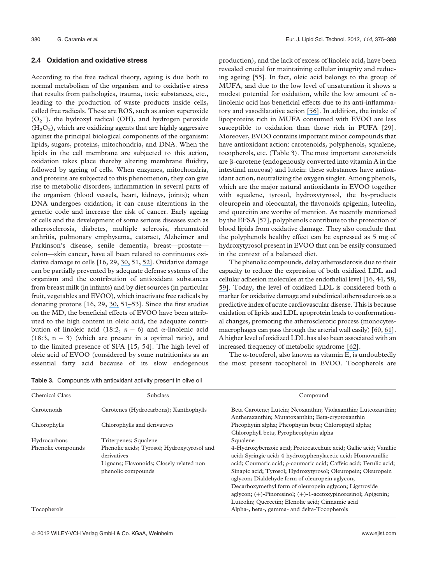#### 2.4 Oxidation and oxidative stress

According to the free radical theory, ageing is due both to normal metabolism of the organism and to oxidative stress that results from pathologies, trauma, toxic substances, etc., leading to the production of waste products inside cells, called free radicals. These are ROS, such as anion superoxide  $(O_2^-)$ , the hydroxyl radical (OH), and hydrogen peroxide  $(H<sub>2</sub>O<sub>2</sub>)$ , which are oxidizing agents that are highly aggressive against the principal biological components of the organism: lipids, sugars, proteins, mitochondria, and DNA. When the lipids in the cell membrane are subjected to this action, oxidation takes place thereby altering membrane fluidity, followed by ageing of cells. When enzymes, mitochondria, and proteins are subjected to this phenomenon, they can give rise to metabolic disorders, inflammation in several parts of the organism (blood vessels, heart, kidneys, joints); when DNA undergoes oxidation, it can cause alterations in the genetic code and increase the risk of cancer. Early ageing of cells and the development of some serious diseases such as atherosclerosis, diabetes, multiple sclerosis, rheumatoid arthritis, pulmonary emphysema, cataract, Alzheimer and Parkinson's disease, senile dementia, breast—prostate colon—skin cancer, have all been related to continuous oxidative damage to cells [16, 29, [30,](https://www.researchgate.net/publication/26546260_Phenolic_Molecules_in_Virgin_Olive_Oils_a_Survey_of_Their_Sensory_Properties_Health_Effects_Antioxidant_Activity_and_Analytical_Methods_An_Overview_of_the_Last_Decade_Alessandra?el=1_x_8&enrichId=rgreq-96b52518b09014af285651118ba1e45a-XXX&enrichSource=Y292ZXJQYWdlOzI2NDUyNTQwNztBUzoxMzQ3NjUzMzIxNDQxMjhAMTQwOTE0MTk2NzU3MQ==) 51, [52\]](https://www.researchgate.net/publication/8232939_Mediterranean_diet_and_cognitive_decline?el=1_x_8&enrichId=rgreq-96b52518b09014af285651118ba1e45a-XXX&enrichSource=Y292ZXJQYWdlOzI2NDUyNTQwNztBUzoxMzQ3NjUzMzIxNDQxMjhAMTQwOTE0MTk2NzU3MQ==). Oxidative damage can be partially prevented by adequate defense systems of the organism and the contribution of antioxidant substances from breast milk (in infants) and by diet sources (in particular fruit, vegetables and EVOO), which inactivate free radicals by donating protons [16, 29, [30,](https://www.researchgate.net/publication/26546260_Phenolic_Molecules_in_Virgin_Olive_Oils_a_Survey_of_Their_Sensory_Properties_Health_Effects_Antioxidant_Activity_and_Analytical_Methods_An_Overview_of_the_Last_Decade_Alessandra?el=1_x_8&enrichId=rgreq-96b52518b09014af285651118ba1e45a-XXX&enrichSource=Y292ZXJQYWdlOzI2NDUyNTQwNztBUzoxMzQ3NjUzMzIxNDQxMjhAMTQwOTE0MTk2NzU3MQ==) 5[1–](https://www.researchgate.net/publication/8232939_Mediterranean_diet_and_cognitive_decline?el=1_x_8&enrichId=rgreq-96b52518b09014af285651118ba1e45a-XXX&enrichSource=Y292ZXJQYWdlOzI2NDUyNTQwNztBUzoxMzQ3NjUzMzIxNDQxMjhAMTQwOTE0MTk2NzU3MQ==)53]. Since the first studies on the MD, the beneficial effects of EVOO have been attributed to the high content in oleic acid, the adequate contribution of linoleic acid (18:2,  $n - 6$ ) and  $\alpha$ -linolenic acid  $(18:3, n - 3)$  (which are present in a optimal ratio), and to the limited presence of SFA [15, 54]. The high level of oleic acid of EVOO (considered by some nutritionists as an essential fatty acid because of its slow endogenous

Table 3. Compounds with antioxidant activity present in olive oil

production), and the lack of excess of linoleic acid, have been revealed crucial for maintaining cellular integrity and reducing ageing [55]. In fact, oleic acid belongs to the group of MUFA, and due to the low level of unsaturation it shows a modest potential for oxidation, while the low amount of  $\alpha$ linolenic acid has beneficial effects due to its anti-inflammatory and vasodilatative action [\[56\]](https://www.researchgate.net/publication/12966407_High_monounsaturated_fatty_acids_intake_protects_against_age-related_cognitive_decline?el=1_x_8&enrichId=rgreq-96b52518b09014af285651118ba1e45a-XXX&enrichSource=Y292ZXJQYWdlOzI2NDUyNTQwNztBUzoxMzQ3NjUzMzIxNDQxMjhAMTQwOTE0MTk2NzU3MQ==). In addition, the intake of lipoproteins rich in MUFA consumed with EVOO are less susceptible to oxidation than those rich in PUFA [29]. Moreover, EVOO contains important minor compounds that have antioxidant action: carotenoids, polyphenols, squalene, tocopherols, etc. (Table 3). The most important carotenoids are  $\beta$ -carotene (endogenously converted into vitamin A in the intestinal mucosa) and lutein: these substances have antioxidant action, neutralizing the oxygen singlet. Among phenols, which are the major natural antioxidants in EVOO together with squalene, tyrosol, hydroxytyrosol, the by-products oleuropein and oleocantal, the flavonoids apigenin, luteolin, and quercitin are worthy of mention. As recently mentioned by the EFSA [57], polyphenols contribute to the protection of blood lipids from oxidative damage. They also conclude that the polyphenols healthy effect can be expressed as 5 mg of hydroxytyrosol present in EVOO that can be easily consumed in the context of a balanced diet.

The phenolic compounds, delay atherosclerosis due to their capacity to reduce the expression of both oxidized LDL and cellular adhesion molecules at the endothelial level [16, 44, 58, [59\]](https://www.researchgate.net/publication/23674268_Chemistry_and_Health_of_Olive_Oil_Phenolics?el=1_x_8&enrichId=rgreq-96b52518b09014af285651118ba1e45a-XXX&enrichSource=Y292ZXJQYWdlOzI2NDUyNTQwNztBUzoxMzQ3NjUzMzIxNDQxMjhAMTQwOTE0MTk2NzU3MQ==). Today, the level of oxidized LDL is considered both a marker for oxidative damage and subclinical atherosclerosis as a predictive index of acute cardiovascular disease. This is because oxidation of lipids and LDL apoprotein leads to conformational changes, promoting the atherosclerotic process (monocytesmacrophages can pass through the arterial wall easily) [60, [61\]](https://www.researchgate.net/publication/5963098_Olive_oil_and_oxidative_stress?el=1_x_8&enrichId=rgreq-96b52518b09014af285651118ba1e45a-XXX&enrichSource=Y292ZXJQYWdlOzI2NDUyNTQwNztBUzoxMzQ3NjUzMzIxNDQxMjhAMTQwOTE0MTk2NzU3MQ==). A higher level of oxidized LDL has also been associated with an increased frequency of metabolic syndrome [\[62\]](https://www.researchgate.net/publication/23139514_Relations_between_metabolic_syndrome_oxidative_stress_and_inflammation_and_cardiovascular_disease?el=1_x_8&enrichId=rgreq-96b52518b09014af285651118ba1e45a-XXX&enrichSource=Y292ZXJQYWdlOzI2NDUyNTQwNztBUzoxMzQ3NjUzMzIxNDQxMjhAMTQwOTE0MTk2NzU3MQ==).

The  $\alpha$ -tocoferol, also known as vitamin E, is undoubtedly the most present tocopherol in EVOO. Tocopherols are

| <b>Chemical Class</b> | <b>Subclass</b>                                                                                                              | Compound                                                                                                                                                                                                                                                                                                                                                                                                                                                                                                           |
|-----------------------|------------------------------------------------------------------------------------------------------------------------------|--------------------------------------------------------------------------------------------------------------------------------------------------------------------------------------------------------------------------------------------------------------------------------------------------------------------------------------------------------------------------------------------------------------------------------------------------------------------------------------------------------------------|
| Carotenoids           | Carotenes (Hydrocarbons); Xanthophylls                                                                                       | Beta Carotene; Lutein; Neoxanthin; Violaxanthin; Luteoxanthin;<br>Antheraxanthin; Mutatoxanthin; Beta-cryptoxanthin                                                                                                                                                                                                                                                                                                                                                                                                |
| Chlorophylls          | Chlorophylls and derivatives                                                                                                 | Pheophytin alpha; Pheophytin beta; Chlorophyll alpha;<br>Chlorophyll beta; Pyropheophytin alpha                                                                                                                                                                                                                                                                                                                                                                                                                    |
| Hydrocarbons          | Triterpenes; Squalene                                                                                                        | Squalene                                                                                                                                                                                                                                                                                                                                                                                                                                                                                                           |
| Phenolic compounds    | Phenolic acids; Tyrosol; Hydroxytyrosol and<br>derivatives<br>Lignans; Flavonoids; Closely related non<br>phenolic compounds | 4-Hydroxybenzoic acid; Protocatechuic acid; Gallic acid; Vanillic<br>acid; Syringic acid; 4-hydroxyphenylacetic acid; Homovanillic<br>acid; Coumaric acid; p-coumaric acid; Caffeic acid; Ferulic acid;<br>Sinapic acid; Tyrosol; Hydroxytyrosol; Oleuropein; Oleuropein<br>aglycon; Dialdehyde form of oleuropein aglycon;<br>Decarboxymethyl form of oleuropein aglycon; Ligstroside<br>aglycon; $(+)$ -Pinoresinol; $(+)$ -1-acetoxypinoresinol; Apigenin;<br>Luteolin; Quercetin; Elenolic acid; Cinnamic acid |
| Tocopherols           |                                                                                                                              | Alpha-, beta-, gamma- and delta-Tocopherols                                                                                                                                                                                                                                                                                                                                                                                                                                                                        |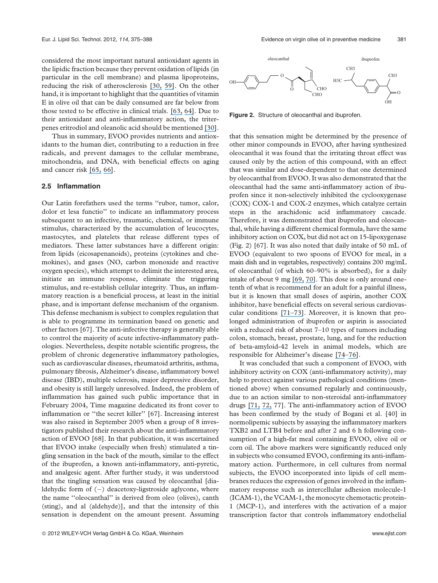considered the most important natural antioxidant agents in the lipidic fraction because they prevent oxidation of lipids (in particular in the cell membrane) and plasma lipoproteins, reducing the risk of atherosclerosis [\[30,](https://www.researchgate.net/publication/26546260_Phenolic_Molecules_in_Virgin_Olive_Oils_a_Survey_of_Their_Sensory_Properties_Health_Effects_Antioxidant_Activity_and_Analytical_Methods_An_Overview_of_the_Last_Decade_Alessandra?el=1_x_8&enrichId=rgreq-96b52518b09014af285651118ba1e45a-XXX&enrichSource=Y292ZXJQYWdlOzI2NDUyNTQwNztBUzoxMzQ3NjUzMzIxNDQxMjhAMTQwOTE0MTk2NzU3MQ==) [59\]](https://www.researchgate.net/publication/23674268_Chemistry_and_Health_of_Olive_Oil_Phenolics?el=1_x_8&enrichId=rgreq-96b52518b09014af285651118ba1e45a-XXX&enrichSource=Y292ZXJQYWdlOzI2NDUyNTQwNztBUzoxMzQ3NjUzMzIxNDQxMjhAMTQwOTE0MTk2NzU3MQ==). On the other hand, it is important to highlight that the quantities of vitamin E in olive oil that can be daily consumed are far below from those tested to be effective in clinical trials. [\[63,](https://www.researchgate.net/publication/15449017_The_Effect_of_-Tocopherol_Supplementation_on_LDL_Oxidation_A_Dose-Response_Study?el=1_x_8&enrichId=rgreq-96b52518b09014af285651118ba1e45a-XXX&enrichSource=Y292ZXJQYWdlOzI2NDUyNTQwNztBUzoxMzQ3NjUzMzIxNDQxMjhAMTQwOTE0MTk2NzU3MQ==) [64\]](https://www.researchgate.net/publication/21579847_Supplementation_with_vitamin_E_but_not_b-carotene_in_vivo_protects_low_density_lipoprotein_from_lipid_peroxidation_in_vitro_Effect_of_cigarette_smoking?el=1_x_8&enrichId=rgreq-96b52518b09014af285651118ba1e45a-XXX&enrichSource=Y292ZXJQYWdlOzI2NDUyNTQwNztBUzoxMzQ3NjUzMzIxNDQxMjhAMTQwOTE0MTk2NzU3MQ==). Due to their antioxidant and anti-inflammatory action, the triterpenes eritrodiol and oleanolic acid should be mentioned [\[30\]](https://www.researchgate.net/publication/26546260_Phenolic_Molecules_in_Virgin_Olive_Oils_a_Survey_of_Their_Sensory_Properties_Health_Effects_Antioxidant_Activity_and_Analytical_Methods_An_Overview_of_the_Last_Decade_Alessandra?el=1_x_8&enrichId=rgreq-96b52518b09014af285651118ba1e45a-XXX&enrichSource=Y292ZXJQYWdlOzI2NDUyNTQwNztBUzoxMzQ3NjUzMzIxNDQxMjhAMTQwOTE0MTk2NzU3MQ==).

Thus in summary, EVOO provides nutrients and antioxidants to the human diet, contributing to a reduction in free radicals, and prevent damages to the cellular membrane, mitochondria, and DNA, with beneficial effects on aging and cancer risk [\[65,](https://www.researchgate.net/publication/288467937_Diet_and_cancer_today_An_update?el=1_x_8&enrichId=rgreq-96b52518b09014af285651118ba1e45a-XXX&enrichSource=Y292ZXJQYWdlOzI2NDUyNTQwNztBUzoxMzQ3NjUzMzIxNDQxMjhAMTQwOTE0MTk2NzU3MQ==) [66\]](https://www.researchgate.net/publication/23256584_Maslinic_acid_a_natural_triterpene_from_Olea_europaea_L_induces_apoptosis_in_HT29_human_colon-cancer_cells_via_the_mitochondrial_apoptotic_pathway?el=1_x_8&enrichId=rgreq-96b52518b09014af285651118ba1e45a-XXX&enrichSource=Y292ZXJQYWdlOzI2NDUyNTQwNztBUzoxMzQ3NjUzMzIxNDQxMjhAMTQwOTE0MTk2NzU3MQ==).

#### 2.5 Inflammation

Our Latin forefathers used the terms ''rubor, tumor, calor, dolor et lesa functio'' to indicate an inflammatory process subsequent to an infective, traumatic, chemical, or immune stimulus, characterized by the accumulation of leucocytes, mastocytes, and platelets that release different types of mediators. These latter substances have a different origin: from lipids (eicosapenanoids), proteins (cytokines and chemokines), and gases (NO, carbon monoxide and reactive oxygen species), which attempt to delimit the interested area, initiate an immune response, eliminate the triggering stimulus, and re-establish cellular integrity. Thus, an inflammatory reaction is a beneficial process, at least in the initial phase, and is important defense mechanism of the organism. This defense mechanism is subject to complex regulation that is able to programme its termination based on genetic and other factors [67]. The anti-infective therapy is generally able to control the majority of acute infective-inflammatory pathologies. Nevertheless, despite notable scientific progress, the problem of chronic degenerative inflammatory pathologies, such as cardiovascular diseases, rheumatoid arthritis, asthma, pulmonary fibrosis, Alzheimer's disease, inflammatory bowel disease (IBD), multiple sclerosis, major depressive disorder, and obesity is still largely unresolved. Indeed, the problem of inflammation has gained such public importance that in February 2004, Time magazine dedicated its front cover to inflammation or ''the secret killer'' [67]. Increasing interest was also raised in September 2005 when a group of 8 investigators published their research about the anti-inflammatory action of EVOO [68]. In that publication, it was ascertained that EVOO intake (especially when fresh) stimulated a tingling sensation in the back of the mouth, similar to the effect of the ibuprofen, a known anti-inflammatory, anti-pyretic, and analgesic agent. After further study, it was understood that the tingling sensation was caused by oleocanthal [dialdehydic form of  $(-)$  deacetoxy-ligstroside aglycone, where the name ''oleocanthal'' is derived from oleo (olives), canth (sting), and al (aldehyde)], and that the intensity of this sensation is dependent on the amount present. Assuming



Figure 2. Structure of oleocanthal and ibuprofen.

that this sensation might be determined by the presence of other minor compounds in EVOO, after having synthesized oleocanthal it was found that the irritating throat effect was caused only by the action of this compound, with an effect that was similar and dose-dependent to that one determined by oleocanthal from EVOO. It was also demonstrated that the oleocanthal had the same anti-inflammatory action of ibuprofen since it non-selectively inhibited the cyclooxygenase (COX) COX-1 and COX-2 enzymes, which catalyze certain steps in the arachidonic acid inflammatory cascade. Therefore, it was demonstrated that ibuprofen and oleocanthal, while having a different chemical formula, have the same inhibitory action on COX, but did not act on 15-lipoxygenase (Fig. 2) [67]. It was also noted that daily intake of 50 mL of EVOO (equivalent to two spoons of EVOO for meal, in a main dish and in vegetables, respectively) contains 200 mg/mL of oleocanthal (of which 60–90% is absorbed), for a daily intake of about 9 mg [\[69,](https://www.researchgate.net/publication/10931811_Major_phenolic_compounds_in_olive_oil_Metabolism_and_health_effects?el=1_x_8&enrichId=rgreq-96b52518b09014af285651118ba1e45a-XXX&enrichSource=Y292ZXJQYWdlOzI2NDUyNTQwNztBUzoxMzQ3NjUzMzIxNDQxMjhAMTQwOTE0MTk2NzU3MQ==) [70\]](https://www.researchgate.net/publication/10743969_Hydroxytyrosol_disposition_in_human?el=1_x_8&enrichId=rgreq-96b52518b09014af285651118ba1e45a-XXX&enrichSource=Y292ZXJQYWdlOzI2NDUyNTQwNztBUzoxMzQ3NjUzMzIxNDQxMjhAMTQwOTE0MTk2NzU3MQ==). This dose is only around onetenth of what is recommend for an adult for a painful illness, but it is known that small doses of aspirin, another COX inhibitor, have beneficial effects on several serious cardiovascular conditions [\[71](https://www.researchgate.net/publication/13194437_Update_on_aspirin_in_the_treatment_and_prevention_of_cardiovascular_disease?el=1_x_8&enrichId=rgreq-96b52518b09014af285651118ba1e45a-XXX&enrichSource=Y292ZXJQYWdlOzI2NDUyNTQwNztBUzoxMzQ3NjUzMzIxNDQxMjhAMTQwOTE0MTk2NzU3MQ==)[–](https://www.researchgate.net/publication/16760011_Pathophysiological_mechanisms_of_sudden_death_induced_by_platelet_activating_factor?el=1_x_8&enrichId=rgreq-96b52518b09014af285651118ba1e45a-XXX&enrichSource=Y292ZXJQYWdlOzI2NDUyNTQwNztBUzoxMzQ3NjUzMzIxNDQxMjhAMTQwOTE0MTk2NzU3MQ==)[73\]](https://www.researchgate.net/publication/5657499_Population_Pharmacodynamic_Modelling_of_Aspirin-_and_Ibuprofen-Induced_Inhibition_of_Platelet_Aggregation_in_Healthy_Subjects?el=1_x_8&enrichId=rgreq-96b52518b09014af285651118ba1e45a-XXX&enrichSource=Y292ZXJQYWdlOzI2NDUyNTQwNztBUzoxMzQ3NjUzMzIxNDQxMjhAMTQwOTE0MTk2NzU3MQ==). Moreover, it is known that prolonged administration of ibuprofen or aspirin is associated with a reduced risk of about 7–10 types of tumors including colon, stomach, breast, prostate, lung, and for the reduction of beta-amyloid-42 levels in animal models, which are responsible for Alzheimer's disease [\[74](https://www.researchgate.net/publication/285069559_Reduction_in_cancer_risk_by_selective_and_nonselective_cyclooxygenase-2_COX-2_inhibitors?el=1_x_8&enrichId=rgreq-96b52518b09014af285651118ba1e45a-XXX&enrichSource=Y292ZXJQYWdlOzI2NDUyNTQwNztBUzoxMzQ3NjUzMzIxNDQxMjhAMTQwOTE0MTk2NzU3MQ==)[–76\]](https://www.researchgate.net/publication/5630747_Therapeutic_Potential_of_g-Secretase_Inhibitors_and_Modulators?el=1_x_8&enrichId=rgreq-96b52518b09014af285651118ba1e45a-XXX&enrichSource=Y292ZXJQYWdlOzI2NDUyNTQwNztBUzoxMzQ3NjUzMzIxNDQxMjhAMTQwOTE0MTk2NzU3MQ==).

It was concluded that such a component of EVOO, with inhibitory activity on COX (anti-inflammatory activity), may help to protect against various pathological conditions (mentioned above) when consumed regularly and continuously, due to an action similar to non-steroidal anti-inflammatory drugs [\[71,](https://www.researchgate.net/publication/13194437_Update_on_aspirin_in_the_treatment_and_prevention_of_cardiovascular_disease?el=1_x_8&enrichId=rgreq-96b52518b09014af285651118ba1e45a-XXX&enrichSource=Y292ZXJQYWdlOzI2NDUyNTQwNztBUzoxMzQ3NjUzMzIxNDQxMjhAMTQwOTE0MTk2NzU3MQ==) [72,](https://www.researchgate.net/publication/16760011_Pathophysiological_mechanisms_of_sudden_death_induced_by_platelet_activating_factor?el=1_x_8&enrichId=rgreq-96b52518b09014af285651118ba1e45a-XXX&enrichSource=Y292ZXJQYWdlOzI2NDUyNTQwNztBUzoxMzQ3NjUzMzIxNDQxMjhAMTQwOTE0MTk2NzU3MQ==) 77]. The anti-inflammatory action of EVOO has been confirmed by the study of Bogani et al. [40] in normolipemic subjects by assaying the inflammatory markers TXB2 and LTB4 before and after 2 and 6 h following consumption of a high-fat meal containing EVOO, olive oil or corn oil. The above markers were significantly reduced only in subjects who consumed EVOO, confirming its anti-inflammatory action. Furthermore, in cell cultures from normal subjects, the EVOO incorporated into lipids of cell membranes reduces the expression of genes involved in the inflammatory response such as intercellular adhesion molecule-1 (ICAM-1), the VCAM-1, the monocyte chemotactic protein-1 (MCP-1), and interferes with the activation of a major transcription factor that controls inflammatory endothelial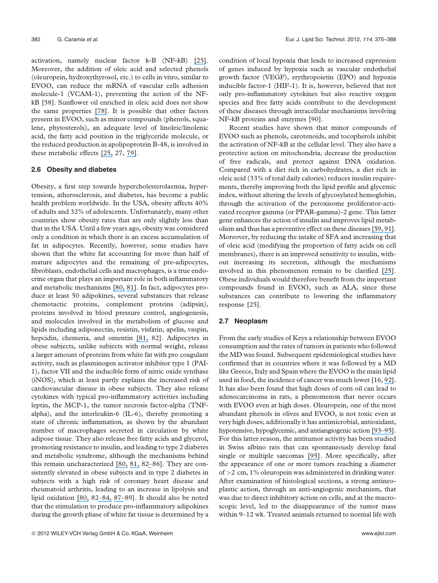activation, namely nuclear factor k-B (NF-kB) [\[25\]](https://www.researchgate.net/publication/5963095_The_influence_of_olive_oil_on_human_health_Not_a_question_of_fat_alone?el=1_x_8&enrichId=rgreq-96b52518b09014af285651118ba1e45a-XXX&enrichSource=Y292ZXJQYWdlOzI2NDUyNTQwNztBUzoxMzQ3NjUzMzIxNDQxMjhAMTQwOTE0MTk2NzU3MQ==). Moreover, the addition of oleic acid and selected phenols (oleuropein, hydroxythyrosol, etc.) to cells in vitro, similar to EVOO, can reduce the mRNA of vascular cells adhesion molecule-1 (VCAM-1), preventing the action of the NFkB [58]. Sunflower oil enriched in oleic acid does not show the same properties [\[78\]](https://www.researchgate.net/publication/12122273_The_Metabolic_Availability_of_Dietary_Triacylglycerols_from_Two_High_Oleic_Oils_during_the_Postprandial_Period_Does_Not_Depend_on_the_Amount_of_Oleic_Acid_Ingested_by_Healthy_Men?el=1_x_8&enrichId=rgreq-96b52518b09014af285651118ba1e45a-XXX&enrichSource=Y292ZXJQYWdlOzI2NDUyNTQwNztBUzoxMzQ3NjUzMzIxNDQxMjhAMTQwOTE0MTk2NzU3MQ==). It is possible that other factors present in EVOO, such as minor compounds (phenols, squalene, phytosterols), an adequate level of linoleic/linolenic acid, the fatty acid position in the triglyceride molecule, or the reduced production in apolipoprotein B-48, is involved in these metabolic effects [\[25,](https://www.researchgate.net/publication/5963095_The_influence_of_olive_oil_on_human_health_Not_a_question_of_fat_alone?el=1_x_8&enrichId=rgreq-96b52518b09014af285651118ba1e45a-XXX&enrichSource=Y292ZXJQYWdlOzI2NDUyNTQwNztBUzoxMzQ3NjUzMzIxNDQxMjhAMTQwOTE0MTk2NzU3MQ==) 27, [79\]](https://www.researchgate.net/publication/229629820_Squalene_A_natural_antioxidant?el=1_x_8&enrichId=rgreq-96b52518b09014af285651118ba1e45a-XXX&enrichSource=Y292ZXJQYWdlOzI2NDUyNTQwNztBUzoxMzQ3NjUzMzIxNDQxMjhAMTQwOTE0MTk2NzU3MQ==).

#### 2.6 Obesity and diabetes

Obesity, a first step towards hypercholesterolaemia, hypertension, atherosclerosis, and diabetes, has become a public health problem worldwide. In the USA, obesity affects 40% of adults and 32% of adolescents. Unfortunately, many other countries show obesity rates that are only slightly less than that in the USA. Until a few years ago, obesity was considered only a condition in which there is an excess accumulation of fat in adipocytes. Recently, however, some studies have shown that the white fat accounting for more than half of mature adipocytes and the remaining of pre-adipocytes, fibroblasts, endothelial cells and macrophages, is a true endocrine organ that plays an important role in both inflammatory and metabolic mechanisms [\[80,](https://www.researchgate.net/publication/5942161_Inflammation_obesity_and_comorbidities_The_role_of_diet?el=1_x_8&enrichId=rgreq-96b52518b09014af285651118ba1e45a-XXX&enrichSource=Y292ZXJQYWdlOzI2NDUyNTQwNztBUzoxMzQ3NjUzMzIxNDQxMjhAMTQwOTE0MTk2NzU3MQ==) [81\]](https://www.researchgate.net/publication/23567810_Adipose_Tissue_The_New_Endocrine_Organ_A_Review_Article?el=1_x_8&enrichId=rgreq-96b52518b09014af285651118ba1e45a-XXX&enrichSource=Y292ZXJQYWdlOzI2NDUyNTQwNztBUzoxMzQ3NjUzMzIxNDQxMjhAMTQwOTE0MTk2NzU3MQ==). In fact, adipocytes produce at least 50 adipokines, several substances that release chemotactic proteins, complement proteins (adipsin), proteins involved in blood pressure control, angiogenesis, and molecules involved in the metabolism of glucose and lipids including adiponectin, resistin, visfatin, apelin, vaspin, hepcidin, chemeria, and omentin [\[81,](https://www.researchgate.net/publication/23567810_Adipose_Tissue_The_New_Endocrine_Organ_A_Review_Article?el=1_x_8&enrichId=rgreq-96b52518b09014af285651118ba1e45a-XXX&enrichSource=Y292ZXJQYWdlOzI2NDUyNTQwNztBUzoxMzQ3NjUzMzIxNDQxMjhAMTQwOTE0MTk2NzU3MQ==) 82]. Adipocytes in obese subjects, unlike subjects with normal weight, release a larger amount of proteins from white fat with pro coagulant activity, such as plasminogen activator inhibitor type 1 (PAI-1), factor VII and the inducible form of nitric oxide synthase (iNOS), which at least partly explains the increased risk of cardiovascular disease in obese subjects. They also release cytokines with typical pro-inflammatory activities including leptin, the MCP-1, the tumor necrosis factor-alpha (TNFalpha), and the interleukin-6 (IL-6), thereby promoting a state of chronic inflammation, as shown by the abundant number of macrophages secreted in circulation by white adipose tissue. They also release free fatty acids and glycerol, promoting resistance to insulin, and leading to type 2 diabetes and metabolic syndrome, although the mechanisms behind this remain uncharacterized [\[80,](https://www.researchgate.net/publication/5942161_Inflammation_obesity_and_comorbidities_The_role_of_diet?el=1_x_8&enrichId=rgreq-96b52518b09014af285651118ba1e45a-XXX&enrichSource=Y292ZXJQYWdlOzI2NDUyNTQwNztBUzoxMzQ3NjUzMzIxNDQxMjhAMTQwOTE0MTk2NzU3MQ==) [81,](https://www.researchgate.net/publication/23567810_Adipose_Tissue_The_New_Endocrine_Organ_A_Review_Article?el=1_x_8&enrichId=rgreq-96b52518b09014af285651118ba1e45a-XXX&enrichSource=Y292ZXJQYWdlOzI2NDUyNTQwNztBUzoxMzQ3NjUzMzIxNDQxMjhAMTQwOTE0MTk2NzU3MQ==) 8[2–](https://www.researchgate.net/publication/10809702_Systemic_Inflammation_Adipose_Tissue_Tumor_Necrosis_Factor_and_Leptin_Expression?el=1_x_8&enrichId=rgreq-96b52518b09014af285651118ba1e45a-XXX&enrichSource=Y292ZXJQYWdlOzI2NDUyNTQwNztBUzoxMzQ3NjUzMzIxNDQxMjhAMTQwOTE0MTk2NzU3MQ==)86]. They are consistently elevated in obese subjects and in type 2 diabetes in subjects with a high risk of coronary heart disease and rheumatoid arthritis, leading to an increase in lipolysis and lipid oxidation [\[80,](https://www.researchgate.net/publication/5942161_Inflammation_obesity_and_comorbidities_The_role_of_diet?el=1_x_8&enrichId=rgreq-96b52518b09014af285651118ba1e45a-XXX&enrichSource=Y292ZXJQYWdlOzI2NDUyNTQwNztBUzoxMzQ3NjUzMzIxNDQxMjhAMTQwOTE0MTk2NzU3MQ==) 8[2–](https://www.researchgate.net/publication/11339297_TNFa_expression_of_subcutaneous_adipose_tissue_in_obese_and_morbid_obese_females_Relationship_to_adipocyte_LPL_activity_and_leptin_synthesis?el=1_x_8&enrichId=rgreq-96b52518b09014af285651118ba1e45a-XXX&enrichSource=Y292ZXJQYWdlOzI2NDUyNTQwNztBUzoxMzQ3NjUzMzIxNDQxMjhAMTQwOTE0MTk2NzU3MQ==)[84,](https://www.researchgate.net/publication/10809702_Systemic_Inflammation_Adipose_Tissue_Tumor_Necrosis_Factor_and_Leptin_Expression?el=1_x_8&enrichId=rgreq-96b52518b09014af285651118ba1e45a-XXX&enrichSource=Y292ZXJQYWdlOzI2NDUyNTQwNztBUzoxMzQ3NjUzMzIxNDQxMjhAMTQwOTE0MTk2NzU3MQ==) [87](https://www.researchgate.net/publication/12515289_Elevation_of_Tumor_Necrosis_Factor-_and_Increased_Risk_of_Recurrent_Coronary_Events_After_Myocardial_Infarction?el=1_x_8&enrichId=rgreq-96b52518b09014af285651118ba1e45a-XXX&enrichSource=Y292ZXJQYWdlOzI2NDUyNTQwNztBUzoxMzQ3NjUzMzIxNDQxMjhAMTQwOTE0MTk2NzU3MQ==)[–](https://www.researchgate.net/publication/10629271_TNF-_induction_of_lipolysis_is_mediated_through_activation_of_the_extracellular_signal_related_kinase_pathway_in_3T3-L1_adipocytes?el=1_x_8&enrichId=rgreq-96b52518b09014af285651118ba1e45a-XXX&enrichSource=Y292ZXJQYWdlOzI2NDUyNTQwNztBUzoxMzQ3NjUzMzIxNDQxMjhAMTQwOTE0MTk2NzU3MQ==)89]. It should also be noted that the stimulation to produce pro-inflammatory adipokines during the growth phase of white fat tissue is determined by a condition of local hypoxia that leads to increased expression of genes induced by hypoxia such as vascular endothelial growth factor (VEGF), erythropoietin (EPO) and hypoxia inducible factor-1 (HIF-1). It is, however, believed that not only pro-inflammatory cytokines but also reactive oxygen species and free fatty acids contribute to the development of these diseases through intracellular mechanisms involving NF-kB proteins and enzymes [90].

Recent studies have shown that minor compounds of EVOO such as phenols, carotenoids, and tocopherols inhibit the activation of NF-kB at the cellular level. They also have a protective action on mitochondria, decrease the production of free radicals, and protect against DNA oxidation. Compared with a diet rich in carbohydrates, a diet rich in oleic acid (33% of total daily calories) reduces insulin requirements, thereby improving both the lipid profile and glycemic index, without altering the levels of glycosylated hemoglobin, through the activation of the peroxisome proliferator-activated receptor gamma (or PPAR-gamma)-2 gene. This latter gene enhances the action of insulin and improves lipid metabolism and thus has a preventive effect on these diseases [\[59,](https://www.researchgate.net/publication/23674268_Chemistry_and_Health_of_Olive_Oil_Phenolics?el=1_x_8&enrichId=rgreq-96b52518b09014af285651118ba1e45a-XXX&enrichSource=Y292ZXJQYWdlOzI2NDUyNTQwNztBUzoxMzQ3NjUzMzIxNDQxMjhAMTQwOTE0MTk2NzU3MQ==) [91\]](https://www.researchgate.net/publication/5850241_Minor_polar_compounds_extra-virgin_olive_oil_extract_MPC-OOE_inhibits_NF-kappa_B_translocation_in_human_monocytemacrophages?el=1_x_8&enrichId=rgreq-96b52518b09014af285651118ba1e45a-XXX&enrichSource=Y292ZXJQYWdlOzI2NDUyNTQwNztBUzoxMzQ3NjUzMzIxNDQxMjhAMTQwOTE0MTk2NzU3MQ==). Moreover, by reducing the intake of SFA and increasing that of oleic acid (modifying the proportion of fatty acids on cell membranes), there is an improved sensitivity to insulin, without increasing its secretion, although the mechanisms involved in this phenomenon remain to be clarified [\[25\]](https://www.researchgate.net/publication/5963095_The_influence_of_olive_oil_on_human_health_Not_a_question_of_fat_alone?el=1_x_8&enrichId=rgreq-96b52518b09014af285651118ba1e45a-XXX&enrichSource=Y292ZXJQYWdlOzI2NDUyNTQwNztBUzoxMzQ3NjUzMzIxNDQxMjhAMTQwOTE0MTk2NzU3MQ==). Obese individuals would therefore benefit from the important compounds found in EVOO, such as ALA, since these substances can contribute to lowering the inflammatory response [25].

#### 2.7 Neoplasm

From the early studies of Keys a relationship between EVOO consumption and the rates of tumors in patients who followed the MD was found. Subsequent epidemiological studies have confirmed that in countries where it was followed by a MD like Greece, Italy and Spain where the EVOO is the main lipid used in food, the incidence of cancer was much lower [16, [92\]](https://www.researchgate.net/publication/12682951_Dietary_Fat_and_Breast_Cancer?el=1_x_8&enrichId=rgreq-96b52518b09014af285651118ba1e45a-XXX&enrichSource=Y292ZXJQYWdlOzI2NDUyNTQwNztBUzoxMzQ3NjUzMzIxNDQxMjhAMTQwOTE0MTk2NzU3MQ==). It has also been found that high doses of corn oil can lead to adenocarcinoma in rats, a phenomenon that never occurs with EVOO even at high doses. Oleuropein, one of the most abundant phenols in olives and EVOO, is not toxic even at very high doses; additionally it has antimicrobial, antioxidant, hypotensive, hypoglycemic, and antiangiogenic action [\[93](https://www.researchgate.net/publication/10933638_Olive-oil_consumption_and_cancer_risk?el=1_x_8&enrichId=rgreq-96b52518b09014af285651118ba1e45a-XXX&enrichSource=Y292ZXJQYWdlOzI2NDUyNTQwNztBUzoxMzQ3NjUzMzIxNDQxMjhAMTQwOTE0MTk2NzU3MQ==)[–](https://www.researchgate.net/publication/8159440_High-Fat_Corn_Oil_Diet_Promotes_the_Development_of_High_Histologic_Grade_Rat_DMBA-Induced_Mammary_Adenocarcinomas_While_High_Olive_Oil_Diet_Does_Not?el=1_x_8&enrichId=rgreq-96b52518b09014af285651118ba1e45a-XXX&enrichSource=Y292ZXJQYWdlOzI2NDUyNTQwNztBUzoxMzQ3NjUzMzIxNDQxMjhAMTQwOTE0MTk2NzU3MQ==)[95\]](https://www.researchgate.net/publication/7720804_Oleuropein_a_non-toxic_olive_iridoid_is_an_anti-tumor_agent_and_cytoskeleton_disruptor?el=1_x_8&enrichId=rgreq-96b52518b09014af285651118ba1e45a-XXX&enrichSource=Y292ZXJQYWdlOzI2NDUyNTQwNztBUzoxMzQ3NjUzMzIxNDQxMjhAMTQwOTE0MTk2NzU3MQ==). For this latter reason, the antitumor activity has been studied in Swiss albino rats that can spontaneously develop fatal single or multiple sarcomas [\[95\]](https://www.researchgate.net/publication/7720804_Oleuropein_a_non-toxic_olive_iridoid_is_an_anti-tumor_agent_and_cytoskeleton_disruptor?el=1_x_8&enrichId=rgreq-96b52518b09014af285651118ba1e45a-XXX&enrichSource=Y292ZXJQYWdlOzI2NDUyNTQwNztBUzoxMzQ3NjUzMzIxNDQxMjhAMTQwOTE0MTk2NzU3MQ==). More specifically, after the appearance of one or more tumors reaching a diameter of >2 cm, 1% oleuropein was administered in drinking water. After examination of histological sections, a strong antineoplastic action, through an anti-angiogenic mechanism, that was due to direct inhibitory action on cells, and at the macroscopic level, led to the disappearance of the tumor mass within 9–12 wk. Treated animals returned to normal life with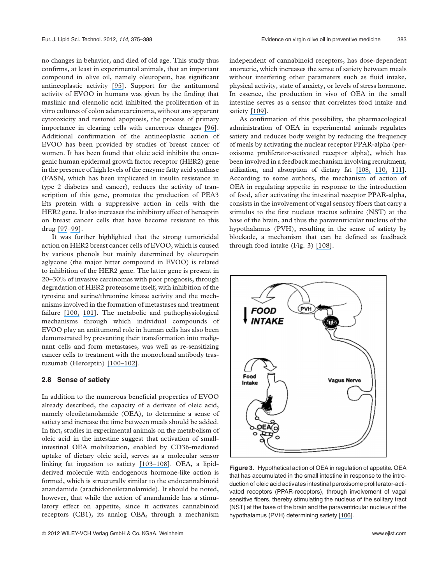no changes in behavior, and died of old age. This study thus confirms, at least in experimental animals, that an important compound in olive oil, namely oleuropein, has significant antineoplastic activity [\[95\]](https://www.researchgate.net/publication/7720804_Oleuropein_a_non-toxic_olive_iridoid_is_an_anti-tumor_agent_and_cytoskeleton_disruptor?el=1_x_8&enrichId=rgreq-96b52518b09014af285651118ba1e45a-XXX&enrichSource=Y292ZXJQYWdlOzI2NDUyNTQwNztBUzoxMzQ3NjUzMzIxNDQxMjhAMTQwOTE0MTk2NzU3MQ==). Support for the antitumoral activity of EVOO in humans was given by the finding that maslinic and oleanolic acid inhibited the proliferation of in vitro cultures of colon adenocarcinoma, without any apparent cytotoxicity and restored apoptosis, the process of primary importance in clearing cells with cancerous changes [\[96\]](https://www.researchgate.net/publication/6806549_Olive_Fruit_Extracts_Inhibit_Proliferation_and_Induce_Apoptosis_in_HT29_Human_Colon_Cancer_Cells1?el=1_x_8&enrichId=rgreq-96b52518b09014af285651118ba1e45a-XXX&enrichSource=Y292ZXJQYWdlOzI2NDUyNTQwNztBUzoxMzQ3NjUzMzIxNDQxMjhAMTQwOTE0MTk2NzU3MQ==). Additional confirmation of the antineoplastic action of EVOO has been provided by studies of breast cancer of women. It has been found that oleic acid inhibits the oncogenic human epidermal growth factor receptor (HER2) gene in the presence of high levels of the enzyme fatty acid synthase (FASN, which has been implicated in insulin resistance in type 2 diabetes and cancer), reduces the activity of transcription of this gene, promotes the production of PEA3 Ets protein with a suppressive action in cells with the HER2 gene. It also increases the inhibitory effect of herceptin on breast cancer cells that have become resistant to this drug [\[97](https://www.researchgate.net/publication/6630681_Mediterranean_Dietary_Traditions_for_the_Molecular_Treatment_of_Human_Cancer_Anti-Oncogenic_Actions_of_the_Main_Olive_Oils_Monounsaturated_Fatty_Acid_Oleic_Acid_181n-9?el=1_x_8&enrichId=rgreq-96b52518b09014af285651118ba1e45a-XXX&enrichSource=Y292ZXJQYWdlOzI2NDUyNTQwNztBUzoxMzQ3NjUzMzIxNDQxMjhAMTQwOTE0MTk2NzU3MQ==)[–99\]](https://www.researchgate.net/publication/23963651_Fatty_Acid_Synthase_Association_with_Insulin_Resistance_Type_2_Diabetes_and_Cancer?el=1_x_8&enrichId=rgreq-96b52518b09014af285651118ba1e45a-XXX&enrichSource=Y292ZXJQYWdlOzI2NDUyNTQwNztBUzoxMzQ3NjUzMzIxNDQxMjhAMTQwOTE0MTk2NzU3MQ==).

It was further highlighted that the strong tumoricidal action on HER2 breast cancer cells of EVOO, which is caused by various phenols but mainly determined by oleuropein aglycone (the major bitter compound in EVOO) is related to inhibition of the HER2 gene. The latter gene is present in 20–30% of invasive carcinomas with poor prognosis, through degradation of HER2 proteasome itself, with inhibition of the tyrosine and serine/threonine kinase activity and the mechanisms involved in the formation of metastases and treatment failure [\[100,](https://www.researchgate.net/publication/6341960_Olive_oil) [101\]](https://www.researchgate.net/publication/23675200_Anti-HER2_erbB-2_oncogene_effects_of_phenolic_compounds_directly_isolated_from_commercial_Extra-Virgin_Olive_Oil_EVOO?el=1_x_8&enrichId=rgreq-96b52518b09014af285651118ba1e45a-XXX&enrichSource=Y292ZXJQYWdlOzI2NDUyNTQwNztBUzoxMzQ3NjUzMzIxNDQxMjhAMTQwOTE0MTk2NzU3MQ==). The metabolic and pathophysiological mechanisms through which individual compounds of EVOO play an antitumoral role in human cells has also been demonstrated by preventing their transformation into malignant cells and form metastases, was well as re-sensitizing cancer cells to treatment with the monoclonal antibody trastuzumab (Herceptin) [\[100](https://www.researchgate.net/publication/6341960_Olive_oil)[–](https://www.researchgate.net/publication/23675200_Anti-HER2_erbB-2_oncogene_effects_of_phenolic_compounds_directly_isolated_from_commercial_Extra-Virgin_Olive_Oil_EVOO?el=1_x_8&enrichId=rgreq-96b52518b09014af285651118ba1e45a-XXX&enrichSource=Y292ZXJQYWdlOzI2NDUyNTQwNztBUzoxMzQ3NjUzMzIxNDQxMjhAMTQwOTE0MTk2NzU3MQ==)[102\]](https://www.researchgate.net/publication/23663286_Extra-virgin_olive_oil_polyphenols_inhibit_HER2_erbB-2-induced_malignant_transformation_in_human_breast_epithelial_cells_Relationship_between_the_chemical_structures_of_extra-virgin_olive_oil_secoirid?el=1_x_8&enrichId=rgreq-96b52518b09014af285651118ba1e45a-XXX&enrichSource=Y292ZXJQYWdlOzI2NDUyNTQwNztBUzoxMzQ3NjUzMzIxNDQxMjhAMTQwOTE0MTk2NzU3MQ==).

#### 2.8 Sense of satiety

In addition to the numerous beneficial properties of EVOO already described, the capacity of a derivate of oleic acid, namely oleoiletanolamide (OEA), to determine a sense of satiety and increase the time between meals should be added. In fact, studies in experimental animals on the metabolism of oleic acid in the intestine suggest that activation of smallintestinal OEA mobilization, enabled by CD36-mediated uptake of dietary oleic acid, serves as a molecular sensor linking fat ingestion to satiety [\[103](https://www.researchgate.net/publication/10799527_Modulation_of_Meal_Pattern_in_the_Rat_by_the_Anorexic_Lipid_Mediator_Oleoylethanolamide?el=1_x_8&enrichId=rgreq-96b52518b09014af285651118ba1e45a-XXX&enrichSource=Y292ZXJQYWdlOzI2NDUyNTQwNztBUzoxMzQ3NjUzMzIxNDQxMjhAMTQwOTE0MTk2NzU3MQ==)[–](https://www.researchgate.net/publication/7830544_Oleoylethanolamide_an_endogenous_PPAR-a_agonist_lowers_body_weight_and_hyperlipidemia_in_obese_rats?el=1_x_8&enrichId=rgreq-96b52518b09014af285651118ba1e45a-XXX&enrichSource=Y292ZXJQYWdlOzI2NDUyNTQwNztBUzoxMzQ3NjUzMzIxNDQxMjhAMTQwOTE0MTk2NzU3MQ==)[108\]](https://www.researchgate.net/publication/23304753_The_Lipid_Messenger_OEA_Links_Dietary_Fat_Intake_to_Satiety?el=1_x_8&enrichId=rgreq-96b52518b09014af285651118ba1e45a-XXX&enrichSource=Y292ZXJQYWdlOzI2NDUyNTQwNztBUzoxMzQ3NjUzMzIxNDQxMjhAMTQwOTE0MTk2NzU3MQ==). OEA, a lipidderived molecule with endogenous hormone-like action is formed, which is structurally similar to the endocannabinoid anandamide (arachidonoiletanolamide). It should be noted, however, that while the action of anandamide has a stimulatory effect on appetite, since it activates cannabinoid receptors (CB1), its analog OEA, through a mechanism

independent of cannabinoid receptors, has dose-dependent anorectic, which increases the sense of satiety between meals without interfering other parameters such as fluid intake, physical activity, state of anxiety, or levels of stress hormone. In essence, the production in vivo of OEA in the small intestine serves as a sensor that correlates food intake and satiety [\[109\]](https://www.researchgate.net/publication/51048642_Sympathetic_Activity_Controls_Fat-Induced_Oleoylethanolamide_Signaling_in_Small_Intestine?el=1_x_8&enrichId=rgreq-96b52518b09014af285651118ba1e45a-XXX&enrichSource=Y292ZXJQYWdlOzI2NDUyNTQwNztBUzoxMzQ3NjUzMzIxNDQxMjhAMTQwOTE0MTk2NzU3MQ==).

As confirmation of this possibility, the pharmacological administration of OEA in experimental animals regulates satiety and reduces body weight by reducing the frequency of meals by activating the nuclear receptor PPAR-alpha (peroxisome proliferator-activated receptor alpha), which has been involved in a feedback mechanism involving recruitment, utilization, and absorption of dietary fat [\[108,](https://www.researchgate.net/publication/23304753_The_Lipid_Messenger_OEA_Links_Dietary_Fat_Intake_to_Satiety?el=1_x_8&enrichId=rgreq-96b52518b09014af285651118ba1e45a-XXX&enrichSource=Y292ZXJQYWdlOzI2NDUyNTQwNztBUzoxMzQ3NjUzMzIxNDQxMjhAMTQwOTE0MTk2NzU3MQ==) [110,](https://www.researchgate.net/publication/6865550_Anatomical_Profiling_of_Nuclear_Receptor_Expression_Reveals_a_Hierarchical_Transcriptional_Network?el=1_x_8&enrichId=rgreq-96b52518b09014af285651118ba1e45a-XXX&enrichSource=Y292ZXJQYWdlOzI2NDUyNTQwNztBUzoxMzQ3NjUzMzIxNDQxMjhAMTQwOTE0MTk2NzU3MQ==) [111\]](https://www.researchgate.net/publication/5419378_Targeted_enhancement_of_oleoylethanolamide_production_in_proximal_small_intestine_induces_across-meal_satiety_in_rats?el=1_x_8&enrichId=rgreq-96b52518b09014af285651118ba1e45a-XXX&enrichSource=Y292ZXJQYWdlOzI2NDUyNTQwNztBUzoxMzQ3NjUzMzIxNDQxMjhAMTQwOTE0MTk2NzU3MQ==). According to some authors, the mechanism of action of OEA in regulating appetite in response to the introduction of food, after activating the intestinal receptor PPAR-alpha, consists in the involvement of vagal sensory fibers that carry a stimulus to the first nucleus tractus solitaire (NST) at the base of the brain, and thus the paraventricular nucleus of the hypothalamus (PVH), resulting in the sense of satiety by blockade, a mechanism that can be defined as feedback through food intake (Fig. 3) [\[108\]](https://www.researchgate.net/publication/23304753_The_Lipid_Messenger_OEA_Links_Dietary_Fat_Intake_to_Satiety?el=1_x_8&enrichId=rgreq-96b52518b09014af285651118ba1e45a-XXX&enrichSource=Y292ZXJQYWdlOzI2NDUyNTQwNztBUzoxMzQ3NjUzMzIxNDQxMjhAMTQwOTE0MTk2NzU3MQ==).



Figure 3. Hypothetical action of OEA in regulation of appetite. OEA that has accumulated in the small intestine in response to the introduction of oleic acid activates intestinal peroxisome proliferator-activated receptors (PPAR-receptors), through involvement of vagal sensitive fibers, thereby stimulating the nucleus of the solitary tract (NST) at the base of the brain and the paraventricular nucleus of the hypothalamus (PVH) determining satiety [\[106\]](https://www.researchgate.net/publication/7965278_Regulation_of_food_intake_by_oleoylethanolamide_CMLS?el=1_x_8&enrichId=rgreq-96b52518b09014af285651118ba1e45a-XXX&enrichSource=Y292ZXJQYWdlOzI2NDUyNTQwNztBUzoxMzQ3NjUzMzIxNDQxMjhAMTQwOTE0MTk2NzU3MQ==).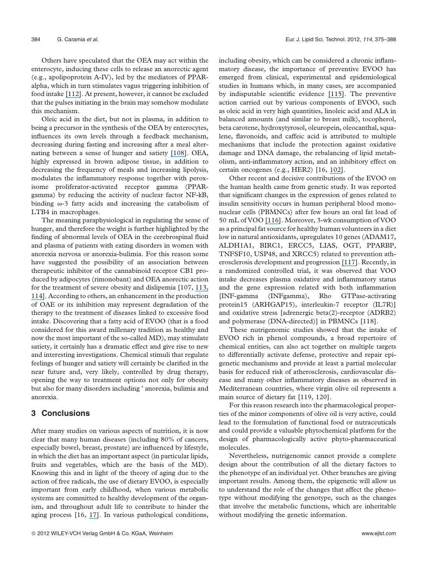Others have speculated that the OEA may act within the enterocyte, inducing these cells to release an anorectic agent (e.g., apolipoprotein A-IV), led by the mediators of PPARalpha, which in turn stimulates vagus triggering inhibition of food intake [\[112\]](https://www.researchgate.net/publication/5939475_Highly_sensitive_upregulation_of_apolipoprotein_A-IV_by_peroxisome_proliferator-activated_receptor_a_PPARa_agonist_in_human_hepatoma_cells?el=1_x_8&enrichId=rgreq-96b52518b09014af285651118ba1e45a-XXX&enrichSource=Y292ZXJQYWdlOzI2NDUyNTQwNztBUzoxMzQ3NjUzMzIxNDQxMjhAMTQwOTE0MTk2NzU3MQ==). At present, however, it cannot be excluded that the pulses initiating in the brain may somehow modulate this mechanism.

Oleic acid in the diet, but not in plasma, in addition to being a precursor in the synthesis of the OEA by enterocytes, influences its own levels through a feedback mechanism, decreasing during fasting and increasing after a meal alternating between a sense of hunger and satiety [\[108\]](https://www.researchgate.net/publication/23304753_The_Lipid_Messenger_OEA_Links_Dietary_Fat_Intake_to_Satiety?el=1_x_8&enrichId=rgreq-96b52518b09014af285651118ba1e45a-XXX&enrichSource=Y292ZXJQYWdlOzI2NDUyNTQwNztBUzoxMzQ3NjUzMzIxNDQxMjhAMTQwOTE0MTk2NzU3MQ==). OEA, highly expressed in brown adipose tissue, in addition to decreasing the frequency of meals and increasing lipolysis, modulates the inflammatory response together with peroxisome proliferator-activated receptor gamma (PPARgamma) by reducing the activity of nuclear factor NF-kB, binding  $\omega$ -3 fatty acids and increasing the catabolism of LTB4 in macrophages.

The meaning paraphysiological in regulating the sense of hunger, and therefore the weight is further highlighted by the finding of abnormal levels of OEA in the cerebrospinal fluid and plasma of patients with eating disorders in women with anorexia nervosa or anorexia-bulimia. For this reason some have suggested the possibility of an association between therapeutic inhibitor of the cannabinoid receptor CB1 produced by adipocytes (rimonobant) and OEA anorectic action for the treatment of severe obesity and dislipemia [107, [113,](https://www.researchgate.net/publication/23475696_Role_of_endocannabinoids_and_their_analogues_in_obesity_and_eating_disorders?el=1_x_8&enrichId=rgreq-96b52518b09014af285651118ba1e45a-XXX&enrichSource=Y292ZXJQYWdlOzI2NDUyNTQwNztBUzoxMzQ3NjUzMzIxNDQxMjhAMTQwOTE0MTk2NzU3MQ==) [114\]](https://www.researchgate.net/publication/6361726_The_cannabinoid_CB1_receptor_antagonist_SR141716A_Rimonabant_enhances_the_metabolic_benefits_of_long-term_treatment_with_oleoylethanolamide_in_Zucker_rats?el=1_x_8&enrichId=rgreq-96b52518b09014af285651118ba1e45a-XXX&enrichSource=Y292ZXJQYWdlOzI2NDUyNTQwNztBUzoxMzQ3NjUzMzIxNDQxMjhAMTQwOTE0MTk2NzU3MQ==). According to others, an enhancement in the production of OAE or its inhibition may represent degradation of the therapy to the treatment of diseases linked to excessive food intake. Discovering that a fatty acid of EVOO (that is a food considered for this award millenary tradition as healthy and now the most important of the so-called MD), may stimulate satiety, it certainly has a dramatic effect and give rise to new and interesting investigations. Chemical stimuli that regulate feelings of hunger and satiety will certainly be clarified in the near future and, very likely, controlled by drug therapy, opening the way to treatment options not only for obesity but also for many disorders including ' anorexia, bulimia and anorexia.

## 3 Conclusions

After many studies on various aspects of nutrition, it is now clear that many human diseases (including 80% of cancers, especially bowel, breast, prostate) are influenced by lifestyle, in which the diet has an important aspect (in particular lipids, fruits and vegetables, which are the basis of the MD). Knowing this and in light of the theory of aging due to the action of free radicals, the use of dietary EVOO, is especially important from early childhood, when various metabolic systems are committed to healthy development of the organism, and throughout adult life to contribute to hinder the aging process [16, [17\]](https://www.researchgate.net/publication/7264890_Willett_WC_The_Mediterranean_diet_science_and_practice_Public_Health_Nutr_9_105-110?el=1_x_8&enrichId=rgreq-96b52518b09014af285651118ba1e45a-XXX&enrichSource=Y292ZXJQYWdlOzI2NDUyNTQwNztBUzoxMzQ3NjUzMzIxNDQxMjhAMTQwOTE0MTk2NzU3MQ==). In various pathological conditions, including obesity, which can be considered a chronic inflammatory disease, the importance of preventive EVOO has emerged from clinical, experimental and epidemiological studies in humans which, in many cases, are accompanied by indisputable scientific evidence [\[115\]](https://www.researchgate.net/publication/50890612_Mediterranean_diet_rich_in_olive_oil_and_obesity_metabolic_syndrome_and_diabetes_mellitus?el=1_x_8&enrichId=rgreq-96b52518b09014af285651118ba1e45a-XXX&enrichSource=Y292ZXJQYWdlOzI2NDUyNTQwNztBUzoxMzQ3NjUzMzIxNDQxMjhAMTQwOTE0MTk2NzU3MQ==). The preventive action carried out by various components of EVOO, such as oleic acid in very high quantities, linoleic acid and ALA in balanced amounts (and similar to breast milk), tocopherol, beta carotene, hydroxytyrosol, oleuropein, oleocanthal, squalene, flavonoids, and caffeic acid is attributed to multiple mechanisms that include the protection against oxidative damage and DNA damage, the rebalancing of lipid metabolism, anti-inflammatory action, and an inhibitory effect on certain oncogenes (e.g., HER2) [16, [102\]](https://www.researchgate.net/publication/23663286_Extra-virgin_olive_oil_polyphenols_inhibit_HER2_erbB-2-induced_malignant_transformation_in_human_breast_epithelial_cells_Relationship_between_the_chemical_structures_of_extra-virgin_olive_oil_secoirid?el=1_x_8&enrichId=rgreq-96b52518b09014af285651118ba1e45a-XXX&enrichSource=Y292ZXJQYWdlOzI2NDUyNTQwNztBUzoxMzQ3NjUzMzIxNDQxMjhAMTQwOTE0MTk2NzU3MQ==).

Other recent and decisive contributions of the EVOO on the human health came from genetic study. It was reported that significant changes in the expression of genes related to insulin sensitivity occurs in human peripheral blood mononuclear cells (PBMNCs) after few hours an oral fat load of 50 mL of VOO [\[116\]](https://www.researchgate.net/publication/26310078_Characterization_of_Human_Gene_Expression_Changes_after_Olive_Oil_Ingestion_an_Exploratory_Approach?el=1_x_8&enrichId=rgreq-96b52518b09014af285651118ba1e45a-XXX&enrichSource=Y292ZXJQYWdlOzI2NDUyNTQwNztBUzoxMzQ3NjUzMzIxNDQxMjhAMTQwOTE0MTk2NzU3MQ==). Moreover, 3-wk consumption of VOO as a principal fat source for healthy human volunteers in a diet low in natural antioxidants, upregulates 10 genes (ADAM17, ALDH1A1, BIRC1, ERCC5, LIAS, OGT, PPARBP, TNFSF10, USP48, and XRCC5) related to prevention atherosclerosis development and progression [\[117\]](https://www.researchgate.net/publication/24205163_Mononuclear_Cell_Transcriptome_Response_after_Sustained_Virgin_Olive_Oil_Consumption_in_Humans_An_Exploratory_Nutrigenomics_Study?el=1_x_8&enrichId=rgreq-96b52518b09014af285651118ba1e45a-XXX&enrichSource=Y292ZXJQYWdlOzI2NDUyNTQwNztBUzoxMzQ3NjUzMzIxNDQxMjhAMTQwOTE0MTk2NzU3MQ==). Recently, in a randomized controlled trial, it was observed that VOO intake decreases plasma oxidative and inflammatory status and the gene expression related with both inflammation [INF-gamma (INFgamma), Rho GTPase-activating protein15 (ARHGAP15), interleukin-7 receptor (IL7R)] and oxidative stress [adrenergic beta(2)-receptor (ADRB2) and polymerase (DNA-directed)] in PBMNCs [118].

These nutrigenomic studies showed that the intake of EVOO rich in phenol compounds, a broad repertoire of chemical entities, can also act together on multiple targets to differentially activate defense, protective and repair epigenetic mechanisms and provide at least a partial molecular basis for reduced risk of atherosclerosis, cardiovascular disease and many other inflammatory diseases as observed in Mediterranean countries, where virgin olive oil represents a main source of dietary fat [119, 120].

For this reason research into the pharmacological properties of the minor components of olive oil is very active, could lead to the formulation of functional food or nutraceuticals and could provide a valuable phytochemical platform for the design of pharmacologically active phyto-pharmaceutical molecules.

Nevertheless, nutrigenomic cannot provide a complete design about the contribution of all the dietary factors to the phenotype of an individual yet. Other branches are giving important results. Among them, the epigenetic will allow us to understand the role of the changes that affect the phenotype without modifying the genotype, such as the changes that involve the metabolic functions, which are inheritable without modifying the genetic information.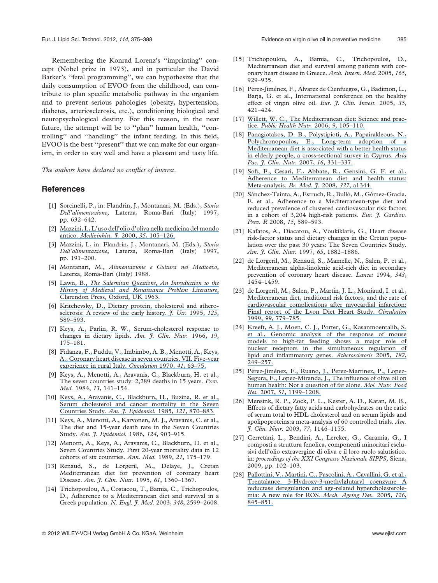Remembering the Konrad Lorenz's ''imprinting'' concept (Nobel prize in 1973), and in particular the David Barker's ''fetal programming'', we can hypothesize that the daily consumption of EVOO from the childhood, can contribute to plan specific metabolic pathway in the organism and to prevent serious pahologies (obesity, hypertension, diabetes, arteriosclerosis, etc.), conditioning biological and neuropsychological destiny. For this reason, in the near future, the attempt will be to ''plan'' human health, ''controlling'' and ''handling'' the infant feeding. In this field, EVOO is the best ''present'' that we can make for our organism, in order to stay well and have a pleasant and tasty life.

The authors have declared no conflict of interest.

#### **References**

- [1] Sorcinelli, P., in: Flandrin, J., Montanari, M. (Eds.), Storia Dell'alimentazione, Laterza, Roma-Bari (Italy) 1997, pp. 632–642.
- [2] [Mazzini, I., L'uso dell'olio d'oliva nella medicina del mondo](https://www.researchgate.net/publication/261737793_L) antico. Medizinhist. 7, 2000, 35, 105-126.
- [3] Mazzini, I., in: Flandrin, J., Montanari, M. (Eds.), Storia Dell'alimentazione, Laterza, Roma-Bari (Italy) 1997, pp. 191–200.
- [4] Montanari, M., Alimentazione e Cultura nel Medioevo, Laterza, Roma-Bari (Italy) 1988.
- [5] Lawn, B., [The Salernitan Questions, An Introduction to the](https://www.researchgate.net/publication/284525119_The_Salernitan_Questions_An_Introduction_to_the_History_of_Medieval_and_Renaissance_Problem_Literature?el=1_x_8&enrichId=rgreq-96b52518b09014af285651118ba1e45a-XXX&enrichSource=Y292ZXJQYWdlOzI2NDUyNTQwNztBUzoxMzQ3NjUzMzIxNDQxMjhAMTQwOTE0MTk2NzU3MQ==) [History of Medieval and Renaissance Problem Literature](https://www.researchgate.net/publication/284525119_The_Salernitan_Questions_An_Introduction_to_the_History_of_Medieval_and_Renaissance_Problem_Literature?el=1_x_8&enrichId=rgreq-96b52518b09014af285651118ba1e45a-XXX&enrichSource=Y292ZXJQYWdlOzI2NDUyNTQwNztBUzoxMzQ3NjUzMzIxNDQxMjhAMTQwOTE0MTk2NzU3MQ==), [Clarendon Press, Oxford, UK 1963.](https://www.researchgate.net/publication/284525119_The_Salernitan_Questions_An_Introduction_to_the_History_of_Medieval_and_Renaissance_Problem_Literature?el=1_x_8&enrichId=rgreq-96b52518b09014af285651118ba1e45a-XXX&enrichSource=Y292ZXJQYWdlOzI2NDUyNTQwNztBUzoxMzQ3NjUzMzIxNDQxMjhAMTQwOTE0MTk2NzU3MQ==)
- [6] [Kritchevsky, D., Dietary protein, cholesterol and athero](https://www.researchgate.net/publication/15313767_Dietary_Protein_Cholesterol_and_Atherosclerosis_A_Review_of_the_Early_History?el=1_x_8&enrichId=rgreq-96b52518b09014af285651118ba1e45a-XXX&enrichSource=Y292ZXJQYWdlOzI2NDUyNTQwNztBUzoxMzQ3NjUzMzIxNDQxMjhAMTQwOTE0MTk2NzU3MQ==)[sclerosis: A review of the early history.](https://www.researchgate.net/publication/15313767_Dietary_Protein_Cholesterol_and_Atherosclerosis_A_Review_of_the_Early_History?el=1_x_8&enrichId=rgreq-96b52518b09014af285651118ba1e45a-XXX&enrichSource=Y292ZXJQYWdlOzI2NDUyNTQwNztBUzoxMzQ3NjUzMzIxNDQxMjhAMTQwOTE0MTk2NzU3MQ==)  $\tilde{f}$ . Utr. 1995, 125, [589–593.](https://www.researchgate.net/publication/15313767_Dietary_Protein_Cholesterol_and_Atherosclerosis_A_Review_of_the_Early_History?el=1_x_8&enrichId=rgreq-96b52518b09014af285651118ba1e45a-XXX&enrichSource=Y292ZXJQYWdlOzI2NDUyNTQwNztBUzoxMzQ3NjUzMzIxNDQxMjhAMTQwOTE0MTk2NzU3MQ==)
- [7] [Keys, A., Parlin, R. W., Serum-cholesterol response to](https://www.researchgate.net/publication/17268917_Serum_Cholesterol_Response_to_Changes_in_Dietary_Lipids?el=1_x_8&enrichId=rgreq-96b52518b09014af285651118ba1e45a-XXX&enrichSource=Y292ZXJQYWdlOzI2NDUyNTQwNztBUzoxMzQ3NjUzMzIxNDQxMjhAMTQwOTE0MTk2NzU3MQ==) [changes in dietary lipids.](https://www.researchgate.net/publication/17268917_Serum_Cholesterol_Response_to_Changes_in_Dietary_Lipids?el=1_x_8&enrichId=rgreq-96b52518b09014af285651118ba1e45a-XXX&enrichSource=Y292ZXJQYWdlOzI2NDUyNTQwNztBUzoxMzQ3NjUzMzIxNDQxMjhAMTQwOTE0MTk2NzU3MQ==)  $Am.$   $\tilde{f}$ . Clin. Nutr. 1966, 19, [175–181.](https://www.researchgate.net/publication/17268917_Serum_Cholesterol_Response_to_Changes_in_Dietary_Lipids?el=1_x_8&enrichId=rgreq-96b52518b09014af285651118ba1e45a-XXX&enrichSource=Y292ZXJQYWdlOzI2NDUyNTQwNztBUzoxMzQ3NjUzMzIxNDQxMjhAMTQwOTE0MTk2NzU3MQ==)
- [8] [Fidanza, F., Puddu, V., Imbimbo, A. B., Menotti, A., Keys,](https://www.researchgate.net/publication/17724632_Coronary_heart_disease_in_seven_countries_VII_Five-year_experience_in_rural_Italy?el=1_x_8&enrichId=rgreq-96b52518b09014af285651118ba1e45a-XXX&enrichSource=Y292ZXJQYWdlOzI2NDUyNTQwNztBUzoxMzQ3NjUzMzIxNDQxMjhAMTQwOTE0MTk2NzU3MQ==) [A., Coronary heart disease in seven countries. VII. Five-year](https://www.researchgate.net/publication/17724632_Coronary_heart_disease_in_seven_countries_VII_Five-year_experience_in_rural_Italy?el=1_x_8&enrichId=rgreq-96b52518b09014af285651118ba1e45a-XXX&enrichSource=Y292ZXJQYWdlOzI2NDUyNTQwNztBUzoxMzQ3NjUzMzIxNDQxMjhAMTQwOTE0MTk2NzU3MQ==) [experience in rural Italy.](https://www.researchgate.net/publication/17724632_Coronary_heart_disease_in_seven_countries_VII_Five-year_experience_in_rural_Italy?el=1_x_8&enrichId=rgreq-96b52518b09014af285651118ba1e45a-XXX&enrichSource=Y292ZXJQYWdlOzI2NDUyNTQwNztBUzoxMzQ3NjUzMzIxNDQxMjhAMTQwOTE0MTk2NzU3MQ==) Circulation 1970, 41, 63–75.
- [9] Keys, A., Menotti, A., Aravanis, C., Blackburn, H. et al., The seven countries study: 2,289 deaths in 15 years. Prev. Med. 1984, 13, 141–154.
- [10] [Keys, A., Aravanis, C., Blackburn, H., Buzina, R. et al.,](https://www.researchgate.net/publication/19148122_Serum_cholesterol_and_cancer_mortality_in_the_Seven_Countries_Study?el=1_x_8&enrichId=rgreq-96b52518b09014af285651118ba1e45a-XXX&enrichSource=Y292ZXJQYWdlOzI2NDUyNTQwNztBUzoxMzQ3NjUzMzIxNDQxMjhAMTQwOTE0MTk2NzU3MQ==) [Serum cholesterol and cancer mortality in the Seven](https://www.researchgate.net/publication/19148122_Serum_cholesterol_and_cancer_mortality_in_the_Seven_Countries_Study?el=1_x_8&enrichId=rgreq-96b52518b09014af285651118ba1e45a-XXX&enrichSource=Y292ZXJQYWdlOzI2NDUyNTQwNztBUzoxMzQ3NjUzMzIxNDQxMjhAMTQwOTE0MTk2NzU3MQ==) Countries Study. [Am. J. Epidemiol.](https://www.researchgate.net/publication/19148122_Serum_cholesterol_and_cancer_mortality_in_the_Seven_Countries_Study?el=1_x_8&enrichId=rgreq-96b52518b09014af285651118ba1e45a-XXX&enrichSource=Y292ZXJQYWdlOzI2NDUyNTQwNztBUzoxMzQ3NjUzMzIxNDQxMjhAMTQwOTE0MTk2NzU3MQ==) 1985, 121, 870-883.
- [11] Keys, A., Menotti, A., Karvonen, M. J., Aravanis, C. et al., The diet and 15-year death rate in the Seven Countries Study. Am. J. Epidemiol. 1986, 124, 903-915.
- [12] Menotti, A., Keys, A., Aravanis, C., Blackburn, H. et al., Seven Countries Study. First 20-year mortality data in 12 cohorts of six countries. Ann. Med. 1989, 21, 175–179.
- [13] Renaud, S., de Lorgeril, M., Delaye, J., Cretan Mediterranean diet for prevention of coronary heart Disease. Am. J. Clin. Nutr. 1995, 61, 1360-1367.
- [14] Trichopoulou, A., Costacou, T., Bamia, C., Trichopoulos, D., Adherence to a Mediterranean diet and survival in a Greek population. N. Engl. J. Med. 2003, 348, 2599-2608.
- [15] Trichopoulou, A., Bamia, C., Trichopoulos, D., Mediterranean diet and survival among patients with coronary heart disease in Greece. Arch. Intern. Med. 2005, 165, 929–935.
- [16] Pérez-Jiménez, F., Alvarez de Cienfuegos, G., Badimon, L., Barja, G. et al., International conference on the healthy effect of virgin olive oil. Eur. J. Clin. Invest. 2005, 35, 421–424.
- [17] [Willett, W. C., The Mediterranean diet: Science and prac](https://www.researchgate.net/publication/7264890_Willett_WC_The_Mediterranean_diet_science_and_practice_Public_Health_Nutr_9_105-110?el=1_x_8&enrichId=rgreq-96b52518b09014af285651118ba1e45a-XXX&enrichSource=Y292ZXJQYWdlOzI2NDUyNTQwNztBUzoxMzQ3NjUzMzIxNDQxMjhAMTQwOTE0MTk2NzU3MQ==)tice. [Public Health Nutr.](https://www.researchgate.net/publication/7264890_Willett_WC_The_Mediterranean_diet_science_and_practice_Public_Health_Nutr_9_105-110?el=1_x_8&enrichId=rgreq-96b52518b09014af285651118ba1e45a-XXX&enrichSource=Y292ZXJQYWdlOzI2NDUyNTQwNztBUzoxMzQ3NjUzMzIxNDQxMjhAMTQwOTE0MTk2NzU3MQ==) 2006, 9, 105–110.
- [18] [Panagiotakos, D. B., Polystipioti, A., Papairakleous, N.,](https://www.researchgate.net/publication/6362064_Long-Term_adoption_of_a_Mediterranean_diet_is_associated_with_a_better_health_status_in_elderly_people_a_cross-sectional_survey_in_Cyprus?el=1_x_8&enrichId=rgreq-96b52518b09014af285651118ba1e45a-XXX&enrichSource=Y292ZXJQYWdlOzI2NDUyNTQwNztBUzoxMzQ3NjUzMzIxNDQxMjhAMTQwOTE0MTk2NzU3MQ==) [Polychronopoulos, E., Long-term adoption of a](https://www.researchgate.net/publication/6362064_Long-Term_adoption_of_a_Mediterranean_diet_is_associated_with_a_better_health_status_in_elderly_people_a_cross-sectional_survey_in_Cyprus?el=1_x_8&enrichId=rgreq-96b52518b09014af285651118ba1e45a-XXX&enrichSource=Y292ZXJQYWdlOzI2NDUyNTQwNztBUzoxMzQ3NjUzMzIxNDQxMjhAMTQwOTE0MTk2NzU3MQ==) [Mediterranean diet is associated with a better health status](https://www.researchgate.net/publication/6362064_Long-Term_adoption_of_a_Mediterranean_diet_is_associated_with_a_better_health_status_in_elderly_people_a_cross-sectional_survey_in_Cyprus?el=1_x_8&enrichId=rgreq-96b52518b09014af285651118ba1e45a-XXX&enrichSource=Y292ZXJQYWdlOzI2NDUyNTQwNztBUzoxMzQ3NjUzMzIxNDQxMjhAMTQwOTE0MTk2NzU3MQ==) [in elderly people; a cross-sectional survey in Cyprus.](https://www.researchgate.net/publication/6362064_Long-Term_adoption_of_a_Mediterranean_diet_is_associated_with_a_better_health_status_in_elderly_people_a_cross-sectional_survey_in_Cyprus?el=1_x_8&enrichId=rgreq-96b52518b09014af285651118ba1e45a-XXX&enrichSource=Y292ZXJQYWdlOzI2NDUyNTQwNztBUzoxMzQ3NjUzMzIxNDQxMjhAMTQwOTE0MTk2NzU3MQ==) Asia [Pac. J. Clin. Nutr.](https://www.researchgate.net/publication/6362064_Long-Term_adoption_of_a_Mediterranean_diet_is_associated_with_a_better_health_status_in_elderly_people_a_cross-sectional_survey_in_Cyprus?el=1_x_8&enrichId=rgreq-96b52518b09014af285651118ba1e45a-XXX&enrichSource=Y292ZXJQYWdlOzI2NDUyNTQwNztBUzoxMzQ3NjUzMzIxNDQxMjhAMTQwOTE0MTk2NzU3MQ==) 2007, 16, 331-337.
- [19] [Sofi, F., Cesari, F., Abbate, R., Gensini, G. F. et al.,](https://www.researchgate.net/publication/285667882_Adherence_to_Mediterranean_diet_and_health_status_Meta-analysis?el=1_x_8&enrichId=rgreq-96b52518b09014af285651118ba1e45a-XXX&enrichSource=Y292ZXJQYWdlOzI2NDUyNTQwNztBUzoxMzQ3NjUzMzIxNDQxMjhAMTQwOTE0MTk2NzU3MQ==) [Adherence to Mediterranean diet and health status:](https://www.researchgate.net/publication/285667882_Adherence_to_Mediterranean_diet_and_health_status_Meta-analysis?el=1_x_8&enrichId=rgreq-96b52518b09014af285651118ba1e45a-XXX&enrichSource=Y292ZXJQYWdlOzI2NDUyNTQwNztBUzoxMzQ3NjUzMzIxNDQxMjhAMTQwOTE0MTk2NzU3MQ==) [Meta-analysis.](https://www.researchgate.net/publication/285667882_Adherence_to_Mediterranean_diet_and_health_status_Meta-analysis?el=1_x_8&enrichId=rgreq-96b52518b09014af285651118ba1e45a-XXX&enrichSource=Y292ZXJQYWdlOzI2NDUyNTQwNztBUzoxMzQ3NjUzMzIxNDQxMjhAMTQwOTE0MTk2NzU3MQ==) Br. Med. *J.* 2008, 337, a1344.
- [20] Sánchez-Taínta, A., Estruch, R., Bulló, M., Gómez-Gracia, E. et al., Adherence to a Mediterranean-type diet and reduced prevalence of clustered cardiovascular risk factors in a cohort of 3,204 high-risk patients. Eur. J. Cardiov. Prev. R 2008, 15, 589-593.
- [21] Kafatos, A., Diacatou, A., Voukiklaris, G., Heart disease risk-factor status and dietary changes in the Cretan population over the past 30 years: The Seven Countries Study. Am. J. Clin. Nutr. 1997, 65, 1882-1886.
- [22] de Lorgeril, M., Renaud, S., Mamelle, N., Salen, P. et al., Mediterranean alpha-linolenic acid-rich diet in secondary prevention of coronary heart disease. Lancet 1994, 343, 1454–1459.
- [23] [de Lorgeril, M., Salen, P., Martin, J. L., Monjaud, I. et al.,](https://www.researchgate.net/publication/13299428_Mediterranean_Diet_Traditional_Risk_Factors_and_the_Rate_of_Cardiovascular_Complications_After_Myocardial_Infarction_Final_Report_of_the_Lyon_Diet_Heart_Study?el=1_x_8&enrichId=rgreq-96b52518b09014af285651118ba1e45a-XXX&enrichSource=Y292ZXJQYWdlOzI2NDUyNTQwNztBUzoxMzQ3NjUzMzIxNDQxMjhAMTQwOTE0MTk2NzU3MQ==) [Mediterranean diet, traditional risk factors, and the rate of](https://www.researchgate.net/publication/13299428_Mediterranean_Diet_Traditional_Risk_Factors_and_the_Rate_of_Cardiovascular_Complications_After_Myocardial_Infarction_Final_Report_of_the_Lyon_Diet_Heart_Study?el=1_x_8&enrichId=rgreq-96b52518b09014af285651118ba1e45a-XXX&enrichSource=Y292ZXJQYWdlOzI2NDUyNTQwNztBUzoxMzQ3NjUzMzIxNDQxMjhAMTQwOTE0MTk2NzU3MQ==) [cardiovascular complications after myocardial infarction:](https://www.researchgate.net/publication/13299428_Mediterranean_Diet_Traditional_Risk_Factors_and_the_Rate_of_Cardiovascular_Complications_After_Myocardial_Infarction_Final_Report_of_the_Lyon_Diet_Heart_Study?el=1_x_8&enrichId=rgreq-96b52518b09014af285651118ba1e45a-XXX&enrichSource=Y292ZXJQYWdlOzI2NDUyNTQwNztBUzoxMzQ3NjUzMzIxNDQxMjhAMTQwOTE0MTk2NzU3MQ==) [Final report of the Lyon Diet Heart Study.](https://www.researchgate.net/publication/13299428_Mediterranean_Diet_Traditional_Risk_Factors_and_the_Rate_of_Cardiovascular_Complications_After_Myocardial_Infarction_Final_Report_of_the_Lyon_Diet_Heart_Study?el=1_x_8&enrichId=rgreq-96b52518b09014af285651118ba1e45a-XXX&enrichSource=Y292ZXJQYWdlOzI2NDUyNTQwNztBUzoxMzQ3NjUzMzIxNDQxMjhAMTQwOTE0MTk2NzU3MQ==) Circulation 1999, 99[, 779–785.](https://www.researchgate.net/publication/13299428_Mediterranean_Diet_Traditional_Risk_Factors_and_the_Rate_of_Cardiovascular_Complications_After_Myocardial_Infarction_Final_Report_of_the_Lyon_Diet_Heart_Study?el=1_x_8&enrichId=rgreq-96b52518b09014af285651118ba1e45a-XXX&enrichSource=Y292ZXJQYWdlOzI2NDUyNTQwNztBUzoxMzQ3NjUzMzIxNDQxMjhAMTQwOTE0MTk2NzU3MQ==)
- [24] [Kreeft, A. J., Moen, C. J., Porter, G., Kasanmoentalib, S.](https://www.researchgate.net/publication/7602538_Genomic_analysis_of_the_response_of_mouse_models_to_high-fat_feeding_shows_a_major_role_of_nuclear_receptors_in_the_simultaneous_regulation_of_lipid_and_inflammatory_genes?el=1_x_8&enrichId=rgreq-96b52518b09014af285651118ba1e45a-XXX&enrichSource=Y292ZXJQYWdlOzI2NDUyNTQwNztBUzoxMzQ3NjUzMzIxNDQxMjhAMTQwOTE0MTk2NzU3MQ==) [et al., Genomic analysis of the response of mouse](https://www.researchgate.net/publication/7602538_Genomic_analysis_of_the_response_of_mouse_models_to_high-fat_feeding_shows_a_major_role_of_nuclear_receptors_in_the_simultaneous_regulation_of_lipid_and_inflammatory_genes?el=1_x_8&enrichId=rgreq-96b52518b09014af285651118ba1e45a-XXX&enrichSource=Y292ZXJQYWdlOzI2NDUyNTQwNztBUzoxMzQ3NjUzMzIxNDQxMjhAMTQwOTE0MTk2NzU3MQ==) [models to high-fat feeding shows a major role of](https://www.researchgate.net/publication/7602538_Genomic_analysis_of_the_response_of_mouse_models_to_high-fat_feeding_shows_a_major_role_of_nuclear_receptors_in_the_simultaneous_regulation_of_lipid_and_inflammatory_genes?el=1_x_8&enrichId=rgreq-96b52518b09014af285651118ba1e45a-XXX&enrichSource=Y292ZXJQYWdlOzI2NDUyNTQwNztBUzoxMzQ3NjUzMzIxNDQxMjhAMTQwOTE0MTk2NzU3MQ==) [nuclear receptors in the simultaneous regulation of](https://www.researchgate.net/publication/7602538_Genomic_analysis_of_the_response_of_mouse_models_to_high-fat_feeding_shows_a_major_role_of_nuclear_receptors_in_the_simultaneous_regulation_of_lipid_and_inflammatory_genes?el=1_x_8&enrichId=rgreq-96b52518b09014af285651118ba1e45a-XXX&enrichSource=Y292ZXJQYWdlOzI2NDUyNTQwNztBUzoxMzQ3NjUzMzIxNDQxMjhAMTQwOTE0MTk2NzU3MQ==) [lipid and inflammatory genes.](https://www.researchgate.net/publication/7602538_Genomic_analysis_of_the_response_of_mouse_models_to_high-fat_feeding_shows_a_major_role_of_nuclear_receptors_in_the_simultaneous_regulation_of_lipid_and_inflammatory_genes?el=1_x_8&enrichId=rgreq-96b52518b09014af285651118ba1e45a-XXX&enrichSource=Y292ZXJQYWdlOzI2NDUyNTQwNztBUzoxMzQ3NjUzMzIxNDQxMjhAMTQwOTE0MTk2NzU3MQ==) Atherosclerosis 2005, 182, [249–257.](https://www.researchgate.net/publication/7602538_Genomic_analysis_of_the_response_of_mouse_models_to_high-fat_feeding_shows_a_major_role_of_nuclear_receptors_in_the_simultaneous_regulation_of_lipid_and_inflammatory_genes?el=1_x_8&enrichId=rgreq-96b52518b09014af285651118ba1e45a-XXX&enrichSource=Y292ZXJQYWdlOzI2NDUyNTQwNztBUzoxMzQ3NjUzMzIxNDQxMjhAMTQwOTE0MTk2NzU3MQ==)
- [25] Pérez-Jiménez, F., Ruano, J., Perez-Martinez, P., Lopez-[Segura, F., Lopez-Miranda, J., The influence of olive oil on](https://www.researchgate.net/publication/5963095_The_influence_of_olive_oil_on_human_health_Not_a_question_of_fat_alone?el=1_x_8&enrichId=rgreq-96b52518b09014af285651118ba1e45a-XXX&enrichSource=Y292ZXJQYWdlOzI2NDUyNTQwNztBUzoxMzQ3NjUzMzIxNDQxMjhAMTQwOTE0MTk2NzU3MQ==) [human health: Not a question of fat alone.](https://www.researchgate.net/publication/5963095_The_influence_of_olive_oil_on_human_health_Not_a_question_of_fat_alone?el=1_x_8&enrichId=rgreq-96b52518b09014af285651118ba1e45a-XXX&enrichSource=Y292ZXJQYWdlOzI2NDUyNTQwNztBUzoxMzQ3NjUzMzIxNDQxMjhAMTQwOTE0MTk2NzU3MQ==) Mol. Nutr. Food Res. 2007, 51[, 1199–1208.](https://www.researchgate.net/publication/5963095_The_influence_of_olive_oil_on_human_health_Not_a_question_of_fat_alone?el=1_x_8&enrichId=rgreq-96b52518b09014af285651118ba1e45a-XXX&enrichSource=Y292ZXJQYWdlOzI2NDUyNTQwNztBUzoxMzQ3NjUzMzIxNDQxMjhAMTQwOTE0MTk2NzU3MQ==)
- [26] Mensink, R. P., Zock, P. L., Kester, A. D., Katan, M. B., Effects of dietary fatty acids and carbohydrates on the ratio of serum total to HDL cholesterol and on serum lipids and apolipoproteins:a meta-analysis of 60 controlled trials. Am. J. Clin. Nutr. 2003, 77, 1146–1155.
- [27] Cerretani, L., Bendini, A., Lercker, G., Caramia, G., I composti a struttura fenolica, componenti minoritari esclusivi dell'olio extravergine di oliva e il loro ruolo salutistico. in: proceedings of the XXI Congresso Nazionale SIPPS, Siena, 2009, pp. 102–103.
- [28] [Pallottini, V., Martini, C., Pascolini, A., Cavallini, G. et al.,](https://www.researchgate.net/publication/7750769_3-Hydroxy-3-methylglutaryl_coenzyme_A_reductase_deregulation_and_age-related_hypercholesterolemia_A_new_role_for_ROS?el=1_x_8&enrichId=rgreq-96b52518b09014af285651118ba1e45a-XXX&enrichSource=Y292ZXJQYWdlOzI2NDUyNTQwNztBUzoxMzQ3NjUzMzIxNDQxMjhAMTQwOTE0MTk2NzU3MQ==) [Trentalance. 3-Hydroxy-3-methylglutaryl coenzyme A](https://www.researchgate.net/publication/7750769_3-Hydroxy-3-methylglutaryl_coenzyme_A_reductase_deregulation_and_age-related_hypercholesterolemia_A_new_role_for_ROS?el=1_x_8&enrichId=rgreq-96b52518b09014af285651118ba1e45a-XXX&enrichSource=Y292ZXJQYWdlOzI2NDUyNTQwNztBUzoxMzQ3NjUzMzIxNDQxMjhAMTQwOTE0MTk2NzU3MQ==) [reductase deregulation and age-related hypercholesterole](https://www.researchgate.net/publication/7750769_3-Hydroxy-3-methylglutaryl_coenzyme_A_reductase_deregulation_and_age-related_hypercholesterolemia_A_new_role_for_ROS?el=1_x_8&enrichId=rgreq-96b52518b09014af285651118ba1e45a-XXX&enrichSource=Y292ZXJQYWdlOzI2NDUyNTQwNztBUzoxMzQ3NjUzMzIxNDQxMjhAMTQwOTE0MTk2NzU3MQ==)[mia: A new role for ROS.](https://www.researchgate.net/publication/7750769_3-Hydroxy-3-methylglutaryl_coenzyme_A_reductase_deregulation_and_age-related_hypercholesterolemia_A_new_role_for_ROS?el=1_x_8&enrichId=rgreq-96b52518b09014af285651118ba1e45a-XXX&enrichSource=Y292ZXJQYWdlOzI2NDUyNTQwNztBUzoxMzQ3NjUzMzIxNDQxMjhAMTQwOTE0MTk2NzU3MQ==) Mech. Ageing Dev. 2005, 126, [845–851.](https://www.researchgate.net/publication/7750769_3-Hydroxy-3-methylglutaryl_coenzyme_A_reductase_deregulation_and_age-related_hypercholesterolemia_A_new_role_for_ROS?el=1_x_8&enrichId=rgreq-96b52518b09014af285651118ba1e45a-XXX&enrichSource=Y292ZXJQYWdlOzI2NDUyNTQwNztBUzoxMzQ3NjUzMzIxNDQxMjhAMTQwOTE0MTk2NzU3MQ==)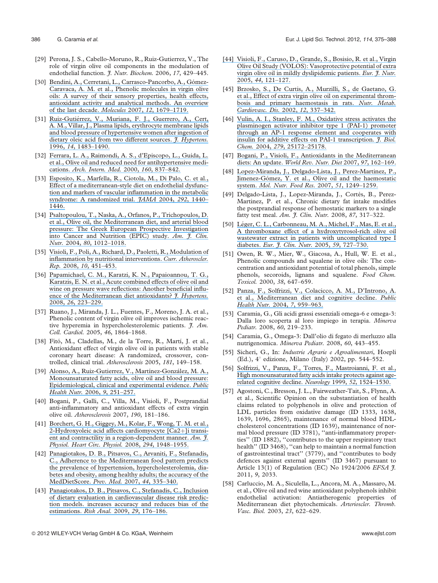- [29] Perona, J. S., Cabello-Moruno, R., Ruiz-Gutierrez, V., The role of virgin olive oil components in the modulation of endothelial function. J. Nutr. Biochem. 2006, 17, 429-445.
- [30] Bendini, A., Cerretani, L., Carrasco-Pancorbo, A., Gómez-[Caravaca, A. M. et al., Phenolic molecules in virgin olive](https://www.researchgate.net/publication/26546260_Phenolic_Molecules_in_Virgin_Olive_Oils_a_Survey_of_Their_Sensory_Properties_Health_Effects_Antioxidant_Activity_and_Analytical_Methods_An_Overview_of_the_Last_Decade_Alessandra?el=1_x_8&enrichId=rgreq-96b52518b09014af285651118ba1e45a-XXX&enrichSource=Y292ZXJQYWdlOzI2NDUyNTQwNztBUzoxMzQ3NjUzMzIxNDQxMjhAMTQwOTE0MTk2NzU3MQ==) [oils: A survey of their sensory properties, health effects,](https://www.researchgate.net/publication/26546260_Phenolic_Molecules_in_Virgin_Olive_Oils_a_Survey_of_Their_Sensory_Properties_Health_Effects_Antioxidant_Activity_and_Analytical_Methods_An_Overview_of_the_Last_Decade_Alessandra?el=1_x_8&enrichId=rgreq-96b52518b09014af285651118ba1e45a-XXX&enrichSource=Y292ZXJQYWdlOzI2NDUyNTQwNztBUzoxMzQ3NjUzMzIxNDQxMjhAMTQwOTE0MTk2NzU3MQ==) [antioxidant activity and analytical methods. An overview](https://www.researchgate.net/publication/26546260_Phenolic_Molecules_in_Virgin_Olive_Oils_a_Survey_of_Their_Sensory_Properties_Health_Effects_Antioxidant_Activity_and_Analytical_Methods_An_Overview_of_the_Last_Decade_Alessandra?el=1_x_8&enrichId=rgreq-96b52518b09014af285651118ba1e45a-XXX&enrichSource=Y292ZXJQYWdlOzI2NDUyNTQwNztBUzoxMzQ3NjUzMzIxNDQxMjhAMTQwOTE0MTk2NzU3MQ==) [of the last decade.](https://www.researchgate.net/publication/26546260_Phenolic_Molecules_in_Virgin_Olive_Oils_a_Survey_of_Their_Sensory_Properties_Health_Effects_Antioxidant_Activity_and_Analytical_Methods_An_Overview_of_the_Last_Decade_Alessandra?el=1_x_8&enrichId=rgreq-96b52518b09014af285651118ba1e45a-XXX&enrichSource=Y292ZXJQYWdlOzI2NDUyNTQwNztBUzoxMzQ3NjUzMzIxNDQxMjhAMTQwOTE0MTk2NzU3MQ==) Molecules 2007, 12, 1679–1719.
- [31] Ruiz-Gutiérrez, V., Muriana, F. J., Guerrero, A., Cert, [A. M., Villar, J., Plasma lipids, erythrocyte membrane lipids](https://www.researchgate.net/publication/259080890_Plasma_lipids_erythrocyte_membrane_lipids_and_blood_pressure_of_hypertensive_women_after_ingestion_of_dietary_oleic_acid_from_two_different_sources?el=1_x_8&enrichId=rgreq-96b52518b09014af285651118ba1e45a-XXX&enrichSource=Y292ZXJQYWdlOzI2NDUyNTQwNztBUzoxMzQ3NjUzMzIxNDQxMjhAMTQwOTE0MTk2NzU3MQ==) [and blood pressure of hypertensive women after ingestion of](https://www.researchgate.net/publication/259080890_Plasma_lipids_erythrocyte_membrane_lipids_and_blood_pressure_of_hypertensive_women_after_ingestion_of_dietary_oleic_acid_from_two_different_sources?el=1_x_8&enrichId=rgreq-96b52518b09014af285651118ba1e45a-XXX&enrichSource=Y292ZXJQYWdlOzI2NDUyNTQwNztBUzoxMzQ3NjUzMzIxNDQxMjhAMTQwOTE0MTk2NzU3MQ==) [dietary oleic acid from two different sources.](https://www.researchgate.net/publication/259080890_Plasma_lipids_erythrocyte_membrane_lipids_and_blood_pressure_of_hypertensive_women_after_ingestion_of_dietary_oleic_acid_from_two_different_sources?el=1_x_8&enrichId=rgreq-96b52518b09014af285651118ba1e45a-XXX&enrichSource=Y292ZXJQYWdlOzI2NDUyNTQwNztBUzoxMzQ3NjUzMzIxNDQxMjhAMTQwOTE0MTk2NzU3MQ==) *J. Hypertens*. 1996, 14[, 1483–1490.](https://www.researchgate.net/publication/259080890_Plasma_lipids_erythrocyte_membrane_lipids_and_blood_pressure_of_hypertensive_women_after_ingestion_of_dietary_oleic_acid_from_two_different_sources?el=1_x_8&enrichId=rgreq-96b52518b09014af285651118ba1e45a-XXX&enrichSource=Y292ZXJQYWdlOzI2NDUyNTQwNztBUzoxMzQ3NjUzMzIxNDQxMjhAMTQwOTE0MTk2NzU3MQ==)
- [32] [Ferrara, L. A., Raimondi, A. S., d'Episcopo, L., Guida, L.](https://www.researchgate.net/publication/12579538_Olive_Oil_and_Reduced_Need_for_Antihypertensive_Medications?el=1_x_8&enrichId=rgreq-96b52518b09014af285651118ba1e45a-XXX&enrichSource=Y292ZXJQYWdlOzI2NDUyNTQwNztBUzoxMzQ3NjUzMzIxNDQxMjhAMTQwOTE0MTk2NzU3MQ==) [et al., Olive oil and reduced need for antihypertensive medi](https://www.researchgate.net/publication/12579538_Olive_Oil_and_Reduced_Need_for_Antihypertensive_Medications?el=1_x_8&enrichId=rgreq-96b52518b09014af285651118ba1e45a-XXX&enrichSource=Y292ZXJQYWdlOzI2NDUyNTQwNztBUzoxMzQ3NjUzMzIxNDQxMjhAMTQwOTE0MTk2NzU3MQ==)cations. [Arch. Intern. Med.](https://www.researchgate.net/publication/12579538_Olive_Oil_and_Reduced_Need_for_Antihypertensive_Medications?el=1_x_8&enrichId=rgreq-96b52518b09014af285651118ba1e45a-XXX&enrichSource=Y292ZXJQYWdlOzI2NDUyNTQwNztBUzoxMzQ3NjUzMzIxNDQxMjhAMTQwOTE0MTk2NzU3MQ==) 2000, 160, 837–842.
- [33] [Esposito, K., Marfella, R., Ciotola, M., Di Palo, C. et al.,](https://www.researchgate.net/publication/288252950_Effect_of_a_Mediterranean-style_diet_on_endothelial_dysfunction_and_markers_of_vascular_inflammation_in_the_metabolic_syndrome_A_randomized_trial?el=1_x_8&enrichId=rgreq-96b52518b09014af285651118ba1e45a-XXX&enrichSource=Y292ZXJQYWdlOzI2NDUyNTQwNztBUzoxMzQ3NjUzMzIxNDQxMjhAMTQwOTE0MTk2NzU3MQ==) [Effect of a mediterranean-style diet on endothelial dysfunc](https://www.researchgate.net/publication/288252950_Effect_of_a_Mediterranean-style_diet_on_endothelial_dysfunction_and_markers_of_vascular_inflammation_in_the_metabolic_syndrome_A_randomized_trial?el=1_x_8&enrichId=rgreq-96b52518b09014af285651118ba1e45a-XXX&enrichSource=Y292ZXJQYWdlOzI2NDUyNTQwNztBUzoxMzQ3NjUzMzIxNDQxMjhAMTQwOTE0MTk2NzU3MQ==)[tion and markers of vascular inflammation in the metabolic](https://www.researchgate.net/publication/288252950_Effect_of_a_Mediterranean-style_diet_on_endothelial_dysfunction_and_markers_of_vascular_inflammation_in_the_metabolic_syndrome_A_randomized_trial?el=1_x_8&enrichId=rgreq-96b52518b09014af285651118ba1e45a-XXX&enrichSource=Y292ZXJQYWdlOzI2NDUyNTQwNztBUzoxMzQ3NjUzMzIxNDQxMjhAMTQwOTE0MTk2NzU3MQ==) [syndrome: A randomized trial.](https://www.researchgate.net/publication/288252950_Effect_of_a_Mediterranean-style_diet_on_endothelial_dysfunction_and_markers_of_vascular_inflammation_in_the_metabolic_syndrome_A_randomized_trial?el=1_x_8&enrichId=rgreq-96b52518b09014af285651118ba1e45a-XXX&enrichSource=Y292ZXJQYWdlOzI2NDUyNTQwNztBUzoxMzQ3NjUzMzIxNDQxMjhAMTQwOTE0MTk2NzU3MQ==)  $JAMA$  2004, 292, 1440-[1446.](https://www.researchgate.net/publication/288252950_Effect_of_a_Mediterranean-style_diet_on_endothelial_dysfunction_and_markers_of_vascular_inflammation_in_the_metabolic_syndrome_A_randomized_trial?el=1_x_8&enrichId=rgreq-96b52518b09014af285651118ba1e45a-XXX&enrichSource=Y292ZXJQYWdlOzI2NDUyNTQwNztBUzoxMzQ3NjUzMzIxNDQxMjhAMTQwOTE0MTk2NzU3MQ==)
- [34] [Psaltopoulou, T., Naska, A., Orfanos, P., Trichopoulos, D.](https://www.researchgate.net/publication/8267147_Psaltopoulou_T_Naska_A_Orfanos_P_Trichopoulos_D_Mountokalakis_T_Trichopoulou_A_Olive_oil_the_Mediterranean_diet_and_arterial_blood_pressure_the_Greek_European_Prospective_Investigation_into_Cancer_and?el=1_x_8&enrichId=rgreq-96b52518b09014af285651118ba1e45a-XXX&enrichSource=Y292ZXJQYWdlOzI2NDUyNTQwNztBUzoxMzQ3NjUzMzIxNDQxMjhAMTQwOTE0MTk2NzU3MQ==) [et al., Olive oil, the Mediterranean diet, and arterial blood](https://www.researchgate.net/publication/8267147_Psaltopoulou_T_Naska_A_Orfanos_P_Trichopoulos_D_Mountokalakis_T_Trichopoulou_A_Olive_oil_the_Mediterranean_diet_and_arterial_blood_pressure_the_Greek_European_Prospective_Investigation_into_Cancer_and?el=1_x_8&enrichId=rgreq-96b52518b09014af285651118ba1e45a-XXX&enrichSource=Y292ZXJQYWdlOzI2NDUyNTQwNztBUzoxMzQ3NjUzMzIxNDQxMjhAMTQwOTE0MTk2NzU3MQ==) [pressure: The Greek European Prospective Investigation](https://www.researchgate.net/publication/8267147_Psaltopoulou_T_Naska_A_Orfanos_P_Trichopoulos_D_Mountokalakis_T_Trichopoulou_A_Olive_oil_the_Mediterranean_diet_and_arterial_blood_pressure_the_Greek_European_Prospective_Investigation_into_Cancer_and?el=1_x_8&enrichId=rgreq-96b52518b09014af285651118ba1e45a-XXX&enrichSource=Y292ZXJQYWdlOzI2NDUyNTQwNztBUzoxMzQ3NjUzMzIxNDQxMjhAMTQwOTE0MTk2NzU3MQ==) [into Cancer and Nutrition \(EPIC\) study.](https://www.researchgate.net/publication/8267147_Psaltopoulou_T_Naska_A_Orfanos_P_Trichopoulos_D_Mountokalakis_T_Trichopoulou_A_Olive_oil_the_Mediterranean_diet_and_arterial_blood_pressure_the_Greek_European_Prospective_Investigation_into_Cancer_and?el=1_x_8&enrichId=rgreq-96b52518b09014af285651118ba1e45a-XXX&enrichSource=Y292ZXJQYWdlOzI2NDUyNTQwNztBUzoxMzQ3NjUzMzIxNDQxMjhAMTQwOTE0MTk2NzU3MQ==) Am. J. Clin. Nutr. 2004, 80[, 1012–1018.](https://www.researchgate.net/publication/8267147_Psaltopoulou_T_Naska_A_Orfanos_P_Trichopoulos_D_Mountokalakis_T_Trichopoulou_A_Olive_oil_the_Mediterranean_diet_and_arterial_blood_pressure_the_Greek_European_Prospective_Investigation_into_Cancer_and?el=1_x_8&enrichId=rgreq-96b52518b09014af285651118ba1e45a-XXX&enrichSource=Y292ZXJQYWdlOzI2NDUyNTQwNztBUzoxMzQ3NjUzMzIxNDQxMjhAMTQwOTE0MTk2NzU3MQ==)
- [35] [Visioli, F., Poli, A., Richard, D., Paoletti, R., Modulation of](https://www.researchgate.net/publication/23401661_Modulation_of_Inflammation_by_Nutritional_Interventions?el=1_x_8&enrichId=rgreq-96b52518b09014af285651118ba1e45a-XXX&enrichSource=Y292ZXJQYWdlOzI2NDUyNTQwNztBUzoxMzQ3NjUzMzIxNDQxMjhAMTQwOTE0MTk2NzU3MQ==) [inflammation by nutritional interventions.](https://www.researchgate.net/publication/23401661_Modulation_of_Inflammation_by_Nutritional_Interventions?el=1_x_8&enrichId=rgreq-96b52518b09014af285651118ba1e45a-XXX&enrichSource=Y292ZXJQYWdlOzI2NDUyNTQwNztBUzoxMzQ3NjUzMzIxNDQxMjhAMTQwOTE0MTk2NzU3MQ==) Curr. Atheroscler. Rep. 2008, 10[, 451–453.](https://www.researchgate.net/publication/23401661_Modulation_of_Inflammation_by_Nutritional_Interventions?el=1_x_8&enrichId=rgreq-96b52518b09014af285651118ba1e45a-XXX&enrichSource=Y292ZXJQYWdlOzI2NDUyNTQwNztBUzoxMzQ3NjUzMzIxNDQxMjhAMTQwOTE0MTk2NzU3MQ==)
- [36] [Papamichael, C. M., Karatzi, K. N., Papaioannou, T. G.,](https://www.researchgate.net/publication/5658393_Acute_combined_effects_of_olive_oil_and_wine_on_pressure_wave_reflections_Another_beneficial_influence_of_the_Mediterranean_diet_antioxidants?el=1_x_8&enrichId=rgreq-96b52518b09014af285651118ba1e45a-XXX&enrichSource=Y292ZXJQYWdlOzI2NDUyNTQwNztBUzoxMzQ3NjUzMzIxNDQxMjhAMTQwOTE0MTk2NzU3MQ==) [Karatzis, E. N. et al., Acute combined effects of olive oil and](https://www.researchgate.net/publication/5658393_Acute_combined_effects_of_olive_oil_and_wine_on_pressure_wave_reflections_Another_beneficial_influence_of_the_Mediterranean_diet_antioxidants?el=1_x_8&enrichId=rgreq-96b52518b09014af285651118ba1e45a-XXX&enrichSource=Y292ZXJQYWdlOzI2NDUyNTQwNztBUzoxMzQ3NjUzMzIxNDQxMjhAMTQwOTE0MTk2NzU3MQ==) [wine on pressure wave reflections: Another beneficial influ](https://www.researchgate.net/publication/5658393_Acute_combined_effects_of_olive_oil_and_wine_on_pressure_wave_reflections_Another_beneficial_influence_of_the_Mediterranean_diet_antioxidants?el=1_x_8&enrichId=rgreq-96b52518b09014af285651118ba1e45a-XXX&enrichSource=Y292ZXJQYWdlOzI2NDUyNTQwNztBUzoxMzQ3NjUzMzIxNDQxMjhAMTQwOTE0MTk2NzU3MQ==)[ence of the Mediterranean diet antioxidants?](https://www.researchgate.net/publication/5658393_Acute_combined_effects_of_olive_oil_and_wine_on_pressure_wave_reflections_Another_beneficial_influence_of_the_Mediterranean_diet_antioxidants?el=1_x_8&enrichId=rgreq-96b52518b09014af285651118ba1e45a-XXX&enrichSource=Y292ZXJQYWdlOzI2NDUyNTQwNztBUzoxMzQ3NjUzMzIxNDQxMjhAMTQwOTE0MTk2NzU3MQ==) J. Hypertens. 2008, 26[, 223–229.](https://www.researchgate.net/publication/5658393_Acute_combined_effects_of_olive_oil_and_wine_on_pressure_wave_reflections_Another_beneficial_influence_of_the_Mediterranean_diet_antioxidants?el=1_x_8&enrichId=rgreq-96b52518b09014af285651118ba1e45a-XXX&enrichSource=Y292ZXJQYWdlOzI2NDUyNTQwNztBUzoxMzQ3NjUzMzIxNDQxMjhAMTQwOTE0MTk2NzU3MQ==)
- [37] Ruano, J., Miranda, J. L., Fuentes, F., Moreno, J. A. et al., Phenolic content of virgin olive oil improves ischemic reactive hyperemia in hypercholesterolemic patients. *J. Am.* Coll. Cardiol. 2005, 46, 1864–1868.
- [38] Fitó, M., Cladellas, M., de la Torre, R., Martí, J. et al., Antioxidant effect of virgin olive oil in patients with stable coronary heart disease: A randomized, crossover, controlled, clinical trial. Atherosclerosis 2005, 181, 149–158.
- [39] Alonso, A., Ruiz-Gutierrez, V., Martínez-González, M. A., [Monounsaturated fatty acids, olive oil and blood pressure:](https://www.researchgate.net/publication/7208593_Monounsaturated_fatty_acids_olive_oil_and_blood_pressure_Epidemiological_clinical_and_experimental_evidence?el=1_x_8&enrichId=rgreq-96b52518b09014af285651118ba1e45a-XXX&enrichSource=Y292ZXJQYWdlOzI2NDUyNTQwNztBUzoxMzQ3NjUzMzIxNDQxMjhAMTQwOTE0MTk2NzU3MQ==) [Epidemiological, clinical and experimental evidence.](https://www.researchgate.net/publication/7208593_Monounsaturated_fatty_acids_olive_oil_and_blood_pressure_Epidemiological_clinical_and_experimental_evidence?el=1_x_8&enrichId=rgreq-96b52518b09014af285651118ba1e45a-XXX&enrichSource=Y292ZXJQYWdlOzI2NDUyNTQwNztBUzoxMzQ3NjUzMzIxNDQxMjhAMTQwOTE0MTk2NzU3MQ==) Public [Health Nutr.](https://www.researchgate.net/publication/7208593_Monounsaturated_fatty_acids_olive_oil_and_blood_pressure_Epidemiological_clinical_and_experimental_evidence?el=1_x_8&enrichId=rgreq-96b52518b09014af285651118ba1e45a-XXX&enrichSource=Y292ZXJQYWdlOzI2NDUyNTQwNztBUzoxMzQ3NjUzMzIxNDQxMjhAMTQwOTE0MTk2NzU3MQ==) 2006, 9, 251–257.
- [40] Bogani, P., Galli, C., Villa, M., Visioli, F., Postprandial anti-inflammatory and antioxidant effects of extra virgin olive oil. Atherosclerosis 2007, 190, 181–186.
- [41] [Borchert, G. H., Giggey, M., Kolar, F., Wong, T. M. et al.,](https://www.researchgate.net/publication/5554830_2-Hydroxyoleic_acid_affects_cardiomyocyte_Ca2i_transient_and_contractility_in_a_region-dependent_manner?el=1_x_8&enrichId=rgreq-96b52518b09014af285651118ba1e45a-XXX&enrichSource=Y292ZXJQYWdlOzI2NDUyNTQwNztBUzoxMzQ3NjUzMzIxNDQxMjhAMTQwOTE0MTk2NzU3MQ==) [2-Hydroxyoleic acid affects cardiomyocyte \[Ca2](https://www.researchgate.net/publication/5554830_2-Hydroxyoleic_acid_affects_cardiomyocyte_Ca2i_transient_and_contractility_in_a_region-dependent_manner?el=1_x_8&enrichId=rgreq-96b52518b09014af285651118ba1e45a-XXX&enrichSource=Y292ZXJQYWdlOzI2NDUyNTQwNztBUzoxMzQ3NjUzMzIxNDQxMjhAMTQwOTE0MTk2NzU3MQ==)+]i transi[ent and contractility in a region-dependent manner.](https://www.researchgate.net/publication/5554830_2-Hydroxyoleic_acid_affects_cardiomyocyte_Ca2i_transient_and_contractility_in_a_region-dependent_manner?el=1_x_8&enrichId=rgreq-96b52518b09014af285651118ba1e45a-XXX&enrichSource=Y292ZXJQYWdlOzI2NDUyNTQwNztBUzoxMzQ3NjUzMzIxNDQxMjhAMTQwOTE0MTk2NzU3MQ==) Am. J. [Physiol. Heart Circ. Physiol.](https://www.researchgate.net/publication/5554830_2-Hydroxyoleic_acid_affects_cardiomyocyte_Ca2i_transient_and_contractility_in_a_region-dependent_manner?el=1_x_8&enrichId=rgreq-96b52518b09014af285651118ba1e45a-XXX&enrichSource=Y292ZXJQYWdlOzI2NDUyNTQwNztBUzoxMzQ3NjUzMzIxNDQxMjhAMTQwOTE0MTk2NzU3MQ==) 2008, 294, 1948–1955.
- [42] [Panagiotakos, D. B., Pitsavos, C., Arvaniti, F., Stefanadis,](https://www.researchgate.net/publication/6457082_Adherence_to_the_Mediterranean_food_pattern_predicts_the_prevalence_of_hypertension_hypercholesterolemia_diabetes_and_obesity_among_healthy_adults_the_accuracy_of_the_MedDietScore?el=1_x_8&enrichId=rgreq-96b52518b09014af285651118ba1e45a-XXX&enrichSource=Y292ZXJQYWdlOzI2NDUyNTQwNztBUzoxMzQ3NjUzMzIxNDQxMjhAMTQwOTE0MTk2NzU3MQ==) [C., Adherence to the Mediterranean food pattern predicts](https://www.researchgate.net/publication/6457082_Adherence_to_the_Mediterranean_food_pattern_predicts_the_prevalence_of_hypertension_hypercholesterolemia_diabetes_and_obesity_among_healthy_adults_the_accuracy_of_the_MedDietScore?el=1_x_8&enrichId=rgreq-96b52518b09014af285651118ba1e45a-XXX&enrichSource=Y292ZXJQYWdlOzI2NDUyNTQwNztBUzoxMzQ3NjUzMzIxNDQxMjhAMTQwOTE0MTk2NzU3MQ==) [the prevalence of hypertension, hypercholesterolemia, dia](https://www.researchgate.net/publication/6457082_Adherence_to_the_Mediterranean_food_pattern_predicts_the_prevalence_of_hypertension_hypercholesterolemia_diabetes_and_obesity_among_healthy_adults_the_accuracy_of_the_MedDietScore?el=1_x_8&enrichId=rgreq-96b52518b09014af285651118ba1e45a-XXX&enrichSource=Y292ZXJQYWdlOzI2NDUyNTQwNztBUzoxMzQ3NjUzMzIxNDQxMjhAMTQwOTE0MTk2NzU3MQ==)[betes and obesity, among healthy adults; the accuracy of the](https://www.researchgate.net/publication/6457082_Adherence_to_the_Mediterranean_food_pattern_predicts_the_prevalence_of_hypertension_hypercholesterolemia_diabetes_and_obesity_among_healthy_adults_the_accuracy_of_the_MedDietScore?el=1_x_8&enrichId=rgreq-96b52518b09014af285651118ba1e45a-XXX&enrichSource=Y292ZXJQYWdlOzI2NDUyNTQwNztBUzoxMzQ3NjUzMzIxNDQxMjhAMTQwOTE0MTk2NzU3MQ==) [MedDietScore.](https://www.researchgate.net/publication/6457082_Adherence_to_the_Mediterranean_food_pattern_predicts_the_prevalence_of_hypertension_hypercholesterolemia_diabetes_and_obesity_among_healthy_adults_the_accuracy_of_the_MedDietScore?el=1_x_8&enrichId=rgreq-96b52518b09014af285651118ba1e45a-XXX&enrichSource=Y292ZXJQYWdlOzI2NDUyNTQwNztBUzoxMzQ3NjUzMzIxNDQxMjhAMTQwOTE0MTk2NzU3MQ==) Prev. Med. 2007, 44, 335–340.
- [43] [Panagiotakos, D. B., Pitsavos, C., Stefanadis, C., Inclusion](https://www.researchgate.net/publication/23464593_Inclusion_of_Dietary_Evaluation_in_Cardiovascular_Disease_Risk_Prediction_Models_Increases_Accuracy_and_Reduces_Bias_of_the_Estimations?el=1_x_8&enrichId=rgreq-96b52518b09014af285651118ba1e45a-XXX&enrichSource=Y292ZXJQYWdlOzI2NDUyNTQwNztBUzoxMzQ3NjUzMzIxNDQxMjhAMTQwOTE0MTk2NzU3MQ==) [of dietary evaluation in cardiovascular disease risk predic](https://www.researchgate.net/publication/23464593_Inclusion_of_Dietary_Evaluation_in_Cardiovascular_Disease_Risk_Prediction_Models_Increases_Accuracy_and_Reduces_Bias_of_the_Estimations?el=1_x_8&enrichId=rgreq-96b52518b09014af285651118ba1e45a-XXX&enrichSource=Y292ZXJQYWdlOzI2NDUyNTQwNztBUzoxMzQ3NjUzMzIxNDQxMjhAMTQwOTE0MTk2NzU3MQ==)[tion models. increases accuracy and reduces bias of the](https://www.researchgate.net/publication/23464593_Inclusion_of_Dietary_Evaluation_in_Cardiovascular_Disease_Risk_Prediction_Models_Increases_Accuracy_and_Reduces_Bias_of_the_Estimations?el=1_x_8&enrichId=rgreq-96b52518b09014af285651118ba1e45a-XXX&enrichSource=Y292ZXJQYWdlOzI2NDUyNTQwNztBUzoxMzQ3NjUzMzIxNDQxMjhAMTQwOTE0MTk2NzU3MQ==) [estimations.](https://www.researchgate.net/publication/23464593_Inclusion_of_Dietary_Evaluation_in_Cardiovascular_Disease_Risk_Prediction_Models_Increases_Accuracy_and_Reduces_Bias_of_the_Estimations?el=1_x_8&enrichId=rgreq-96b52518b09014af285651118ba1e45a-XXX&enrichSource=Y292ZXJQYWdlOzI2NDUyNTQwNztBUzoxMzQ3NjUzMzIxNDQxMjhAMTQwOTE0MTk2NzU3MQ==) Risk Anal. 2009, 29, 176–186.
- [\[44\] Visioli, F., Caruso, D., Grande, S., Bosisio, R. et al., Virgin](https://www.researchgate.net/publication/8402733_Virgin_Olive_Oil_Study_VOLOS_Vasoprotective_potential_of_extra_virgin_olive_oil_in_mildly_dyslipidemic_patients?el=1_x_8&enrichId=rgreq-96b52518b09014af285651118ba1e45a-XXX&enrichSource=Y292ZXJQYWdlOzI2NDUyNTQwNztBUzoxMzQ3NjUzMzIxNDQxMjhAMTQwOTE0MTk2NzU3MQ==) [Olive Oil Study \(VOLOS\): Vasoprotective potential of extra](https://www.researchgate.net/publication/8402733_Virgin_Olive_Oil_Study_VOLOS_Vasoprotective_potential_of_extra_virgin_olive_oil_in_mildly_dyslipidemic_patients?el=1_x_8&enrichId=rgreq-96b52518b09014af285651118ba1e45a-XXX&enrichSource=Y292ZXJQYWdlOzI2NDUyNTQwNztBUzoxMzQ3NjUzMzIxNDQxMjhAMTQwOTE0MTk2NzU3MQ==) [virgin olive oil in mildly dyslipidemic patients.](https://www.researchgate.net/publication/8402733_Virgin_Olive_Oil_Study_VOLOS_Vasoprotective_potential_of_extra_virgin_olive_oil_in_mildly_dyslipidemic_patients?el=1_x_8&enrichId=rgreq-96b52518b09014af285651118ba1e45a-XXX&enrichSource=Y292ZXJQYWdlOzI2NDUyNTQwNztBUzoxMzQ3NjUzMzIxNDQxMjhAMTQwOTE0MTk2NzU3MQ==) Eur. J. Nutr. 2005, 44[, 121–127.](https://www.researchgate.net/publication/8402733_Virgin_Olive_Oil_Study_VOLOS_Vasoprotective_potential_of_extra_virgin_olive_oil_in_mildly_dyslipidemic_patients?el=1_x_8&enrichId=rgreq-96b52518b09014af285651118ba1e45a-XXX&enrichSource=Y292ZXJQYWdlOzI2NDUyNTQwNztBUzoxMzQ3NjUzMzIxNDQxMjhAMTQwOTE0MTk2NzU3MQ==)
- [45] [Brzosko, S., De Curtis, A., Murzilli, S., de Gaetano, G.](https://www.researchgate.net/publication/10826687_Effect_of_extra_virgin_olive_oil_on_experimental_thrombosis_and_primary_hemostasis_in_rats?el=1_x_8&enrichId=rgreq-96b52518b09014af285651118ba1e45a-XXX&enrichSource=Y292ZXJQYWdlOzI2NDUyNTQwNztBUzoxMzQ3NjUzMzIxNDQxMjhAMTQwOTE0MTk2NzU3MQ==) [et al., Effect of extra virgin olive oil on experimental throm](https://www.researchgate.net/publication/10826687_Effect_of_extra_virgin_olive_oil_on_experimental_thrombosis_and_primary_hemostasis_in_rats?el=1_x_8&enrichId=rgreq-96b52518b09014af285651118ba1e45a-XXX&enrichSource=Y292ZXJQYWdlOzI2NDUyNTQwNztBUzoxMzQ3NjUzMzIxNDQxMjhAMTQwOTE0MTk2NzU3MQ==)[bosis and primary haemostasis in rats.](https://www.researchgate.net/publication/10826687_Effect_of_extra_virgin_olive_oil_on_experimental_thrombosis_and_primary_hemostasis_in_rats?el=1_x_8&enrichId=rgreq-96b52518b09014af285651118ba1e45a-XXX&enrichSource=Y292ZXJQYWdlOzI2NDUyNTQwNztBUzoxMzQ3NjUzMzIxNDQxMjhAMTQwOTE0MTk2NzU3MQ==) Nutr. Metab. [Cardiovasc. Dis.](https://www.researchgate.net/publication/10826687_Effect_of_extra_virgin_olive_oil_on_experimental_thrombosis_and_primary_hemostasis_in_rats?el=1_x_8&enrichId=rgreq-96b52518b09014af285651118ba1e45a-XXX&enrichSource=Y292ZXJQYWdlOzI2NDUyNTQwNztBUzoxMzQ3NjUzMzIxNDQxMjhAMTQwOTE0MTk2NzU3MQ==) 2002, 12, 337–342.
- [46] [Vulin, A. I., Stanley, F. M., Oxidative stress activates the](https://www.researchgate.net/publication/8632739_Oxidative_Stress_Activates_the_Plasminogen_Activator_Inhibitor_Type_1_PAI-1_Promoter_through_an_AP-1_Response_Element_and_Cooperates_with_Insulin_for_Additive_Effects_on_PAI-1_Transcription?el=1_x_8&enrichId=rgreq-96b52518b09014af285651118ba1e45a-XXX&enrichSource=Y292ZXJQYWdlOzI2NDUyNTQwNztBUzoxMzQ3NjUzMzIxNDQxMjhAMTQwOTE0MTk2NzU3MQ==) [plasminogen activator inhibitor type 1 \(PAI-1\) promoter](https://www.researchgate.net/publication/8632739_Oxidative_Stress_Activates_the_Plasminogen_Activator_Inhibitor_Type_1_PAI-1_Promoter_through_an_AP-1_Response_Element_and_Cooperates_with_Insulin_for_Additive_Effects_on_PAI-1_Transcription?el=1_x_8&enrichId=rgreq-96b52518b09014af285651118ba1e45a-XXX&enrichSource=Y292ZXJQYWdlOzI2NDUyNTQwNztBUzoxMzQ3NjUzMzIxNDQxMjhAMTQwOTE0MTk2NzU3MQ==) [through an AP-1 response element and cooperates with](https://www.researchgate.net/publication/8632739_Oxidative_Stress_Activates_the_Plasminogen_Activator_Inhibitor_Type_1_PAI-1_Promoter_through_an_AP-1_Response_Element_and_Cooperates_with_Insulin_for_Additive_Effects_on_PAI-1_Transcription?el=1_x_8&enrichId=rgreq-96b52518b09014af285651118ba1e45a-XXX&enrichSource=Y292ZXJQYWdlOzI2NDUyNTQwNztBUzoxMzQ3NjUzMzIxNDQxMjhAMTQwOTE0MTk2NzU3MQ==) [insulin for additive effects on PAI-1 transcription.](https://www.researchgate.net/publication/8632739_Oxidative_Stress_Activates_the_Plasminogen_Activator_Inhibitor_Type_1_PAI-1_Promoter_through_an_AP-1_Response_Element_and_Cooperates_with_Insulin_for_Additive_Effects_on_PAI-1_Transcription?el=1_x_8&enrichId=rgreq-96b52518b09014af285651118ba1e45a-XXX&enrichSource=Y292ZXJQYWdlOzI2NDUyNTQwNztBUzoxMzQ3NjUzMzIxNDQxMjhAMTQwOTE0MTk2NzU3MQ==) J. Biol. Chem. 2004, 279[, 25172–25178.](https://www.researchgate.net/publication/8632739_Oxidative_Stress_Activates_the_Plasminogen_Activator_Inhibitor_Type_1_PAI-1_Promoter_through_an_AP-1_Response_Element_and_Cooperates_with_Insulin_for_Additive_Effects_on_PAI-1_Transcription?el=1_x_8&enrichId=rgreq-96b52518b09014af285651118ba1e45a-XXX&enrichSource=Y292ZXJQYWdlOzI2NDUyNTQwNztBUzoxMzQ3NjUzMzIxNDQxMjhAMTQwOTE0MTk2NzU3MQ==)
- [47] [Bogani, P., Visioli, F., Antioxidants in the Mediterranean](https://www.researchgate.net/publication/232446148_Antioxidants_in_the_Mediterranean_Diets_An_Update?el=1_x_8&enrichId=rgreq-96b52518b09014af285651118ba1e45a-XXX&enrichSource=Y292ZXJQYWdlOzI2NDUyNTQwNztBUzoxMzQ3NjUzMzIxNDQxMjhAMTQwOTE0MTk2NzU3MQ==) diets: An update. [World Rev. Nutr. Diet](https://www.researchgate.net/publication/232446148_Antioxidants_in_the_Mediterranean_Diets_An_Update?el=1_x_8&enrichId=rgreq-96b52518b09014af285651118ba1e45a-XXX&enrichSource=Y292ZXJQYWdlOzI2NDUyNTQwNztBUzoxMzQ3NjUzMzIxNDQxMjhAMTQwOTE0MTk2NzU3MQ==) 2007, 97, 162-169.
- [48] [Lopez-Miranda, J., Delgado-Lista, J., Perez-Martinez, P.,](https://www.researchgate.net/publication/5963097_Olive_oil_and_the_haemostatic_system?el=1_x_8&enrichId=rgreq-96b52518b09014af285651118ba1e45a-XXX&enrichSource=Y292ZXJQYWdlOzI2NDUyNTQwNztBUzoxMzQ3NjUzMzIxNDQxMjhAMTQwOTE0MTk2NzU3MQ==) Jimenez-Gómez, Y. et al., Olive oil and the haemostatic system. [Mol. Nutr. Food Res.](https://www.researchgate.net/publication/5963097_Olive_oil_and_the_haemostatic_system?el=1_x_8&enrichId=rgreq-96b52518b09014af285651118ba1e45a-XXX&enrichSource=Y292ZXJQYWdlOzI2NDUyNTQwNztBUzoxMzQ3NjUzMzIxNDQxMjhAMTQwOTE0MTk2NzU3MQ==) 2007, 51, 1249-1259.
- [49] Delgado-Lista, J., Lopez-Miranda, J., Cortés, B., Perez-Martinez, P. et al., Chronic dietary fat intake modifies the postprandial response of hemostatic markers to a single fatty test meal. Am. J. Clin. Nutr. 2008, 87, 317-322.
- [50] Léger, C. L., Carbonneau, M. A., Michel, F., Mas, E. et al., [A thromboxane effect of a hydroxytyrosol-rich olive oil](https://www.researchgate.net/publication/7936810_A_thromboxane_effect_of_a_hydroxytyrosol-rich_olive_oil_wastewater_extract_in_patients_with_uncomplicated_type_I_diabetes?el=1_x_8&enrichId=rgreq-96b52518b09014af285651118ba1e45a-XXX&enrichSource=Y292ZXJQYWdlOzI2NDUyNTQwNztBUzoxMzQ3NjUzMzIxNDQxMjhAMTQwOTE0MTk2NzU3MQ==) [wastewater extract in patients with uncomplicated type I](https://www.researchgate.net/publication/7936810_A_thromboxane_effect_of_a_hydroxytyrosol-rich_olive_oil_wastewater_extract_in_patients_with_uncomplicated_type_I_diabetes?el=1_x_8&enrichId=rgreq-96b52518b09014af285651118ba1e45a-XXX&enrichSource=Y292ZXJQYWdlOzI2NDUyNTQwNztBUzoxMzQ3NjUzMzIxNDQxMjhAMTQwOTE0MTk2NzU3MQ==) diabetes. [Eur. J. Clin. Nutr.](https://www.researchgate.net/publication/7936810_A_thromboxane_effect_of_a_hydroxytyrosol-rich_olive_oil_wastewater_extract_in_patients_with_uncomplicated_type_I_diabetes?el=1_x_8&enrichId=rgreq-96b52518b09014af285651118ba1e45a-XXX&enrichSource=Y292ZXJQYWdlOzI2NDUyNTQwNztBUzoxMzQ3NjUzMzIxNDQxMjhAMTQwOTE0MTk2NzU3MQ==) 2005, 59, 727-730.
- [51] Owen, R. W., Mier, W., Giacosa, A., Hull, W. E. et al., Phenolic compounds and squalene in olive oils: The concentration and antioxidant potential of total phenols, simple phenols, secoroids, lignans and squalene. Food Chem. Toxicol. 2000, 38, 647–659.
- [52] [Panza, F., Solfrizzi, V., Colacicco, A. M., D'Introno, A.](https://www.researchgate.net/publication/8232939_Mediterranean_diet_and_cognitive_decline?el=1_x_8&enrichId=rgreq-96b52518b09014af285651118ba1e45a-XXX&enrichSource=Y292ZXJQYWdlOzI2NDUyNTQwNztBUzoxMzQ3NjUzMzIxNDQxMjhAMTQwOTE0MTk2NzU3MQ==) [et al., Mediterranean diet and cognitive decline.](https://www.researchgate.net/publication/8232939_Mediterranean_diet_and_cognitive_decline?el=1_x_8&enrichId=rgreq-96b52518b09014af285651118ba1e45a-XXX&enrichSource=Y292ZXJQYWdlOzI2NDUyNTQwNztBUzoxMzQ3NjUzMzIxNDQxMjhAMTQwOTE0MTk2NzU3MQ==) Public [Health Nutr.](https://www.researchgate.net/publication/8232939_Mediterranean_diet_and_cognitive_decline?el=1_x_8&enrichId=rgreq-96b52518b09014af285651118ba1e45a-XXX&enrichSource=Y292ZXJQYWdlOzI2NDUyNTQwNztBUzoxMzQ3NjUzMzIxNDQxMjhAMTQwOTE0MTk2NzU3MQ==) 2004, 7, 959–963.
- [53] Caramia, G., Gli acidi grassi essenziali omega-6 e omega-3: Dalla loro scoperta al loro impiego in terapia. Minerva Pediatr. 2008, 60, 219–233.
- [54] Caramia, G., Omega-3: Dall'olio di fegato di merluzzo alla nutrigenomica. Minerva Pediatr. 2008, 60, 443–455.
- [55] Sicheri, G., In: Industrie Agrarie e Agroalimentari, Hoepli (Ed.),  $4^\circ$  edizione, Milano (Italy) 2002, pp. 544–552.
- [56] [Solfrizzi, V., Panza, F., Torres, F., Mastroianni, F. et al.,](https://www.researchgate.net/publication/12966407_High_monounsaturated_fatty_acids_intake_protects_against_age-related_cognitive_decline?el=1_x_8&enrichId=rgreq-96b52518b09014af285651118ba1e45a-XXX&enrichSource=Y292ZXJQYWdlOzI2NDUyNTQwNztBUzoxMzQ3NjUzMzIxNDQxMjhAMTQwOTE0MTk2NzU3MQ==) [High monounsaturated fatty acids intake protects against age](https://www.researchgate.net/publication/12966407_High_monounsaturated_fatty_acids_intake_protects_against_age-related_cognitive_decline?el=1_x_8&enrichId=rgreq-96b52518b09014af285651118ba1e45a-XXX&enrichSource=Y292ZXJQYWdlOzI2NDUyNTQwNztBUzoxMzQ3NjUzMzIxNDQxMjhAMTQwOTE0MTk2NzU3MQ==)[related cognitive decline.](https://www.researchgate.net/publication/12966407_High_monounsaturated_fatty_acids_intake_protects_against_age-related_cognitive_decline?el=1_x_8&enrichId=rgreq-96b52518b09014af285651118ba1e45a-XXX&enrichSource=Y292ZXJQYWdlOzI2NDUyNTQwNztBUzoxMzQ3NjUzMzIxNDQxMjhAMTQwOTE0MTk2NzU3MQ==) Neurology 1999, 52, 1524–1530.
- [57] Agostoni, C., Bresson, J. L., Fairweather-Tait, S., Flynn, A. et al., Scientific Opinion on the substantiation of health claims related to polyphenols in olive and protection of LDL particles from oxidative damage (ID 1333, 1638, 1639, 1696, 2865), maintenance of normal blood HDLcholesterol concentrations (ID 1639), maintenance of normal blood pressure (ID 3781), ''anti-inflammatory properties'' (ID 1882), ''contributes to the upper respiratory tract health'' (ID 3468), ''can help to maintain a normal function of gastrointestinal tract'' (3779), and ''contributes to body defences against external agents'' (ID 3467) pursuant to Article 13(1) of Regulation (EC) No 1924/2006 EFSA J. 2011, 9, 2033.
- [58] Carluccio, M. A., Siculella, L., Ancora, M. A., Massaro, M. et al., Olive oil and red wine antioxidant polyphenols inhibit endothelial activation: Antiatherogenic properties of Mediterranean diet phytochemicals. Arterioscler. Thromb. Vasc. Biol. 2003, 23, 622–629.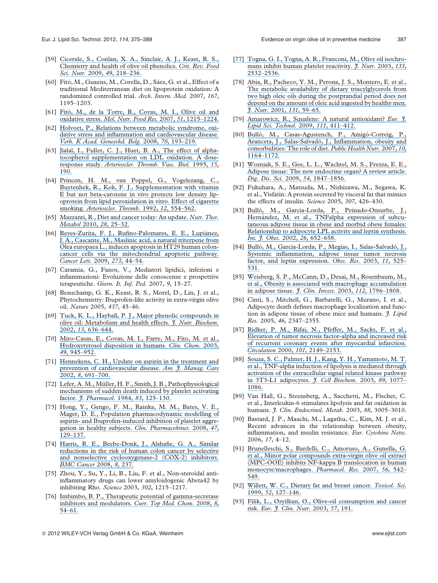- [59] [Cicerale, S., Conlan, X. A., Sinclair, A. J., Keast, R. S.,](https://www.researchgate.net/publication/23674268_Chemistry_and_Health_of_Olive_Oil_Phenolics?el=1_x_8&enrichId=rgreq-96b52518b09014af285651118ba1e45a-XXX&enrichSource=Y292ZXJQYWdlOzI2NDUyNTQwNztBUzoxMzQ3NjUzMzIxNDQxMjhAMTQwOTE0MTk2NzU3MQ==) [Chemistry and health of olive oil phenolics.](https://www.researchgate.net/publication/23674268_Chemistry_and_Health_of_Olive_Oil_Phenolics?el=1_x_8&enrichId=rgreq-96b52518b09014af285651118ba1e45a-XXX&enrichSource=Y292ZXJQYWdlOzI2NDUyNTQwNztBUzoxMzQ3NjUzMzIxNDQxMjhAMTQwOTE0MTk2NzU3MQ==) Crit. Rev. Food Sci. Nutr. 2009, 49[, 218–236.](https://www.researchgate.net/publication/23674268_Chemistry_and_Health_of_Olive_Oil_Phenolics?el=1_x_8&enrichId=rgreq-96b52518b09014af285651118ba1e45a-XXX&enrichSource=Y292ZXJQYWdlOzI2NDUyNTQwNztBUzoxMzQ3NjUzMzIxNDQxMjhAMTQwOTE0MTk2NzU3MQ==)
- [60] Fitó, M., Guxens, M., Corella, D., Sáez, G. et al., Effect of a traditional Mediterranean diet on lipoprotein oxidation: A randomized controlled trial. Arch. Intern. Med. 2007, 167, 1195–1203.
- [61] Fitó, M., de la Torre, R., Covas, M. I., Olive oil and oxidative stress. [Mol. Nutr. Food Res.](https://www.researchgate.net/publication/5963098_Olive_oil_and_oxidative_stress?el=1_x_8&enrichId=rgreq-96b52518b09014af285651118ba1e45a-XXX&enrichSource=Y292ZXJQYWdlOzI2NDUyNTQwNztBUzoxMzQ3NjUzMzIxNDQxMjhAMTQwOTE0MTk2NzU3MQ==) 2007, 51, 1215–1224.
- [62] [Holvoet, P., Relations between metabolic syndrome, oxi](https://www.researchgate.net/publication/23139514_Relations_between_metabolic_syndrome_oxidative_stress_and_inflammation_and_cardiovascular_disease?el=1_x_8&enrichId=rgreq-96b52518b09014af285651118ba1e45a-XXX&enrichSource=Y292ZXJQYWdlOzI2NDUyNTQwNztBUzoxMzQ3NjUzMzIxNDQxMjhAMTQwOTE0MTk2NzU3MQ==)[dative stress and inflammation and cardiovascular disease.](https://www.researchgate.net/publication/23139514_Relations_between_metabolic_syndrome_oxidative_stress_and_inflammation_and_cardiovascular_disease?el=1_x_8&enrichId=rgreq-96b52518b09014af285651118ba1e45a-XXX&enrichSource=Y292ZXJQYWdlOzI2NDUyNTQwNztBUzoxMzQ3NjUzMzIxNDQxMjhAMTQwOTE0MTk2NzU3MQ==) [Verh. K Acad. Geneeskd. Belg.](https://www.researchgate.net/publication/23139514_Relations_between_metabolic_syndrome_oxidative_stress_and_inflammation_and_cardiovascular_disease?el=1_x_8&enrichId=rgreq-96b52518b09014af285651118ba1e45a-XXX&enrichSource=Y292ZXJQYWdlOzI2NDUyNTQwNztBUzoxMzQ3NjUzMzIxNDQxMjhAMTQwOTE0MTk2NzU3MQ==) 2008, 70, 193–219.
- [63] [Jialal, I., Fuller, C. J., Huet, B. A., The effect of alpha](https://www.researchgate.net/publication/15449017_The_Effect_of_-Tocopherol_Supplementation_on_LDL_Oxidation_A_Dose-Response_Study?el=1_x_8&enrichId=rgreq-96b52518b09014af285651118ba1e45a-XXX&enrichSource=Y292ZXJQYWdlOzI2NDUyNTQwNztBUzoxMzQ3NjUzMzIxNDQxMjhAMTQwOTE0MTk2NzU3MQ==)[tocopherol supplementation on LDL oxidation. A dose](https://www.researchgate.net/publication/15449017_The_Effect_of_-Tocopherol_Supplementation_on_LDL_Oxidation_A_Dose-Response_Study?el=1_x_8&enrichId=rgreq-96b52518b09014af285651118ba1e45a-XXX&enrichSource=Y292ZXJQYWdlOzI2NDUyNTQwNztBUzoxMzQ3NjUzMzIxNDQxMjhAMTQwOTE0MTk2NzU3MQ==)response study. [Arterioscler. Thromb. Vasc. Biol.](https://www.researchgate.net/publication/15449017_The_Effect_of_-Tocopherol_Supplementation_on_LDL_Oxidation_A_Dose-Response_Study?el=1_x_8&enrichId=rgreq-96b52518b09014af285651118ba1e45a-XXX&enrichSource=Y292ZXJQYWdlOzI2NDUyNTQwNztBUzoxMzQ3NjUzMzIxNDQxMjhAMTQwOTE0MTk2NzU3MQ==) 1995, 15, [190.](https://www.researchgate.net/publication/15449017_The_Effect_of_-Tocopherol_Supplementation_on_LDL_Oxidation_A_Dose-Response_Study?el=1_x_8&enrichId=rgreq-96b52518b09014af285651118ba1e45a-XXX&enrichSource=Y292ZXJQYWdlOzI2NDUyNTQwNztBUzoxMzQ3NjUzMzIxNDQxMjhAMTQwOTE0MTk2NzU3MQ==)
- [64] [Princen, H. M., van Poppel, G., Vogelezang, C.,](https://www.researchgate.net/publication/21579847_Supplementation_with_vitamin_E_but_not_b-carotene_in_vivo_protects_low_density_lipoprotein_from_lipid_peroxidation_in_vitro_Effect_of_cigarette_smoking?el=1_x_8&enrichId=rgreq-96b52518b09014af285651118ba1e45a-XXX&enrichSource=Y292ZXJQYWdlOzI2NDUyNTQwNztBUzoxMzQ3NjUzMzIxNDQxMjhAMTQwOTE0MTk2NzU3MQ==) [Buytenhek, R., Kok, F. J., Supplementation with vitamin](https://www.researchgate.net/publication/21579847_Supplementation_with_vitamin_E_but_not_b-carotene_in_vivo_protects_low_density_lipoprotein_from_lipid_peroxidation_in_vitro_Effect_of_cigarette_smoking?el=1_x_8&enrichId=rgreq-96b52518b09014af285651118ba1e45a-XXX&enrichSource=Y292ZXJQYWdlOzI2NDUyNTQwNztBUzoxMzQ3NjUzMzIxNDQxMjhAMTQwOTE0MTk2NzU3MQ==) [E but not beta-carotene in vivo protects low density lip](https://www.researchgate.net/publication/21579847_Supplementation_with_vitamin_E_but_not_b-carotene_in_vivo_protects_low_density_lipoprotein_from_lipid_peroxidation_in_vitro_Effect_of_cigarette_smoking?el=1_x_8&enrichId=rgreq-96b52518b09014af285651118ba1e45a-XXX&enrichSource=Y292ZXJQYWdlOzI2NDUyNTQwNztBUzoxMzQ3NjUzMzIxNDQxMjhAMTQwOTE0MTk2NzU3MQ==)[oprotein from lipid peroxidation in vitro. Effect of cigarette](https://www.researchgate.net/publication/21579847_Supplementation_with_vitamin_E_but_not_b-carotene_in_vivo_protects_low_density_lipoprotein_from_lipid_peroxidation_in_vitro_Effect_of_cigarette_smoking?el=1_x_8&enrichId=rgreq-96b52518b09014af285651118ba1e45a-XXX&enrichSource=Y292ZXJQYWdlOzI2NDUyNTQwNztBUzoxMzQ3NjUzMzIxNDQxMjhAMTQwOTE0MTk2NzU3MQ==) smoking. [Arterioscler. Thromb.](https://www.researchgate.net/publication/21579847_Supplementation_with_vitamin_E_but_not_b-carotene_in_vivo_protects_low_density_lipoprotein_from_lipid_peroxidation_in_vitro_Effect_of_cigarette_smoking?el=1_x_8&enrichId=rgreq-96b52518b09014af285651118ba1e45a-XXX&enrichSource=Y292ZXJQYWdlOzI2NDUyNTQwNztBUzoxMzQ3NjUzMzIxNDQxMjhAMTQwOTE0MTk2NzU3MQ==) 1992, 12, 554–562.
- [65] [Mazzanti, R., Diet and cancer today: An update.](https://www.researchgate.net/publication/288467937_Diet_and_cancer_today_An_update?el=1_x_8&enrichId=rgreq-96b52518b09014af285651118ba1e45a-XXX&enrichSource=Y292ZXJQYWdlOzI2NDUyNTQwNztBUzoxMzQ3NjUzMzIxNDQxMjhAMTQwOTE0MTk2NzU3MQ==) Nutr. Ther. Metabol 2010, 28[, 25–32.](https://www.researchgate.net/publication/288467937_Diet_and_cancer_today_An_update?el=1_x_8&enrichId=rgreq-96b52518b09014af285651118ba1e45a-XXX&enrichSource=Y292ZXJQYWdlOzI2NDUyNTQwNztBUzoxMzQ3NjUzMzIxNDQxMjhAMTQwOTE0MTk2NzU3MQ==)
- [66] Reyes-Zurita, F. J., Rufino-Palomares, E. E., Lupiánez, . A., Cascante, M., Maslinic acid, a natural triterpene from [Olea europaea L., induces apoptosis in HT29 human colon](https://www.researchgate.net/publication/23256584_Maslinic_acid_a_natural_triterpene_from_Olea_europaea_L_induces_apoptosis_in_HT29_human_colon-cancer_cells_via_the_mitochondrial_apoptotic_pathway?el=1_x_8&enrichId=rgreq-96b52518b09014af285651118ba1e45a-XXX&enrichSource=Y292ZXJQYWdlOzI2NDUyNTQwNztBUzoxMzQ3NjUzMzIxNDQxMjhAMTQwOTE0MTk2NzU3MQ==)[cancer cells via the mitochondrial apoptotic pathway.](https://www.researchgate.net/publication/23256584_Maslinic_acid_a_natural_triterpene_from_Olea_europaea_L_induces_apoptosis_in_HT29_human_colon-cancer_cells_via_the_mitochondrial_apoptotic_pathway?el=1_x_8&enrichId=rgreq-96b52518b09014af285651118ba1e45a-XXX&enrichSource=Y292ZXJQYWdlOzI2NDUyNTQwNztBUzoxMzQ3NjUzMzIxNDQxMjhAMTQwOTE0MTk2NzU3MQ==) [Cancer Lett.](https://www.researchgate.net/publication/23256584_Maslinic_acid_a_natural_triterpene_from_Olea_europaea_L_induces_apoptosis_in_HT29_human_colon-cancer_cells_via_the_mitochondrial_apoptotic_pathway?el=1_x_8&enrichId=rgreq-96b52518b09014af285651118ba1e45a-XXX&enrichSource=Y292ZXJQYWdlOzI2NDUyNTQwNztBUzoxMzQ3NjUzMzIxNDQxMjhAMTQwOTE0MTk2NzU3MQ==) 2009, 273, 44–54.
- [67] Caramia, G., Fanos, V., Mediatori lipidici, infezioni e infiammazioni: Evoluzione delle conoscenze e prospettive terapeutiche. Giorn. It. Inf. Ped. 2007, 9, 15–27.
- [68] Beauchamp, G. K., Keast, R. S., Morel, D., Lin, J. et al., Phytochemistry: Ibuprofen-like activity in extra-virgin olive oil. Nature 2005, 437, 45–46.
- [69] [Tuck, K. L., Hayball, P. J., Major phenolic compounds in](https://www.researchgate.net/publication/10931811_Major_phenolic_compounds_in_olive_oil_Metabolism_and_health_effects?el=1_x_8&enrichId=rgreq-96b52518b09014af285651118ba1e45a-XXX&enrichSource=Y292ZXJQYWdlOzI2NDUyNTQwNztBUzoxMzQ3NjUzMzIxNDQxMjhAMTQwOTE0MTk2NzU3MQ==) [olive oil: Metabolism and health effects.](https://www.researchgate.net/publication/10931811_Major_phenolic_compounds_in_olive_oil_Metabolism_and_health_effects?el=1_x_8&enrichId=rgreq-96b52518b09014af285651118ba1e45a-XXX&enrichSource=Y292ZXJQYWdlOzI2NDUyNTQwNztBUzoxMzQ3NjUzMzIxNDQxMjhAMTQwOTE0MTk2NzU3MQ==) J. Nutr. Biochem. 2002, 13[, 636–644.](https://www.researchgate.net/publication/10931811_Major_phenolic_compounds_in_olive_oil_Metabolism_and_health_effects?el=1_x_8&enrichId=rgreq-96b52518b09014af285651118ba1e45a-XXX&enrichSource=Y292ZXJQYWdlOzI2NDUyNTQwNztBUzoxMzQ3NjUzMzIxNDQxMjhAMTQwOTE0MTk2NzU3MQ==)
- [70] [Miro-Casas, E., Covas, M. I., Farre, M., Fito, M. et al.,](https://www.researchgate.net/publication/10743969_Hydroxytyrosol_disposition_in_human?el=1_x_8&enrichId=rgreq-96b52518b09014af285651118ba1e45a-XXX&enrichSource=Y292ZXJQYWdlOzI2NDUyNTQwNztBUzoxMzQ3NjUzMzIxNDQxMjhAMTQwOTE0MTk2NzU3MQ==) [Hydroxytyrosol disposition in humans.](https://www.researchgate.net/publication/10743969_Hydroxytyrosol_disposition_in_human?el=1_x_8&enrichId=rgreq-96b52518b09014af285651118ba1e45a-XXX&enrichSource=Y292ZXJQYWdlOzI2NDUyNTQwNztBUzoxMzQ3NjUzMzIxNDQxMjhAMTQwOTE0MTk2NzU3MQ==) Clin. Chem. 2003, 49[, 945–952.](https://www.researchgate.net/publication/10743969_Hydroxytyrosol_disposition_in_human?el=1_x_8&enrichId=rgreq-96b52518b09014af285651118ba1e45a-XXX&enrichSource=Y292ZXJQYWdlOzI2NDUyNTQwNztBUzoxMzQ3NjUzMzIxNDQxMjhAMTQwOTE0MTk2NzU3MQ==)
- [71] [Hennekens, C. H., Update on aspirin in the treatment and](https://www.researchgate.net/publication/13194437_Update_on_aspirin_in_the_treatment_and_prevention_of_cardiovascular_disease?el=1_x_8&enrichId=rgreq-96b52518b09014af285651118ba1e45a-XXX&enrichSource=Y292ZXJQYWdlOzI2NDUyNTQwNztBUzoxMzQ3NjUzMzIxNDQxMjhAMTQwOTE0MTk2NzU3MQ==) [prevention of cardiovascular disease.](https://www.researchgate.net/publication/13194437_Update_on_aspirin_in_the_treatment_and_prevention_of_cardiovascular_disease?el=1_x_8&enrichId=rgreq-96b52518b09014af285651118ba1e45a-XXX&enrichSource=Y292ZXJQYWdlOzI2NDUyNTQwNztBUzoxMzQ3NjUzMzIxNDQxMjhAMTQwOTE0MTk2NzU3MQ==) Am. J. Manag. Care 2002, 8[, 691–700.](https://www.researchgate.net/publication/13194437_Update_on_aspirin_in_the_treatment_and_prevention_of_cardiovascular_disease?el=1_x_8&enrichId=rgreq-96b52518b09014af285651118ba1e45a-XXX&enrichSource=Y292ZXJQYWdlOzI2NDUyNTQwNztBUzoxMzQ3NjUzMzIxNDQxMjhAMTQwOTE0MTk2NzU3MQ==)
- [72] Lefer, A. M., Müller, H. F., Smith, J. B., Pathophysiological [mechanisms of sudden death induced by platelet activating](https://www.researchgate.net/publication/16760011_Pathophysiological_mechanisms_of_sudden_death_induced_by_platelet_activating_factor?el=1_x_8&enrichId=rgreq-96b52518b09014af285651118ba1e45a-XXX&enrichSource=Y292ZXJQYWdlOzI2NDUyNTQwNztBUzoxMzQ3NjUzMzIxNDQxMjhAMTQwOTE0MTk2NzU3MQ==) factor. *[J. Pharmacol.](https://www.researchgate.net/publication/16760011_Pathophysiological_mechanisms_of_sudden_death_induced_by_platelet_activating_factor?el=1_x_8&enrichId=rgreq-96b52518b09014af285651118ba1e45a-XXX&enrichSource=Y292ZXJQYWdlOzI2NDUyNTQwNztBUzoxMzQ3NjUzMzIxNDQxMjhAMTQwOTE0MTk2NzU3MQ==)* 1984, 83, 125-130.
- [73] [Hong, Y., Gengo, F. M., Rainka, M. M., Bates, V. E.,](https://www.researchgate.net/publication/5657499_Population_Pharmacodynamic_Modelling_of_Aspirin-_and_Ibuprofen-Induced_Inhibition_of_Platelet_Aggregation_in_Healthy_Subjects?el=1_x_8&enrichId=rgreq-96b52518b09014af285651118ba1e45a-XXX&enrichSource=Y292ZXJQYWdlOzI2NDUyNTQwNztBUzoxMzQ3NjUzMzIxNDQxMjhAMTQwOTE0MTk2NzU3MQ==) [Mager, D. E., Population pharmacodynamic modelling of](https://www.researchgate.net/publication/5657499_Population_Pharmacodynamic_Modelling_of_Aspirin-_and_Ibuprofen-Induced_Inhibition_of_Platelet_Aggregation_in_Healthy_Subjects?el=1_x_8&enrichId=rgreq-96b52518b09014af285651118ba1e45a-XXX&enrichSource=Y292ZXJQYWdlOzI2NDUyNTQwNztBUzoxMzQ3NjUzMzIxNDQxMjhAMTQwOTE0MTk2NzU3MQ==) [aspirin- and Ibuprofen-induced inhibition of platelet aggre](https://www.researchgate.net/publication/5657499_Population_Pharmacodynamic_Modelling_of_Aspirin-_and_Ibuprofen-Induced_Inhibition_of_Platelet_Aggregation_in_Healthy_Subjects?el=1_x_8&enrichId=rgreq-96b52518b09014af285651118ba1e45a-XXX&enrichSource=Y292ZXJQYWdlOzI2NDUyNTQwNztBUzoxMzQ3NjUzMzIxNDQxMjhAMTQwOTE0MTk2NzU3MQ==)[gation in healthy subjects.](https://www.researchgate.net/publication/5657499_Population_Pharmacodynamic_Modelling_of_Aspirin-_and_Ibuprofen-Induced_Inhibition_of_Platelet_Aggregation_in_Healthy_Subjects?el=1_x_8&enrichId=rgreq-96b52518b09014af285651118ba1e45a-XXX&enrichSource=Y292ZXJQYWdlOzI2NDUyNTQwNztBUzoxMzQ3NjUzMzIxNDQxMjhAMTQwOTE0MTk2NzU3MQ==) Clin. Pharmacokinet. 2008, 47, [129–137.](https://www.researchgate.net/publication/5657499_Population_Pharmacodynamic_Modelling_of_Aspirin-_and_Ibuprofen-Induced_Inhibition_of_Platelet_Aggregation_in_Healthy_Subjects?el=1_x_8&enrichId=rgreq-96b52518b09014af285651118ba1e45a-XXX&enrichSource=Y292ZXJQYWdlOzI2NDUyNTQwNztBUzoxMzQ3NjUzMzIxNDQxMjhAMTQwOTE0MTk2NzU3MQ==)
- [74] [Harris, R. E., Beebe-Donk, J., Alshafie, G. A., Similar](https://www.researchgate.net/publication/285069559_Reduction_in_cancer_risk_by_selective_and_nonselective_cyclooxygenase-2_COX-2_inhibitors?el=1_x_8&enrichId=rgreq-96b52518b09014af285651118ba1e45a-XXX&enrichSource=Y292ZXJQYWdlOzI2NDUyNTQwNztBUzoxMzQ3NjUzMzIxNDQxMjhAMTQwOTE0MTk2NzU3MQ==) [reductions in the risk of human colon cancer by selective](https://www.researchgate.net/publication/285069559_Reduction_in_cancer_risk_by_selective_and_nonselective_cyclooxygenase-2_COX-2_inhibitors?el=1_x_8&enrichId=rgreq-96b52518b09014af285651118ba1e45a-XXX&enrichSource=Y292ZXJQYWdlOzI2NDUyNTQwNztBUzoxMzQ3NjUzMzIxNDQxMjhAMTQwOTE0MTk2NzU3MQ==) [and nonselective cyclooxygenase-2 \(COX-2\) inhibitors.](https://www.researchgate.net/publication/285069559_Reduction_in_cancer_risk_by_selective_and_nonselective_cyclooxygenase-2_COX-2_inhibitors?el=1_x_8&enrichId=rgreq-96b52518b09014af285651118ba1e45a-XXX&enrichSource=Y292ZXJQYWdlOzI2NDUyNTQwNztBUzoxMzQ3NjUzMzIxNDQxMjhAMTQwOTE0MTk2NzU3MQ==) [BMC Cancer](https://www.researchgate.net/publication/285069559_Reduction_in_cancer_risk_by_selective_and_nonselective_cyclooxygenase-2_COX-2_inhibitors?el=1_x_8&enrichId=rgreq-96b52518b09014af285651118ba1e45a-XXX&enrichSource=Y292ZXJQYWdlOzI2NDUyNTQwNztBUzoxMzQ3NjUzMzIxNDQxMjhAMTQwOTE0MTk2NzU3MQ==) 2008, 8, 237.
- [75] Zhou, Y., Su, Y., Li, B., Liu, F. et al., Non-steroidal antiinflammatory drugs can lower amyloidogenic Abeta42 by inhibiting Rho. Science 2003, 302, 1215–1217.
- [76] [Imbimbo, B. P., Therapeutic potential of gamma-secretase](https://www.researchgate.net/publication/5630747_Therapeutic_Potential_of_g-Secretase_Inhibitors_and_Modulators?el=1_x_8&enrichId=rgreq-96b52518b09014af285651118ba1e45a-XXX&enrichSource=Y292ZXJQYWdlOzI2NDUyNTQwNztBUzoxMzQ3NjUzMzIxNDQxMjhAMTQwOTE0MTk2NzU3MQ==) [inhibitors and modulators.](https://www.researchgate.net/publication/5630747_Therapeutic_Potential_of_g-Secretase_Inhibitors_and_Modulators?el=1_x_8&enrichId=rgreq-96b52518b09014af285651118ba1e45a-XXX&enrichSource=Y292ZXJQYWdlOzI2NDUyNTQwNztBUzoxMzQ3NjUzMzIxNDQxMjhAMTQwOTE0MTk2NzU3MQ==) Curr. Top Med. Chem. 2008, 8, [54–61.](https://www.researchgate.net/publication/5630747_Therapeutic_Potential_of_g-Secretase_Inhibitors_and_Modulators?el=1_x_8&enrichId=rgreq-96b52518b09014af285651118ba1e45a-XXX&enrichSource=Y292ZXJQYWdlOzI2NDUyNTQwNztBUzoxMzQ3NjUzMzIxNDQxMjhAMTQwOTE0MTk2NzU3MQ==)
- [\[77\] Togna, G. I., Togna, A. R., Franconi, M., Olive oil isochro](https://www.researchgate.net/publication/10637376_Olive_oil_isochromans_inhibit_human_platelet_reactivity?el=1_x_8&enrichId=rgreq-96b52518b09014af285651118ba1e45a-XXX&enrichSource=Y292ZXJQYWdlOzI2NDUyNTQwNztBUzoxMzQ3NjUzMzIxNDQxMjhAMTQwOTE0MTk2NzU3MQ==)[mans inhibit human platelet reactivity.](https://www.researchgate.net/publication/10637376_Olive_oil_isochromans_inhibit_human_platelet_reactivity?el=1_x_8&enrichId=rgreq-96b52518b09014af285651118ba1e45a-XXX&enrichSource=Y292ZXJQYWdlOzI2NDUyNTQwNztBUzoxMzQ3NjUzMzIxNDQxMjhAMTQwOTE0MTk2NzU3MQ==) *J. Nutr.* 2003, 133, [2532–2536.](https://www.researchgate.net/publication/10637376_Olive_oil_isochromans_inhibit_human_platelet_reactivity?el=1_x_8&enrichId=rgreq-96b52518b09014af285651118ba1e45a-XXX&enrichSource=Y292ZXJQYWdlOzI2NDUyNTQwNztBUzoxMzQ3NjUzMzIxNDQxMjhAMTQwOTE0MTk2NzU3MQ==)
- [78] [Abia, R., Pacheco, Y. M., Perona, J. S., Montero, E. et al.,](https://www.researchgate.net/publication/12122273_The_Metabolic_Availability_of_Dietary_Triacylglycerols_from_Two_High_Oleic_Oils_during_the_Postprandial_Period_Does_Not_Depend_on_the_Amount_of_Oleic_Acid_Ingested_by_Healthy_Men?el=1_x_8&enrichId=rgreq-96b52518b09014af285651118ba1e45a-XXX&enrichSource=Y292ZXJQYWdlOzI2NDUyNTQwNztBUzoxMzQ3NjUzMzIxNDQxMjhAMTQwOTE0MTk2NzU3MQ==) [The metabolic availability of dietary triacylglycerols from](https://www.researchgate.net/publication/12122273_The_Metabolic_Availability_of_Dietary_Triacylglycerols_from_Two_High_Oleic_Oils_during_the_Postprandial_Period_Does_Not_Depend_on_the_Amount_of_Oleic_Acid_Ingested_by_Healthy_Men?el=1_x_8&enrichId=rgreq-96b52518b09014af285651118ba1e45a-XXX&enrichSource=Y292ZXJQYWdlOzI2NDUyNTQwNztBUzoxMzQ3NjUzMzIxNDQxMjhAMTQwOTE0MTk2NzU3MQ==) [two high oleic oils during the postprandial period does not](https://www.researchgate.net/publication/12122273_The_Metabolic_Availability_of_Dietary_Triacylglycerols_from_Two_High_Oleic_Oils_during_the_Postprandial_Period_Does_Not_Depend_on_the_Amount_of_Oleic_Acid_Ingested_by_Healthy_Men?el=1_x_8&enrichId=rgreq-96b52518b09014af285651118ba1e45a-XXX&enrichSource=Y292ZXJQYWdlOzI2NDUyNTQwNztBUzoxMzQ3NjUzMzIxNDQxMjhAMTQwOTE0MTk2NzU3MQ==) [depend on the amount of oleic acid ingested by healthy men.](https://www.researchgate.net/publication/12122273_The_Metabolic_Availability_of_Dietary_Triacylglycerols_from_Two_High_Oleic_Oils_during_the_Postprandial_Period_Does_Not_Depend_on_the_Amount_of_Oleic_Acid_Ingested_by_Healthy_Men?el=1_x_8&enrichId=rgreq-96b52518b09014af285651118ba1e45a-XXX&enrichSource=Y292ZXJQYWdlOzI2NDUyNTQwNztBUzoxMzQ3NjUzMzIxNDQxMjhAMTQwOTE0MTk2NzU3MQ==) J. Nutr. 2001, 131[, 59–65.](https://www.researchgate.net/publication/12122273_The_Metabolic_Availability_of_Dietary_Triacylglycerols_from_Two_High_Oleic_Oils_during_the_Postprandial_Period_Does_Not_Depend_on_the_Amount_of_Oleic_Acid_Ingested_by_Healthy_Men?el=1_x_8&enrichId=rgreq-96b52518b09014af285651118ba1e45a-XXX&enrichSource=Y292ZXJQYWdlOzI2NDUyNTQwNztBUzoxMzQ3NjUzMzIxNDQxMjhAMTQwOTE0MTk2NzU3MQ==)
- [79] [Amarowicz, R., Squalene: A natural antioxidant?](https://www.researchgate.net/publication/229629820_Squalene_A_natural_antioxidant?el=1_x_8&enrichId=rgreq-96b52518b09014af285651118ba1e45a-XXX&enrichSource=Y292ZXJQYWdlOzI2NDUyNTQwNztBUzoxMzQ3NjUzMzIxNDQxMjhAMTQwOTE0MTk2NzU3MQ==) Eur. J. [Lipid Sci. Technol.](https://www.researchgate.net/publication/229629820_Squalene_A_natural_antioxidant?el=1_x_8&enrichId=rgreq-96b52518b09014af285651118ba1e45a-XXX&enrichSource=Y292ZXJQYWdlOzI2NDUyNTQwNztBUzoxMzQ3NjUzMzIxNDQxMjhAMTQwOTE0MTk2NzU3MQ==) 2009, 111, 411–412.
- [80] Bulló, M., Casas-Agustench, P., Amigó-Correig, P., Aranceta, J., Salas-Salvadó, J., Inflammation, obesity and [comorbidities: The role of diet.](https://www.researchgate.net/publication/5942161_Inflammation_obesity_and_comorbidities_The_role_of_diet?el=1_x_8&enrichId=rgreq-96b52518b09014af285651118ba1e45a-XXX&enrichSource=Y292ZXJQYWdlOzI2NDUyNTQwNztBUzoxMzQ3NjUzMzIxNDQxMjhAMTQwOTE0MTk2NzU3MQ==) Public Health Nutr. 2007, 10, [1164–1172.](https://www.researchgate.net/publication/5942161_Inflammation_obesity_and_comorbidities_The_role_of_diet?el=1_x_8&enrichId=rgreq-96b52518b09014af285651118ba1e45a-XXX&enrichSource=Y292ZXJQYWdlOzI2NDUyNTQwNztBUzoxMzQ3NjUzMzIxNDQxMjhAMTQwOTE0MTk2NzU3MQ==)
- [81] [Wozniak, S. E., Gee, L. L., Wachtel, M. S., Frezza, E. E.,](https://www.researchgate.net/publication/23567810_Adipose_Tissue_The_New_Endocrine_Organ_A_Review_Article?el=1_x_8&enrichId=rgreq-96b52518b09014af285651118ba1e45a-XXX&enrichSource=Y292ZXJQYWdlOzI2NDUyNTQwNztBUzoxMzQ3NjUzMzIxNDQxMjhAMTQwOTE0MTk2NzU3MQ==) [Adipose tissue: The new endocrine organ? A review article.](https://www.researchgate.net/publication/23567810_Adipose_Tissue_The_New_Endocrine_Organ_A_Review_Article?el=1_x_8&enrichId=rgreq-96b52518b09014af285651118ba1e45a-XXX&enrichSource=Y292ZXJQYWdlOzI2NDUyNTQwNztBUzoxMzQ3NjUzMzIxNDQxMjhAMTQwOTE0MTk2NzU3MQ==) Dig. Dis. Sci. 2009, 54[, 1847–1856.](https://www.researchgate.net/publication/23567810_Adipose_Tissue_The_New_Endocrine_Organ_A_Review_Article?el=1_x_8&enrichId=rgreq-96b52518b09014af285651118ba1e45a-XXX&enrichSource=Y292ZXJQYWdlOzI2NDUyNTQwNztBUzoxMzQ3NjUzMzIxNDQxMjhAMTQwOTE0MTk2NzU3MQ==)
- [82] Fukuhara, A., Matsuda, M., Nishizawa, M., Segawa, K. et al., Visfatin: A protein secreted by visceral fat that mimics the effects of insulin. Science 2005, 307, 426–430.
- [83] Bulló, M., Garcia-Lorda, P., Peinado-Onsurbe, J., Hernández, M. et al., TNFalpha expression of subcu[taneous adipose tissue in obese and morbid obese females:](https://www.researchgate.net/publication/11339297_TNFa_expression_of_subcutaneous_adipose_tissue_in_obese_and_morbid_obese_females_Relationship_to_adipocyte_LPL_activity_and_leptin_synthesis?el=1_x_8&enrichId=rgreq-96b52518b09014af285651118ba1e45a-XXX&enrichSource=Y292ZXJQYWdlOzI2NDUyNTQwNztBUzoxMzQ3NjUzMzIxNDQxMjhAMTQwOTE0MTk2NzU3MQ==) [Relationship to adipocyte LPL activity and leptin synthesis.](https://www.researchgate.net/publication/11339297_TNFa_expression_of_subcutaneous_adipose_tissue_in_obese_and_morbid_obese_females_Relationship_to_adipocyte_LPL_activity_and_leptin_synthesis?el=1_x_8&enrichId=rgreq-96b52518b09014af285651118ba1e45a-XXX&enrichSource=Y292ZXJQYWdlOzI2NDUyNTQwNztBUzoxMzQ3NjUzMzIxNDQxMjhAMTQwOTE0MTk2NzU3MQ==) [Int. J. Obes.](https://www.researchgate.net/publication/11339297_TNFa_expression_of_subcutaneous_adipose_tissue_in_obese_and_morbid_obese_females_Relationship_to_adipocyte_LPL_activity_and_leptin_synthesis?el=1_x_8&enrichId=rgreq-96b52518b09014af285651118ba1e45a-XXX&enrichSource=Y292ZXJQYWdlOzI2NDUyNTQwNztBUzoxMzQ3NjUzMzIxNDQxMjhAMTQwOTE0MTk2NzU3MQ==) 2002, 26, 652-658.
- [84] Bulló, M., Garcia-Lorda, P., Megias, I., Salas-Salvadó, J., [Systemic inflammation, adipose tissue tumor necrosis](https://www.researchgate.net/publication/10809702_Systemic_Inflammation_Adipose_Tissue_Tumor_Necrosis_Factor_and_Leptin_Expression?el=1_x_8&enrichId=rgreq-96b52518b09014af285651118ba1e45a-XXX&enrichSource=Y292ZXJQYWdlOzI2NDUyNTQwNztBUzoxMzQ3NjUzMzIxNDQxMjhAMTQwOTE0MTk2NzU3MQ==) [factor, and leptin expression.](https://www.researchgate.net/publication/10809702_Systemic_Inflammation_Adipose_Tissue_Tumor_Necrosis_Factor_and_Leptin_Expression?el=1_x_8&enrichId=rgreq-96b52518b09014af285651118ba1e45a-XXX&enrichSource=Y292ZXJQYWdlOzI2NDUyNTQwNztBUzoxMzQ3NjUzMzIxNDQxMjhAMTQwOTE0MTk2NzU3MQ==) Obes. Res. 2003, 11, 525– [531.](https://www.researchgate.net/publication/10809702_Systemic_Inflammation_Adipose_Tissue_Tumor_Necrosis_Factor_and_Leptin_Expression?el=1_x_8&enrichId=rgreq-96b52518b09014af285651118ba1e45a-XXX&enrichSource=Y292ZXJQYWdlOzI2NDUyNTQwNztBUzoxMzQ3NjUzMzIxNDQxMjhAMTQwOTE0MTk2NzU3MQ==)
- [85] [Weisberg, S. P., McCann, D., Desai, M., Rosenbaum, M.,](https://www.researchgate.net/publication/295414161_Obesity_leads_to_macrophage_accumulation_in_adipose_tissue?el=1_x_8&enrichId=rgreq-96b52518b09014af285651118ba1e45a-XXX&enrichSource=Y292ZXJQYWdlOzI2NDUyNTQwNztBUzoxMzQ3NjUzMzIxNDQxMjhAMTQwOTE0MTk2NzU3MQ==) [et al., Obesity is associated with macrophage accumulation](https://www.researchgate.net/publication/295414161_Obesity_leads_to_macrophage_accumulation_in_adipose_tissue?el=1_x_8&enrichId=rgreq-96b52518b09014af285651118ba1e45a-XXX&enrichSource=Y292ZXJQYWdlOzI2NDUyNTQwNztBUzoxMzQ3NjUzMzIxNDQxMjhAMTQwOTE0MTk2NzU3MQ==) [in adipose tissue.](https://www.researchgate.net/publication/295414161_Obesity_leads_to_macrophage_accumulation_in_adipose_tissue?el=1_x_8&enrichId=rgreq-96b52518b09014af285651118ba1e45a-XXX&enrichSource=Y292ZXJQYWdlOzI2NDUyNTQwNztBUzoxMzQ3NjUzMzIxNDQxMjhAMTQwOTE0MTk2NzU3MQ==) *J. Clin. Invest.* 2003, 112, 1796-1808.
- [86] Cinti, S., Mitchell, G., Barbatelli, G., Murano, I. et al., Adipocyte death defines macrophage localization and function in adipose tissue of obese mice and humans. *J. Lipid* Res. 2005, 46, 2347–2355.
- [87] [Ridker, P. M., Rifai, N., Pfeffer, M., Sacks, F. et al.,](https://www.researchgate.net/publication/12515289_Elevation_of_Tumor_Necrosis_Factor-_and_Increased_Risk_of_Recurrent_Coronary_Events_After_Myocardial_Infarction?el=1_x_8&enrichId=rgreq-96b52518b09014af285651118ba1e45a-XXX&enrichSource=Y292ZXJQYWdlOzI2NDUyNTQwNztBUzoxMzQ3NjUzMzIxNDQxMjhAMTQwOTE0MTk2NzU3MQ==) [Elevation of tumor necrosis factor-alpha and increased risk](https://www.researchgate.net/publication/12515289_Elevation_of_Tumor_Necrosis_Factor-_and_Increased_Risk_of_Recurrent_Coronary_Events_After_Myocardial_Infarction?el=1_x_8&enrichId=rgreq-96b52518b09014af285651118ba1e45a-XXX&enrichSource=Y292ZXJQYWdlOzI2NDUyNTQwNztBUzoxMzQ3NjUzMzIxNDQxMjhAMTQwOTE0MTk2NzU3MQ==) [of recurrent coronary events after myocardial infarction.](https://www.researchgate.net/publication/12515289_Elevation_of_Tumor_Necrosis_Factor-_and_Increased_Risk_of_Recurrent_Coronary_Events_After_Myocardial_Infarction?el=1_x_8&enrichId=rgreq-96b52518b09014af285651118ba1e45a-XXX&enrichSource=Y292ZXJQYWdlOzI2NDUyNTQwNztBUzoxMzQ3NjUzMzIxNDQxMjhAMTQwOTE0MTk2NzU3MQ==) Circulation 2000, 101[, 2149–2153.](https://www.researchgate.net/publication/12515289_Elevation_of_Tumor_Necrosis_Factor-_and_Increased_Risk_of_Recurrent_Coronary_Events_After_Myocardial_Infarction?el=1_x_8&enrichId=rgreq-96b52518b09014af285651118ba1e45a-XXX&enrichSource=Y292ZXJQYWdlOzI2NDUyNTQwNztBUzoxMzQ3NjUzMzIxNDQxMjhAMTQwOTE0MTk2NzU3MQ==)
- [88] [Souza, S. C., Palmer, H. J., Kang, Y. H., Yamamoto, M. T.](https://www.researchgate.net/publication/10629271_TNF-_induction_of_lipolysis_is_mediated_through_activation_of_the_extracellular_signal_related_kinase_pathway_in_3T3-L1_adipocytes?el=1_x_8&enrichId=rgreq-96b52518b09014af285651118ba1e45a-XXX&enrichSource=Y292ZXJQYWdlOzI2NDUyNTQwNztBUzoxMzQ3NjUzMzIxNDQxMjhAMTQwOTE0MTk2NzU3MQ==) [et al., TNF-alpha induction of lipolysis is mediated through](https://www.researchgate.net/publication/10629271_TNF-_induction_of_lipolysis_is_mediated_through_activation_of_the_extracellular_signal_related_kinase_pathway_in_3T3-L1_adipocytes?el=1_x_8&enrichId=rgreq-96b52518b09014af285651118ba1e45a-XXX&enrichSource=Y292ZXJQYWdlOzI2NDUyNTQwNztBUzoxMzQ3NjUzMzIxNDQxMjhAMTQwOTE0MTk2NzU3MQ==) [activation of the extracellular signal related kinase pathway](https://www.researchgate.net/publication/10629271_TNF-_induction_of_lipolysis_is_mediated_through_activation_of_the_extracellular_signal_related_kinase_pathway_in_3T3-L1_adipocytes?el=1_x_8&enrichId=rgreq-96b52518b09014af285651118ba1e45a-XXX&enrichSource=Y292ZXJQYWdlOzI2NDUyNTQwNztBUzoxMzQ3NjUzMzIxNDQxMjhAMTQwOTE0MTk2NzU3MQ==) [in 3T3-L1 adipocytes.](https://www.researchgate.net/publication/10629271_TNF-_induction_of_lipolysis_is_mediated_through_activation_of_the_extracellular_signal_related_kinase_pathway_in_3T3-L1_adipocytes?el=1_x_8&enrichId=rgreq-96b52518b09014af285651118ba1e45a-XXX&enrichSource=Y292ZXJQYWdlOzI2NDUyNTQwNztBUzoxMzQ3NjUzMzIxNDQxMjhAMTQwOTE0MTk2NzU3MQ==) *J. Cell Biochem.* 2003, 89, 1077-[1086.](https://www.researchgate.net/publication/10629271_TNF-_induction_of_lipolysis_is_mediated_through_activation_of_the_extracellular_signal_related_kinase_pathway_in_3T3-L1_adipocytes?el=1_x_8&enrichId=rgreq-96b52518b09014af285651118ba1e45a-XXX&enrichSource=Y292ZXJQYWdlOzI2NDUyNTQwNztBUzoxMzQ3NjUzMzIxNDQxMjhAMTQwOTE0MTk2NzU3MQ==)
- [89] Van Hall, G., Steensberg, A., Sacchetti, M., Fischer, C. et al., Interleukin-6 stimulates lipolysis and fat oxidation in humans. J. Clin. Endocrinol. Metab. 2003, 88, 3005-3010.
- [90] Bastard, J. P., Maachi, M., Lagathu, C., Kim, M. J. et al., Recent advances in the relationship between obesity, inflammation, and insulin resistance. Eur. Cytokine Netw. 2006, 17, 4–12.
- [91] [Brunelleschi, S., Bardelli, C., Amoruso, A., Gunella, G.](https://www.researchgate.net/publication/5850241_Minor_polar_compounds_extra-virgin_olive_oil_extract_MPC-OOE_inhibits_NF-kappa_B_translocation_in_human_monocytemacrophages?el=1_x_8&enrichId=rgreq-96b52518b09014af285651118ba1e45a-XXX&enrichSource=Y292ZXJQYWdlOzI2NDUyNTQwNztBUzoxMzQ3NjUzMzIxNDQxMjhAMTQwOTE0MTk2NzU3MQ==) [et al., Minor polar compounds extra-virgin olive oil extract](https://www.researchgate.net/publication/5850241_Minor_polar_compounds_extra-virgin_olive_oil_extract_MPC-OOE_inhibits_NF-kappa_B_translocation_in_human_monocytemacrophages?el=1_x_8&enrichId=rgreq-96b52518b09014af285651118ba1e45a-XXX&enrichSource=Y292ZXJQYWdlOzI2NDUyNTQwNztBUzoxMzQ3NjUzMzIxNDQxMjhAMTQwOTE0MTk2NzU3MQ==) [\(MPC-OOE\) inhibits NF-kappa B translocation in human](https://www.researchgate.net/publication/5850241_Minor_polar_compounds_extra-virgin_olive_oil_extract_MPC-OOE_inhibits_NF-kappa_B_translocation_in_human_monocytemacrophages?el=1_x_8&enrichId=rgreq-96b52518b09014af285651118ba1e45a-XXX&enrichSource=Y292ZXJQYWdlOzI2NDUyNTQwNztBUzoxMzQ3NjUzMzIxNDQxMjhAMTQwOTE0MTk2NzU3MQ==) [monocyte/macrophages.](https://www.researchgate.net/publication/5850241_Minor_polar_compounds_extra-virgin_olive_oil_extract_MPC-OOE_inhibits_NF-kappa_B_translocation_in_human_monocytemacrophages?el=1_x_8&enrichId=rgreq-96b52518b09014af285651118ba1e45a-XXX&enrichSource=Y292ZXJQYWdlOzI2NDUyNTQwNztBUzoxMzQ3NjUzMzIxNDQxMjhAMTQwOTE0MTk2NzU3MQ==) Pharmacol. Res. 2007, 56, 542– [549.](https://www.researchgate.net/publication/5850241_Minor_polar_compounds_extra-virgin_olive_oil_extract_MPC-OOE_inhibits_NF-kappa_B_translocation_in_human_monocytemacrophages?el=1_x_8&enrichId=rgreq-96b52518b09014af285651118ba1e45a-XXX&enrichSource=Y292ZXJQYWdlOzI2NDUyNTQwNztBUzoxMzQ3NjUzMzIxNDQxMjhAMTQwOTE0MTk2NzU3MQ==)
- [92] [Willett, W. C., Dietary fat and breast cancer.](https://www.researchgate.net/publication/12682951_Dietary_Fat_and_Breast_Cancer?el=1_x_8&enrichId=rgreq-96b52518b09014af285651118ba1e45a-XXX&enrichSource=Y292ZXJQYWdlOzI2NDUyNTQwNztBUzoxMzQ3NjUzMzIxNDQxMjhAMTQwOTE0MTk2NzU3MQ==) Toxicol. Sci. 1999, 52[, 127–146.](https://www.researchgate.net/publication/12682951_Dietary_Fat_and_Breast_Cancer?el=1_x_8&enrichId=rgreq-96b52518b09014af285651118ba1e45a-XXX&enrichSource=Y292ZXJQYWdlOzI2NDUyNTQwNztBUzoxMzQ3NjUzMzIxNDQxMjhAMTQwOTE0MTk2NzU3MQ==)
- [93] [Filik, L., Ozyilkan, O., Olive-oil consumption and cancer](https://www.researchgate.net/publication/10933638_Olive-oil_consumption_and_cancer_risk?el=1_x_8&enrichId=rgreq-96b52518b09014af285651118ba1e45a-XXX&enrichSource=Y292ZXJQYWdlOzI2NDUyNTQwNztBUzoxMzQ3NjUzMzIxNDQxMjhAMTQwOTE0MTk2NzU3MQ==) risk. [Eur. J. Clin. Nutr.](https://www.researchgate.net/publication/10933638_Olive-oil_consumption_and_cancer_risk?el=1_x_8&enrichId=rgreq-96b52518b09014af285651118ba1e45a-XXX&enrichSource=Y292ZXJQYWdlOzI2NDUyNTQwNztBUzoxMzQ3NjUzMzIxNDQxMjhAMTQwOTE0MTk2NzU3MQ==) 2003, 57, 191.

2012 WILEY-VCH Verlag GmbH & Co. KGaA, Weinheim www.ejlst.com